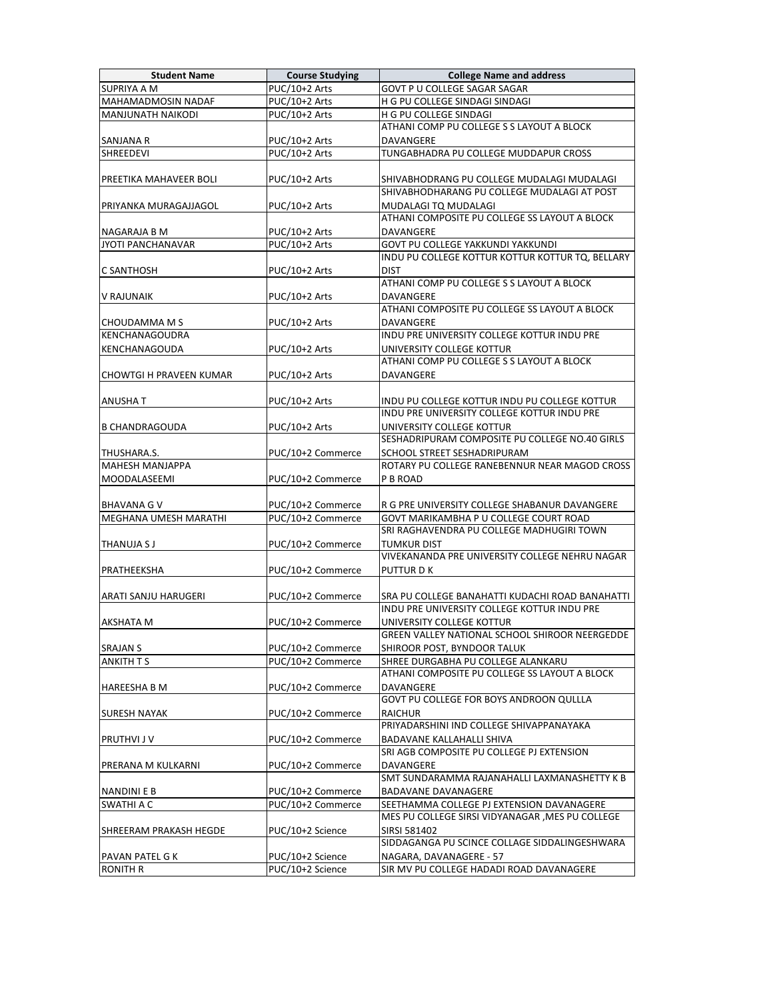| <b>Student Name</b>                   | <b>Course Studying</b>     | <b>College Name and address</b>                                                              |
|---------------------------------------|----------------------------|----------------------------------------------------------------------------------------------|
| <b>SUPRIYA A M</b>                    | PUC/10+2 Arts              | <b>GOVT P U COLLEGE SAGAR SAGAR</b>                                                          |
| MAHAMADMOSIN NADAF                    | PUC/10+2 Arts              | H G PU COLLEGE SINDAGI SINDAGI                                                               |
| <b>MANJUNATH NAIKODI</b>              | PUC/10+2 Arts              | H G PU COLLEGE SINDAGI                                                                       |
|                                       |                            | ATHANI COMP PU COLLEGE S S LAYOUT A BLOCK                                                    |
| <b>SANJANA R</b>                      | PUC/10+2 Arts              | <b>DAVANGERE</b>                                                                             |
| SHREEDEVI                             | $\overline{PUC}/10+2$ Arts | TUNGABHADRA PU COLLEGE MUDDAPUR CROSS                                                        |
|                                       |                            |                                                                                              |
| PREETIKA MAHAVEER BOLI                | PUC/10+2 Arts              | SHIVABHODRANG PU COLLEGE MUDALAGI MUDALAGI                                                   |
|                                       |                            | SHIVABHODHARANG PU COLLEGE MUDALAGI AT POST                                                  |
| PRIYANKA MURAGAJJAGOL                 | PUC/10+2 Arts              | MUDALAGI TQ MUDALAGI                                                                         |
|                                       |                            | ATHANI COMPOSITE PU COLLEGE SS LAYOUT A BLOCK                                                |
| NAGARAJA B M                          | PUC/10+2 Arts              | DAVANGERE                                                                                    |
| <b>JYOTI PANCHANAVAR</b>              | PUC/10+2 Arts              | GOVT PU COLLEGE YAKKUNDI YAKKUNDI                                                            |
|                                       |                            | INDU PU COLLEGE KOTTUR KOTTUR KOTTUR TQ, BELLARY                                             |
| C SANTHOSH                            | PUC/10+2 Arts              | <b>DIST</b>                                                                                  |
|                                       |                            | ATHANI COMP PU COLLEGE S S LAYOUT A BLOCK                                                    |
| V RAJUNAIK                            | PUC/10+2 Arts              | DAVANGERE                                                                                    |
|                                       |                            | ATHANI COMPOSITE PU COLLEGE SS LAYOUT A BLOCK                                                |
| CHOUDAMMA M S                         | PUC/10+2 Arts              | DAVANGERE                                                                                    |
| <b>KENCHANAGOUDRA</b>                 |                            | INDU PRE UNIVERSITY COLLEGE KOTTUR INDU PRE                                                  |
| KENCHANAGOUDA                         | PUC/10+2 Arts              | UNIVERSITY COLLEGE KOTTUR                                                                    |
|                                       |                            | ATHANI COMP PU COLLEGE S S LAYOUT A BLOCK                                                    |
| <b>CHOWTGI H PRAVEEN KUMAR</b>        | PUC/10+2 Arts              | DAVANGERE                                                                                    |
|                                       |                            |                                                                                              |
| <b>ANUSHAT</b>                        | PUC/10+2 Arts              | INDU PU COLLEGE KOTTUR INDU PU COLLEGE KOTTUR<br>INDU PRE UNIVERSITY COLLEGE KOTTUR INDU PRE |
|                                       |                            |                                                                                              |
| <b>B CHANDRAGOUDA</b>                 | PUC/10+2 Arts              | UNIVERSITY COLLEGE KOTTUR                                                                    |
|                                       |                            | SESHADRIPURAM COMPOSITE PU COLLEGE NO.40 GIRLS                                               |
| THUSHARA.S.<br><b>MAHESH MANJAPPA</b> | PUC/10+2 Commerce          | SCHOOL STREET SESHADRIPURAM<br>ROTARY PU COLLEGE RANEBENNUR NEAR MAGOD CROSS                 |
| MOODALASEEMI                          | PUC/10+2 Commerce          | P B ROAD                                                                                     |
|                                       |                            |                                                                                              |
| <b>BHAVANA G V</b>                    | PUC/10+2 Commerce          | R G PRE UNIVERSITY COLLEGE SHABANUR DAVANGERE                                                |
| MEGHANA UMESH MARATHI                 | PUC/10+2 Commerce          | GOVT MARIKAMBHA P U COLLEGE COURT ROAD                                                       |
|                                       |                            | SRI RAGHAVENDRA PU COLLEGE MADHUGIRI TOWN                                                    |
| <b>THANUJA S J</b>                    | PUC/10+2 Commerce          | TUMKUR DIST                                                                                  |
|                                       |                            | VIVEKANANDA PRE UNIVERSITY COLLEGE NEHRU NAGAR                                               |
| PRATHEEKSHA                           | PUC/10+2 Commerce          | PUTTUR D K                                                                                   |
|                                       |                            |                                                                                              |
| ARATI SANJU HARUGERI                  | PUC/10+2 Commerce          | SRA PU COLLEGE BANAHATTI KUDACHI ROAD BANAHATTI                                              |
|                                       |                            | INDU PRE UNIVERSITY COLLEGE KOTTUR INDU PRE                                                  |
| <b>AKSHATA M</b>                      | PUC/10+2 Commerce          | UNIVERSITY COLLEGE KOTTUR                                                                    |
|                                       |                            | GREEN VALLEY NATIONAL SCHOOL SHIROOR NEERGEDDE                                               |
| <b>SRAJAN S</b>                       | PUC/10+2 Commerce          | SHIROOR POST, BYNDOOR TALUK                                                                  |
| <b>ANKITH T S</b>                     | PUC/10+2 Commerce          | SHREE DURGABHA PU COLLEGE ALANKARU                                                           |
|                                       |                            | ATHANI COMPOSITE PU COLLEGE SS LAYOUT A BLOCK                                                |
| <b>HAREESHA B M</b>                   | PUC/10+2 Commerce          | <b>DAVANGERE</b>                                                                             |
|                                       |                            | GOVT PU COLLEGE FOR BOYS ANDROON QULLLA                                                      |
| <b>SURESH NAYAK</b>                   | PUC/10+2 Commerce          | <b>RAICHUR</b>                                                                               |
|                                       |                            | PRIYADARSHINI IND COLLEGE SHIVAPPANAYAKA                                                     |
| <b>PRUTHVI J V</b>                    | PUC/10+2 Commerce          | BADAVANE KALLAHALLI SHIVA                                                                    |
|                                       |                            | SRI AGB COMPOSITE PU COLLEGE PJ EXTENSION                                                    |
| PRERANA M KULKARNI                    | PUC/10+2 Commerce          | <b>DAVANGERE</b>                                                                             |
|                                       |                            | SMT SUNDARAMMA RAJANAHALLI LAXMANASHETTY K B                                                 |
| <b>NANDINIEB</b>                      | PUC/10+2 Commerce          | <b>BADAVANE DAVANAGERE</b>                                                                   |
| <b>SWATHI A C</b>                     | PUC/10+2 Commerce          | SEETHAMMA COLLEGE PJ EXTENSION DAVANAGERE                                                    |
|                                       |                            | MES PU COLLEGE SIRSI VIDYANAGAR , MES PU COLLEGE                                             |
| SHREERAM PRAKASH HEGDE                | PUC/10+2 Science           | SIRSI 581402                                                                                 |
|                                       |                            | SIDDAGANGA PU SCINCE COLLAGE SIDDALINGESHWARA                                                |
| <b>PAVAN PATEL G K</b>                | PUC/10+2 Science           | NAGARA, DAVANAGERE - 57                                                                      |
| <b>RONITH R</b>                       | PUC/10+2 Science           | SIR MV PU COLLEGE HADADI ROAD DAVANAGERE                                                     |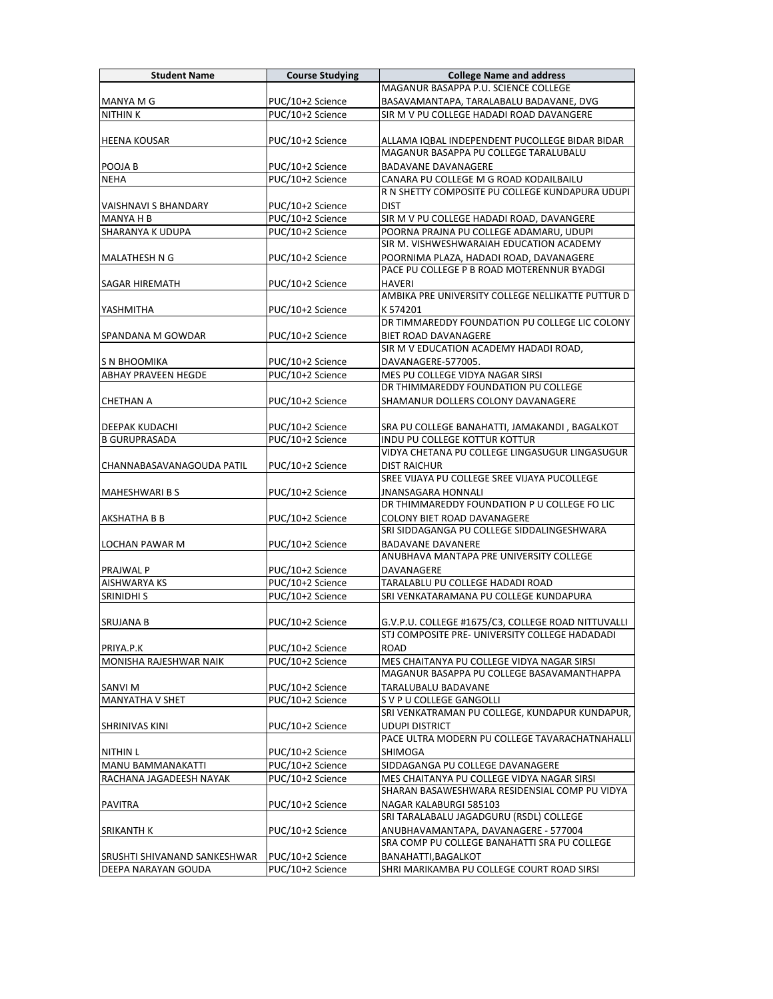| <b>Student Name</b>          | <b>Course Studying</b> | <b>College Name and address</b>                                                                      |
|------------------------------|------------------------|------------------------------------------------------------------------------------------------------|
|                              |                        | MAGANUR BASAPPA P.U. SCIENCE COLLEGE                                                                 |
| <b>MANYA M G</b>             | PUC/10+2 Science       | BASAVAMANTAPA, TARALABALU BADAVANE, DVG                                                              |
| <b>NITHINK</b>               | PUC/10+2 Science       | SIR M V PU COLLEGE HADADI ROAD DAVANGERE                                                             |
|                              |                        |                                                                                                      |
| <b>HEENA KOUSAR</b>          | PUC/10+2 Science       | ALLAMA IQBAL INDEPENDENT PUCOLLEGE BIDAR BIDAR                                                       |
|                              |                        | MAGANUR BASAPPA PU COLLEGE TARALUBALU                                                                |
| POOJA B                      | PUC/10+2 Science       | <b>BADAVANE DAVANAGERE</b>                                                                           |
| <b>NEHA</b>                  | PUC/10+2 Science       | CANARA PU COLLEGE M G ROAD KODAILBAILU                                                               |
|                              |                        | R N SHETTY COMPOSITE PU COLLEGE KUNDAPURA UDUPI                                                      |
| VAISHNAVI S BHANDARY         | PUC/10+2 Science       | <b>DIST</b>                                                                                          |
| MANYA H B                    | PUC/10+2 Science       | SIR M V PU COLLEGE HADADI ROAD, DAVANGERE                                                            |
| SHARANYA K UDUPA             | PUC/10+2 Science       | POORNA PRAJNA PU COLLEGE ADAMARU, UDUPI                                                              |
|                              |                        | SIR M. VISHWESHWARAIAH EDUCATION ACADEMY                                                             |
| MALATHESH N G                | PUC/10+2 Science       | POORNIMA PLAZA, HADADI ROAD, DAVANAGERE                                                              |
|                              |                        | PACE PU COLLEGE P B ROAD MOTERENNUR BYADGI                                                           |
| <b>SAGAR HIREMATH</b>        | PUC/10+2 Science       | <b>HAVERI</b>                                                                                        |
|                              |                        | AMBIKA PRE UNIVERSITY COLLEGE NELLIKATTE PUTTUR D                                                    |
| YASHMITHA                    | PUC/10+2 Science       | K 574201                                                                                             |
|                              |                        | DR TIMMAREDDY FOUNDATION PU COLLEGE LIC COLONY                                                       |
| SPANDANA M GOWDAR            | PUC/10+2 Science       | <b>BIET ROAD DAVANAGERE</b>                                                                          |
| S N BHOOMIKA                 | PUC/10+2 Science       | SIR M V EDUCATION ACADEMY HADADI ROAD,<br>DAVANAGERE-577005.                                         |
| <b>ABHAY PRAVEEN HEGDE</b>   | PUC/10+2 Science       | MES PU COLLEGE VIDYA NAGAR SIRSI                                                                     |
|                              |                        | DR THIMMAREDDY FOUNDATION PU COLLEGE                                                                 |
| <b>CHETHAN A</b>             | PUC/10+2 Science       | SHAMANUR DOLLERS COLONY DAVANAGERE                                                                   |
|                              |                        |                                                                                                      |
| <b>DEEPAK KUDACHI</b>        | PUC/10+2 Science       | SRA PU COLLEGE BANAHATTI, JAMAKANDI, BAGALKOT                                                        |
| <b>B GURUPRASADA</b>         | PUC/10+2 Science       | INDU PU COLLEGE KOTTUR KOTTUR                                                                        |
|                              |                        | VIDYA CHETANA PU COLLEGE LINGASUGUR LINGASUGUR                                                       |
| CHANNABASAVANAGOUDA PATIL    | PUC/10+2 Science       | <b>DIST RAICHUR</b>                                                                                  |
|                              |                        | SREE VIJAYA PU COLLEGE SREE VIJAYA PUCOLLEGE                                                         |
| <b>MAHESHWARI B S</b>        | PUC/10+2 Science       | <b>JNANSAGARA HONNALI</b>                                                                            |
|                              |                        | DR THIMMAREDDY FOUNDATION P U COLLEGE FO LIC                                                         |
| AKSHATHA B B                 | PUC/10+2 Science       | COLONY BIET ROAD DAVANAGERE                                                                          |
|                              |                        | SRI SIDDAGANGA PU COLLEGE SIDDALINGESHWARA                                                           |
| LOCHAN PAWAR M               | PUC/10+2 Science       | <b>BADAVANE DAVANERE</b>                                                                             |
|                              |                        | ANUBHAVA MANTAPA PRE UNIVERSITY COLLEGE                                                              |
| <b>PRAJWAL P</b>             | PUC/10+2 Science       | DAVANAGERE                                                                                           |
| <b>AISHWARYA KS</b>          | PUC/10+2 Science       | TARALABLU PU COLLEGE HADADI ROAD                                                                     |
| <b>SRINIDHI S</b>            | PUC/10+2 Science       | SRI VENKATARAMANA PU COLLEGE KUNDAPURA                                                               |
| <b>SRUJANA B</b>             |                        |                                                                                                      |
|                              | PUC/10+2 Science       | G.V.P.U. COLLEGE #1675/C3, COLLEGE ROAD NITTUVALLI<br>STJ COMPOSITE PRE- UNIVERSITY COLLEGE HADADADI |
| PRIYA.P.K                    | PUC/10+2 Science       | <b>ROAD</b>                                                                                          |
| MONISHA RAJESHWAR NAIK       | PUC/10+2 Science       | MES CHAITANYA PU COLLEGE VIDYA NAGAR SIRSI                                                           |
|                              |                        | MAGANUR BASAPPA PU COLLEGE BASAVAMANTHAPPA                                                           |
| <b>SANVI M</b>               | PUC/10+2 Science       | TARALUBALU BADAVANE                                                                                  |
| <b>MANYATHA V SHET</b>       | PUC/10+2 Science       | S V P U COLLEGE GANGOLLI                                                                             |
|                              |                        | SRI VENKATRAMAN PU COLLEGE, KUNDAPUR KUNDAPUR,                                                       |
| <b>SHRINIVAS KINI</b>        | PUC/10+2 Science       | <b>UDUPI DISTRICT</b>                                                                                |
|                              |                        | PACE ULTRA MODERN PU COLLEGE TAVARACHATNAHALLI                                                       |
| <b>NITHIN L</b>              | PUC/10+2 Science       | SHIMOGA                                                                                              |
| MANU BAMMANAKATTI            | PUC/10+2 Science       | SIDDAGANGA PU COLLEGE DAVANAGERE                                                                     |
| RACHANA JAGADEESH NAYAK      | PUC/10+2 Science       | MES CHAITANYA PU COLLEGE VIDYA NAGAR SIRSI                                                           |
|                              |                        | SHARAN BASAWESHWARA RESIDENSIAL COMP PU VIDYA                                                        |
| <b>PAVITRA</b>               | PUC/10+2 Science       | NAGAR KALABURGI 585103                                                                               |
|                              |                        | SRI TARALABALU JAGADGURU (RSDL) COLLEGE                                                              |
| <b>SRIKANTH K</b>            | PUC/10+2 Science       | ANUBHAVAMANTAPA, DAVANAGERE - 577004                                                                 |
|                              |                        | SRA COMP PU COLLEGE BANAHATTI SRA PU COLLEGE                                                         |
| SRUSHTI SHIVANAND SANKESHWAR | PUC/10+2 Science       | BANAHATTI, BAGALKOT                                                                                  |
| DEEPA NARAYAN GOUDA          | PUC/10+2 Science       | SHRI MARIKAMBA PU COLLEGE COURT ROAD SIRSI                                                           |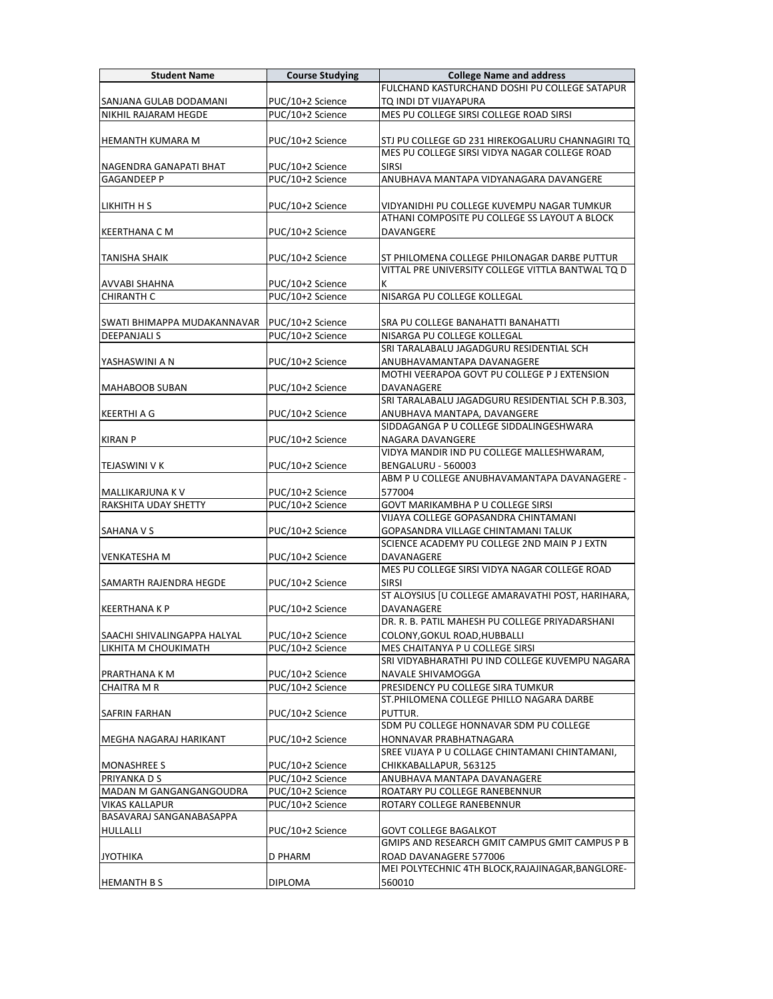| <b>Student Name</b>                      | <b>Course Studying</b>               | <b>College Name and address</b>                                                                   |
|------------------------------------------|--------------------------------------|---------------------------------------------------------------------------------------------------|
|                                          |                                      | FULCHAND KASTURCHAND DOSHI PU COLLEGE SATAPUR                                                     |
| SANJANA GULAB DODAMANI                   | PUC/10+2 Science                     | TQ INDI DT VIJAYAPURA                                                                             |
| NIKHIL RAJARAM HEGDE                     | PUC/10+2 Science                     | MES PU COLLEGE SIRSI COLLEGE ROAD SIRSI                                                           |
|                                          |                                      |                                                                                                   |
| <b>HEMANTH KUMARA M</b>                  | PUC/10+2 Science                     | STJ PU COLLEGE GD 231 HIREKOGALURU CHANNAGIRI TQ                                                  |
|                                          |                                      | MES PU COLLEGE SIRSI VIDYA NAGAR COLLEGE ROAD                                                     |
| NAGENDRA GANAPATI BHAT                   | PUC/10+2 Science                     | <b>SIRSI</b>                                                                                      |
| <b>GAGANDEEP P</b>                       | PUC/10+2 Science                     | ANUBHAVA MANTAPA VIDYANAGARA DAVANGERE                                                            |
|                                          |                                      |                                                                                                   |
| LIKHITH H S                              | PUC/10+2 Science                     | VIDYANIDHI PU COLLEGE KUVEMPU NAGAR TUMKUR                                                        |
|                                          |                                      | ATHANI COMPOSITE PU COLLEGE SS LAYOUT A BLOCK                                                     |
| KEERTHANA C M                            | PUC/10+2 Science                     | DAVANGERE                                                                                         |
|                                          |                                      |                                                                                                   |
| <b>TANISHA SHAIK</b>                     | PUC/10+2 Science                     | ST PHILOMENA COLLEGE PHILONAGAR DARBE PUTTUR<br>VITTAL PRE UNIVERSITY COLLEGE VITTLA BANTWAL TO D |
| <b>AVVABI SHAHNA</b>                     | PUC/10+2 Science                     | К                                                                                                 |
| <b>CHIRANTH C</b>                        | PUC/10+2 Science                     | NISARGA PU COLLEGE KOLLEGAL                                                                       |
|                                          |                                      |                                                                                                   |
| SWATI BHIMAPPA MUDAKANNAVAR              | PUC/10+2 Science                     | SRA PU COLLEGE BANAHATTI BANAHATTI                                                                |
| <b>DEEPANJALI S</b>                      | PUC/10+2 Science                     | NISARGA PU COLLEGE KOLLEGAL                                                                       |
|                                          |                                      | SRI TARALABALU JAGADGURU RESIDENTIAL SCH                                                          |
| YASHASWINI A N                           | PUC/10+2 Science                     | ANUBHAVAMANTAPA DAVANAGERE                                                                        |
|                                          |                                      | MOTHI VEERAPOA GOVT PU COLLEGE P J EXTENSION                                                      |
| MAHABOOB SUBAN                           | PUC/10+2 Science                     | DAVANAGERE                                                                                        |
|                                          |                                      | SRI TARALABALU JAGADGURU RESIDENTIAL SCH P.B.303.                                                 |
| <b>KEERTHI A G</b>                       | PUC/10+2 Science                     | ANUBHAVA MANTAPA, DAVANGERE                                                                       |
|                                          |                                      | SIDDAGANGA P U COLLEGE SIDDALINGESHWARA                                                           |
| <b>KIRAN P</b>                           | PUC/10+2 Science                     | NAGARA DAVANGERE                                                                                  |
|                                          |                                      | VIDYA MANDIR IND PU COLLEGE MALLESHWARAM,                                                         |
| TEJASWINI V K                            | PUC/10+2 Science                     | BENGALURU - 560003<br>ABM P U COLLEGE ANUBHAVAMANTAPA DAVANAGERE -                                |
|                                          |                                      | 577004                                                                                            |
| MALLIKARJUNA K V<br>RAKSHITA UDAY SHETTY | PUC/10+2 Science<br>PUC/10+2 Science | GOVT MARIKAMBHA P U COLLEGE SIRSI                                                                 |
|                                          |                                      | VIJAYA COLLEGE GOPASANDRA CHINTAMANI                                                              |
| <b>SAHANA V S</b>                        | PUC/10+2 Science                     | GOPASANDRA VILLAGE CHINTAMANI TALUK                                                               |
|                                          |                                      | SCIENCE ACADEMY PU COLLEGE 2ND MAIN P J EXTN                                                      |
| <b>VENKATESHA M</b>                      | PUC/10+2 Science                     | DAVANAGERE                                                                                        |
|                                          |                                      | MES PU COLLEGE SIRSI VIDYA NAGAR COLLEGE ROAD                                                     |
| SAMARTH RAJENDRA HEGDE                   | PUC/10+2 Science                     | <b>SIRSI</b>                                                                                      |
|                                          |                                      | ST ALOYSIUS [U COLLEGE AMARAVATHI POST, HARIHARA,                                                 |
| <b>KEERTHANA K P</b>                     | PUC/10+2 Science                     | DAVANAGERE                                                                                        |
|                                          |                                      | DR. R. B. PATIL MAHESH PU COLLEGE PRIYADARSHANI                                                   |
| SAACHI SHIVALINGAPPA HALYAL              | PUC/10+2 Science                     | COLONY, GOKUL ROAD, HUBBALLI                                                                      |
| LIKHITA M CHOUKIMATH                     | PUC/10+2 Science                     | MES CHAITANYA P U COLLEGE SIRSI<br>SRI VIDYABHARATHI PU IND COLLEGE KUVEMPU NAGARA                |
|                                          |                                      |                                                                                                   |
| PRARTHANA K M<br><b>CHAITRA M R</b>      | PUC/10+2 Science<br>PUC/10+2 Science | NAVALE SHIVAMOGGA<br>PRESIDENCY PU COLLEGE SIRA TUMKUR                                            |
|                                          |                                      | ST.PHILOMENA COLLEGE PHILLO NAGARA DARBE                                                          |
| <b>SAFRIN FARHAN</b>                     | PUC/10+2 Science                     | PUTTUR.                                                                                           |
|                                          |                                      | SDM PU COLLEGE HONNAVAR SDM PU COLLEGE                                                            |
| MEGHA NAGARAJ HARIKANT                   | PUC/10+2 Science                     | HONNAVAR PRABHATNAGARA                                                                            |
|                                          |                                      | SREE VIJAYA P U COLLAGE CHINTAMANI CHINTAMANI,                                                    |
| <b>MONASHREE S</b>                       | PUC/10+2 Science                     | CHIKKABALLAPUR, 563125                                                                            |
| PRIYANKA D S                             | PUC/10+2 Science                     | ANUBHAVA MANTAPA DAVANAGERE                                                                       |
| MADAN M GANGANGANGOUDRA                  | PUC/10+2 Science                     | ROATARY PU COLLEGE RANEBENNUR                                                                     |
| <b>VIKAS KALLAPUR</b>                    | PUC/10+2 Science                     | ROTARY COLLEGE RANEBENNUR                                                                         |
| BASAVARAJ SANGANABASAPPA                 |                                      |                                                                                                   |
| HULLALLI                                 | PUC/10+2 Science                     | GOVT COLLEGE BAGALKOT                                                                             |
|                                          |                                      | GMIPS AND RESEARCH GMIT CAMPUS GMIT CAMPUS P B                                                    |
| <b>JYOTHIKA</b>                          | D PHARM                              | ROAD DAVANAGERE 577006<br>MEI POLYTECHNIC 4TH BLOCK, RAJAJINAGAR, BANGLORE-                       |
| <b>HEMANTH BS</b>                        | <b>DIPLOMA</b>                       | 560010                                                                                            |
|                                          |                                      |                                                                                                   |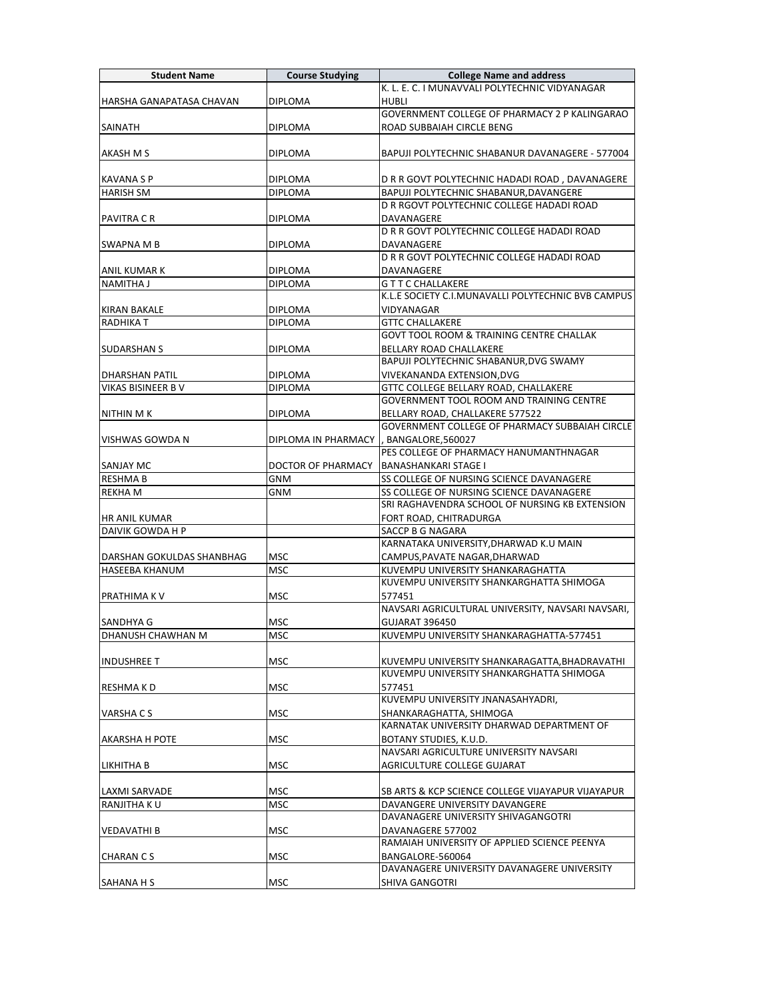| <b>Student Name</b>             | <b>Course Studying</b>    | <b>College Name and address</b>                                  |
|---------------------------------|---------------------------|------------------------------------------------------------------|
|                                 |                           | K. L. E. C. I MUNAVVALI POLYTECHNIC VIDYANAGAR                   |
| HARSHA GANAPATASA CHAVAN        | <b>DIPLOMA</b>            | <b>HUBLI</b>                                                     |
|                                 |                           | GOVERNMENT COLLEGE OF PHARMACY 2 P KALINGARAO                    |
| <b>SAINATH</b>                  | DIPLOMA                   | ROAD SUBBAIAH CIRCLE BENG                                        |
|                                 |                           |                                                                  |
| AKASH M S                       | <b>DIPLOMA</b>            | BAPUJI POLYTECHNIC SHABANUR DAVANAGERE - 577004                  |
|                                 |                           |                                                                  |
| <b>KAVANA S P</b>               | <b>DIPLOMA</b>            | D R R GOVT POLYTECHNIC HADADI ROAD, DAVANAGERE                   |
| <b>HARISH SM</b>                | <b>DIPLOMA</b>            | BAPUJI POLYTECHNIC SHABANUR, DAVANGERE                           |
|                                 |                           | D R RGOVT POLYTECHNIC COLLEGE HADADI ROAD                        |
| PAVITRA C R                     | <b>DIPLOMA</b>            | DAVANAGERE                                                       |
|                                 |                           | D R R GOVT POLYTECHNIC COLLEGE HADADI ROAD                       |
| SWAPNA M B                      | DIPLOMA                   | DAVANAGERE                                                       |
|                                 |                           | D R R GOVT POLYTECHNIC COLLEGE HADADI ROAD                       |
| ANIL KUMAR K                    | DIPLOMA<br><b>DIPLOMA</b> | DAVANAGERE                                                       |
| <b>NAMITHA J</b>                |                           | <b>GTTCCHALLAKERE</b>                                            |
|                                 |                           | K.L.E SOCIETY C.I.MUNAVALLI POLYTECHNIC BVB CAMPUS<br>VIDYANAGAR |
| KIRAN BAKALE<br><b>RADHIKAT</b> | DIPLOMA<br><b>DIPLOMA</b> | <b>GTTC CHALLAKERE</b>                                           |
|                                 |                           | <b>GOVT TOOL ROOM &amp; TRAINING CENTRE CHALLAK</b>              |
| <b>SUDARSHAN S</b>              | DIPLOMA                   | BELLARY ROAD CHALLAKERE                                          |
|                                 |                           | BAPUJI POLYTECHNIC SHABANUR, DVG SWAMY                           |
| <b>DHARSHAN PATIL</b>           | <b>DIPLOMA</b>            | VIVEKANANDA EXTENSION, DVG                                       |
| <b>VIKAS BISINEER B V</b>       | <b>DIPLOMA</b>            | GTTC COLLEGE BELLARY ROAD, CHALLAKERE                            |
|                                 |                           | GOVERNMENT TOOL ROOM AND TRAINING CENTRE                         |
| NITHIN M K                      | <b>DIPLOMA</b>            | BELLARY ROAD, CHALLAKERE 577522                                  |
|                                 |                           | GOVERNMENT COLLEGE OF PHARMACY SUBBAIAH CIRCLE                   |
| VISHWAS GOWDA N                 | DIPLOMA IN PHARMACY       | , BANGALORE,560027                                               |
|                                 |                           | PES COLLEGE OF PHARMACY HANUMANTHNAGAR                           |
| <b>SANJAY MC</b>                | DOCTOR OF PHARMACY        | <b>BANASHANKARI STAGE I</b>                                      |
| <b>RESHMAB</b>                  | GNM                       | SS COLLEGE OF NURSING SCIENCE DAVANAGERE                         |
| <b>REKHAM</b>                   | GNM                       | SS COLLEGE OF NURSING SCIENCE DAVANAGERE                         |
|                                 |                           | SRI RAGHAVENDRA SCHOOL OF NURSING KB EXTENSION                   |
| HR ANIL KUMAR                   |                           | FORT ROAD, CHITRADURGA                                           |
| DAIVIK GOWDA H P                |                           | SACCP B G NAGARA                                                 |
|                                 |                           | KARNATAKA UNIVERSITY, DHARWAD K.U MAIN                           |
| DARSHAN GOKULDAS SHANBHAG       | <b>MSC</b>                | CAMPUS, PAVATE NAGAR, DHARWAD                                    |
| HASEEBA KHANUM                  | MSC                       | KUVEMPU UNIVERSITY SHANKARAGHATTA                                |
|                                 |                           | KUVEMPU UNIVERSITY SHANKARGHATTA SHIMOGA                         |
| PRATHIMA K V                    | MSC                       | 577451                                                           |
|                                 |                           | NAVSARI AGRICULTURAL UNIVERSITY, NAVSARI NAVSARI,                |
| SANDHYA G                       | MSC                       | <b>GUJARAT 396450</b>                                            |
| DHANUSH CHAWHAN M               | <b>MSC</b>                | KUVEMPU UNIVERSITY SHANKARAGHATTA-577451                         |
| <b>INDUSHREE T</b>              | MSC                       | KUVEMPU UNIVERSITY SHANKARAGATTA, BHADRAVATHI                    |
|                                 |                           | KUVEMPU UNIVERSITY SHANKARGHATTA SHIMOGA                         |
| RESHMA K D                      | MSC                       | 577451                                                           |
|                                 |                           | KUVEMPU UNIVERSITY JNANASAHYADRI,                                |
| VARSHA C S                      | MSC                       | SHANKARAGHATTA, SHIMOGA                                          |
|                                 |                           | KARNATAK UNIVERSITY DHARWAD DEPARTMENT OF                        |
| <b>AKARSHA H POTE</b>           | MSC                       | BOTANY STUDIES, K.U.D.                                           |
|                                 |                           | NAVSARI AGRICULTURE UNIVERSITY NAVSARI                           |
| LIKHITHA B                      | MSC                       | AGRICULTURE COLLEGE GUJARAT                                      |
|                                 |                           |                                                                  |
| <b>LAXMI SARVADE</b>            | <b>MSC</b>                | SB ARTS & KCP SCIENCE COLLEGE VIJAYAPUR VIJAYAPUR                |
| RANJITHA KU                     | <b>MSC</b>                | DAVANGERE UNIVERSITY DAVANGERE                                   |
|                                 |                           | DAVANAGERE UNIVERSITY SHIVAGANGOTRI                              |
| <b>VEDAVATHI B</b>              | MSC                       | DAVANAGERE 577002                                                |
|                                 |                           | RAMAIAH UNIVERSITY OF APPLIED SCIENCE PEENYA                     |
| <b>CHARAN CS</b>                | MSC                       | BANGALORE-560064                                                 |
|                                 |                           | DAVANAGERE UNIVERSITY DAVANAGERE UNIVERSITY                      |
| <b>SAHANA H S</b>               | MSC                       | <b>SHIVA GANGOTRI</b>                                            |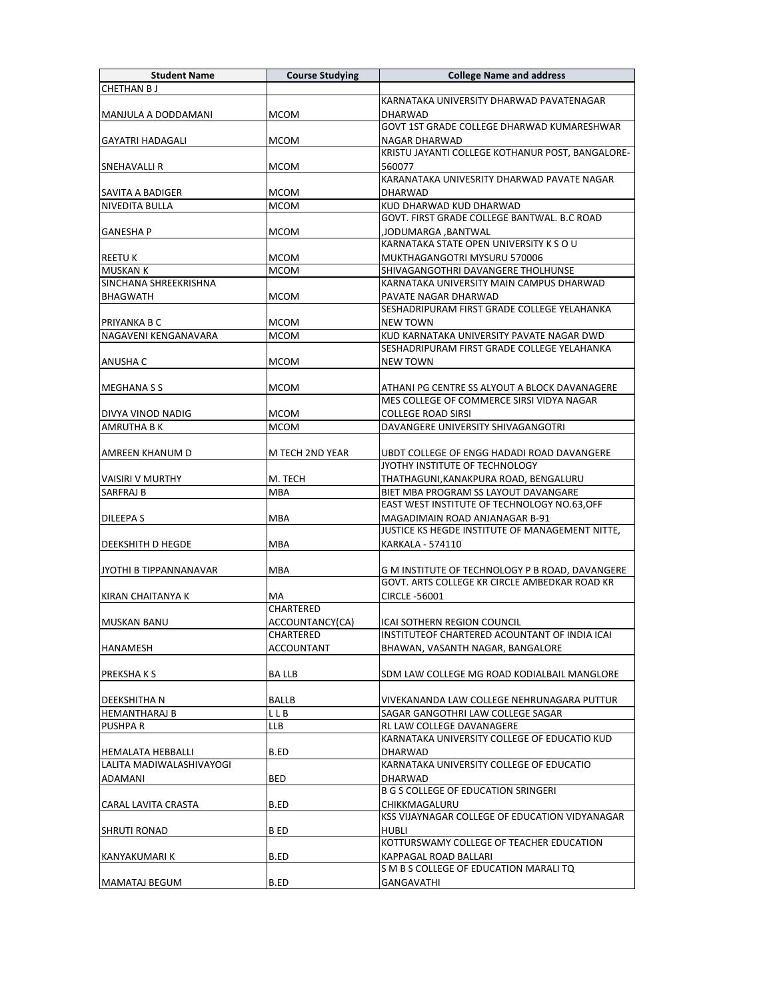| <b>Student Name</b>                                  | <b>Course Studying</b> | <b>College Name and address</b>                                 |
|------------------------------------------------------|------------------------|-----------------------------------------------------------------|
| <b>CHETHAN BJ</b>                                    |                        |                                                                 |
|                                                      |                        | KARNATAKA UNIVERSITY DHARWAD PAVATENAGAR                        |
| MANJULA A DODDAMANI                                  | <b>MCOM</b>            | <b>DHARWAD</b>                                                  |
|                                                      |                        | GOVT 1ST GRADE COLLEGE DHARWAD KUMARESHWAR                      |
| <b>GAYATRI HADAGALI</b>                              | <b>MCOM</b>            | NAGAR DHARWAD                                                   |
|                                                      |                        | KRISTU JAYANTI COLLEGE KOTHANUR POST, BANGALORE-                |
| <b>SNEHAVALLI R</b>                                  | <b>MCOM</b>            | 560077                                                          |
|                                                      |                        | KARANATAKA UNIVESRITY DHARWAD PAVATE NAGAR                      |
| <b>SAVITA A BADIGER</b>                              | <b>MCOM</b>            | <b>DHARWAD</b>                                                  |
| <b>NIVEDITA BULLA</b>                                | MCOM                   | KUD DHARWAD KUD DHARWAD                                         |
|                                                      |                        | GOVT. FIRST GRADE COLLEGE BANTWAL, B.C ROAD                     |
| <b>GANESHA P</b>                                     | <b>MCOM</b>            | JODUMARGA ,BANTWAL                                              |
|                                                      |                        | KARNATAKA STATE OPEN UNIVERSITY K S O U                         |
| <b>REETU K</b>                                       | <b>MCOM</b>            | MUKTHAGANGOTRI MYSURU 570006                                    |
| <b>MUSKAN K</b>                                      | <b>MCOM</b>            | SHIVAGANGOTHRI DAVANGERE THOLHUNSE                              |
| SINCHANA SHREEKRISHNA                                |                        | KARNATAKA UNIVERSITY MAIN CAMPUS DHARWAD                        |
| <b>BHAGWATH</b>                                      | <b>MCOM</b>            | PAVATE NAGAR DHARWAD                                            |
|                                                      |                        | SESHADRIPURAM FIRST GRADE COLLEGE YELAHANKA                     |
| PRIYANKA B C                                         | MCOM                   | <b>NEW TOWN</b>                                                 |
| NAGAVENI KENGANAVARA                                 | <b>MCOM</b>            | KUD KARNATAKA UNIVERSITY PAVATE NAGAR DWD                       |
|                                                      |                        | SESHADRIPURAM FIRST GRADE COLLEGE YELAHANKA                     |
| <b>ANUSHA C</b>                                      | <b>MCOM</b>            | <b>NEW TOWN</b>                                                 |
|                                                      |                        |                                                                 |
| <b>MEGHANA S S</b>                                   | <b>MCOM</b>            | ATHANI PG CENTRE SS ALYOUT A BLOCK DAVANAGERE                   |
|                                                      |                        | MES COLLEGE OF COMMERCE SIRSI VIDYA NAGAR                       |
| DIVYA VINOD NADIG                                    | <b>MCOM</b>            | <b>COLLEGE ROAD SIRSI</b>                                       |
| <b>AMRUTHA B K</b>                                   | MCOM                   | DAVANGERE UNIVERSITY SHIVAGANGOTRI                              |
|                                                      |                        |                                                                 |
| AMREEN KHANUM D                                      | M TECH 2ND YEAR        | UBDT COLLEGE OF ENGG HADADI ROAD DAVANGERE                      |
|                                                      |                        | JYOTHY INSTITUTE OF TECHNOLOGY                                  |
| <b>VAISIRI V MURTHY</b>                              | M. TECH                | THATHAGUNI, KANAKPURA ROAD, BENGALURU                           |
| SARFRAJ B                                            | MBA                    | BIET MBA PROGRAM SS LAYOUT DAVANGARE                            |
|                                                      |                        | EAST WEST INSTITUTE OF TECHNOLOGY NO.63, OFF                    |
| <b>DILEEPAS</b>                                      | <b>MBA</b>             | MAGADIMAIN ROAD ANJANAGAR B-91                                  |
|                                                      |                        | JUSTICE KS HEGDE INSTITUTE OF MANAGEMENT NITTE,                 |
| <b>DEEKSHITH D HEGDE</b>                             | MBA                    | <b>KARKALA - 574110</b>                                         |
|                                                      |                        |                                                                 |
| JYOTHI B TIPPANNANAVAR                               | MBA                    | G M INSTITUTE OF TECHNOLOGY P B ROAD, DAVANGERE                 |
|                                                      |                        | GOVT. ARTS COLLEGE KR CIRCLE AMBEDKAR ROAD KR                   |
| KIRAN CHAITANYA K                                    | МA                     | CIRCLE -56001                                                   |
|                                                      | CHARTERED              |                                                                 |
| <b>MUSKAN BANU</b>                                   | ACCOUNTANCY(CA)        | ICAI SOTHERN REGION COUNCIL                                     |
|                                                      | CHARTERED              | INSTITUTEOF CHARTERED ACOUNTANT OF INDIA ICAI                   |
| HANAMESH                                             | ACCOUNTANT             | BHAWAN, VASANTH NAGAR, BANGALORE                                |
|                                                      |                        |                                                                 |
| <b>PREKSHAKS</b>                                     | BA LLB                 | SDM LAW COLLEGE MG ROAD KODIALBAIL MANGLORE                     |
|                                                      |                        |                                                                 |
| <b>DEEKSHITHA N</b>                                  | <b>BALLB</b>           | VIVEKANANDA LAW COLLEGE NEHRUNAGARA PUTTUR                      |
| <b>HEMANTHARAJ B</b>                                 | L L B                  | SAGAR GANGOTHRI LAW COLLEGE SAGAR                               |
| PUSHPA R                                             | LLB                    | RL LAW COLLEGE DAVANAGERE                                       |
|                                                      |                        | KARNATAKA UNIVERSITY COLLEGE OF EDUCATIO KUD                    |
| <b>HEMALATA HEBBALLI</b><br>LALITA MADIWALASHIVAYOGI | B.ED                   | DHARWAD<br>KARNATAKA UNIVERSITY COLLEGE OF EDUCATIO             |
|                                                      |                        |                                                                 |
| ADAMANI                                              | BED                    | DHARWAD<br><b>B G S COLLEGE OF EDUCATION SRINGERI</b>           |
|                                                      |                        |                                                                 |
| CARAL LAVITA CRASTA                                  | B.ED                   | CHIKKMAGALURU<br>KSS VIJAYNAGAR COLLEGE OF EDUCATION VIDYANAGAR |
|                                                      |                        |                                                                 |
| <b>SHRUTI RONAD</b>                                  | B ED                   | HUBLI<br>KOTTURSWAMY COLLEGE OF TEACHER EDUCATION               |
|                                                      | B.ED                   | KAPPAGAL ROAD BALLARI                                           |
| KANYAKUMARI K                                        |                        | S M B S COLLEGE OF EDUCATION MARALI TQ                          |
| <b>MAMATAJ BEGUM</b>                                 | B.ED                   | GANGAVATHI                                                      |
|                                                      |                        |                                                                 |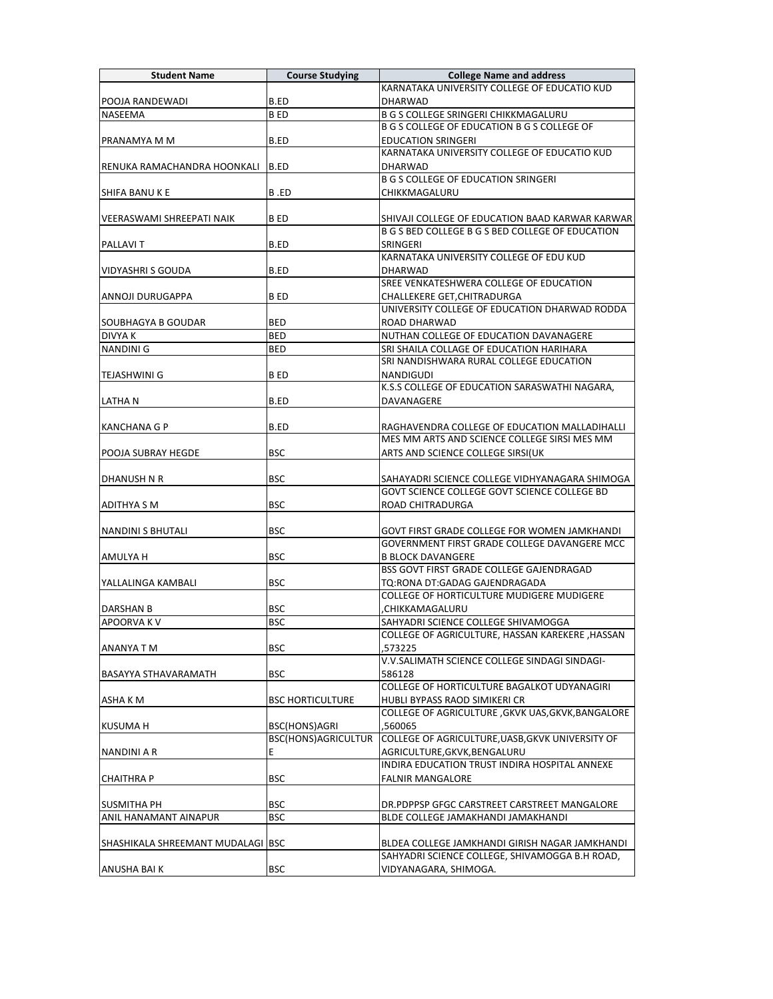| <b>Student Name</b>               | <b>Course Studying</b>     | <b>College Name and address</b>                                                                     |
|-----------------------------------|----------------------------|-----------------------------------------------------------------------------------------------------|
|                                   |                            | KARNATAKA UNIVERSITY COLLEGE OF EDUCATIO KUD                                                        |
| POOJA RANDEWADI                   | B.ED                       | <b>DHARWAD</b>                                                                                      |
| <b>NASEEMA</b>                    | B ED                       | <b>B G S COLLEGE SRINGERI CHIKKMAGALURU</b>                                                         |
|                                   |                            | B G S COLLEGE OF EDUCATION B G S COLLEGE OF                                                         |
| PRANAMYA M M                      | B.ED                       | <b>EDUCATION SRINGERI</b>                                                                           |
|                                   |                            | KARNATAKA UNIVERSITY COLLEGE OF EDUCATIO KUD                                                        |
| RENUKA RAMACHANDRA HOONKALI       | B.ED                       | <b>DHARWAD</b>                                                                                      |
|                                   |                            | <b>B G S COLLEGE OF EDUCATION SRINGERI</b>                                                          |
| <b>SHIFA BANUKE</b>               | B.ED                       | CHIKKMAGALURU                                                                                       |
|                                   |                            |                                                                                                     |
| VEERASWAMI SHREEPATI NAIK         | B ED                       | SHIVAJI COLLEGE OF EDUCATION BAAD KARWAR KARWAR<br>B G S BED COLLEGE B G S BED COLLEGE OF EDUCATION |
|                                   | B.ED                       | SRINGERI                                                                                            |
| <b>PALLAVIT</b>                   |                            | KARNATAKA UNIVERSITY COLLEGE OF EDU KUD                                                             |
| <b>VIDYASHRI S GOUDA</b>          | B.ED                       | DHARWAD                                                                                             |
|                                   |                            | SREE VENKATESHWERA COLLEGE OF EDUCATION                                                             |
| ANNOJI DURUGAPPA                  | B ED                       | CHALLEKERE GET, CHITRADURGA                                                                         |
|                                   |                            | UNIVERSITY COLLEGE OF EDUCATION DHARWAD RODDA                                                       |
| SOUBHAGYA B GOUDAR                | <b>BED</b>                 | <b>ROAD DHARWAD</b>                                                                                 |
| <b>DIVYAK</b>                     | <b>BED</b>                 | NUTHAN COLLEGE OF EDUCATION DAVANAGERE                                                              |
| <b>NANDINI G</b>                  | <b>BED</b>                 | SRI SHAILA COLLAGE OF EDUCATION HARIHARA                                                            |
|                                   |                            | SRI NANDISHWARA RURAL COLLEGE EDUCATION                                                             |
| <b>TEJASHWINI G</b>               | <b>BED</b>                 | NANDIGUDI                                                                                           |
|                                   |                            | K.S.S COLLEGE OF EDUCATION SARASWATHI NAGARA,                                                       |
| ILATHA N                          | B.ED                       | DAVANAGERE                                                                                          |
|                                   |                            |                                                                                                     |
| KANCHANA G P                      | B.ED                       | RAGHAVENDRA COLLEGE OF EDUCATION MALLADIHALLI                                                       |
|                                   |                            | MES MM ARTS AND SCIENCE COLLEGE SIRSI MES MM                                                        |
| POOJA SUBRAY HEGDE                | <b>BSC</b>                 | ARTS AND SCIENCE COLLEGE SIRSI(UK                                                                   |
|                                   |                            |                                                                                                     |
| DHANUSH N R                       | <b>BSC</b>                 | SAHAYADRI SCIENCE COLLEGE VIDHYANAGARA SHIMOGA                                                      |
|                                   |                            | GOVT SCIENCE COLLEGE GOVT SCIENCE COLLEGE BD                                                        |
| ADITHYA S M                       | <b>BSC</b>                 | ROAD CHITRADURGA                                                                                    |
|                                   |                            |                                                                                                     |
| NANDINI S BHUTALI                 | <b>BSC</b>                 | GOVT FIRST GRADE COLLEGE FOR WOMEN JAMKHANDI                                                        |
|                                   |                            | GOVERNMENT FIRST GRADE COLLEGE DAVANGERE MCC                                                        |
| AMULYA H                          | <b>BSC</b>                 | <b>B BLOCK DAVANGERE</b>                                                                            |
|                                   |                            | BSS GOVT FIRST GRADE COLLEGE GAJENDRAGAD                                                            |
| YALLALINGA KAMBALI                | <b>BSC</b>                 | TQ:RONA DT:GADAG GAJENDRAGADA                                                                       |
|                                   | <b>BSC</b>                 | COLLEGE OF HORTICULTURE MUDIGERE MUDIGERE                                                           |
| DARSHAN B                         | <b>BSC</b>                 | CHIKKAMAGALURU,                                                                                     |
| <b>APOORVAKV</b>                  |                            | SAHYADRI SCIENCE COLLEGE SHIVAMOGGA<br>COLLEGE OF AGRICULTURE, HASSAN KAREKERE , HASSAN             |
|                                   | <b>BSC</b>                 | 573225.                                                                                             |
| ANANYA T M                        |                            | V.V.SALIMATH SCIENCE COLLEGE SINDAGI SINDAGI-                                                       |
| <b>BASAYYA STHAVARAMATH</b>       | <b>BSC</b>                 | 586128                                                                                              |
|                                   |                            | COLLEGE OF HORTICULTURE BAGALKOT UDYANAGIRI                                                         |
| ASHA K M                          | <b>BSC HORTICULTURE</b>    | HUBLI BYPASS RAOD SIMIKERI CR                                                                       |
|                                   |                            | COLLEGE OF AGRICULTURE , GKVK UAS, GKVK, BANGALORE                                                  |
| <b>KUSUMA H</b>                   | BSC(HONS)AGRI              | ,560065                                                                                             |
|                                   | <b>BSC(HONS)AGRICULTUR</b> | COLLEGE OF AGRICULTURE, UASB, GKVK UNIVERSITY OF                                                    |
| NANDINI A R                       | E.                         | AGRICULTURE, GKVK, BENGALURU                                                                        |
|                                   |                            | INDIRA EDUCATION TRUST INDIRA HOSPITAL ANNEXE                                                       |
| <b>CHAITHRA P</b>                 | BSC                        | <b>FALNIR MANGALORE</b>                                                                             |
|                                   |                            |                                                                                                     |
| <b>SUSMITHA PH</b>                | <b>BSC</b>                 | DR.PDPPSP GFGC CARSTREET CARSTREET MANGALORE                                                        |
| ANIL HANAMANT AINAPUR             | <b>BSC</b>                 | BLDE COLLEGE JAMAKHANDI JAMAKHANDI                                                                  |
|                                   |                            |                                                                                                     |
| SHASHIKALA SHREEMANT MUDALAGI BSC |                            | BLDEA COLLEGE JAMKHANDI GIRISH NAGAR JAMKHANDI                                                      |
|                                   |                            | SAHYADRI SCIENCE COLLEGE, SHIVAMOGGA B.H ROAD,                                                      |
| ANUSHA BAI K                      | BSC                        | VIDYANAGARA, SHIMOGA.                                                                               |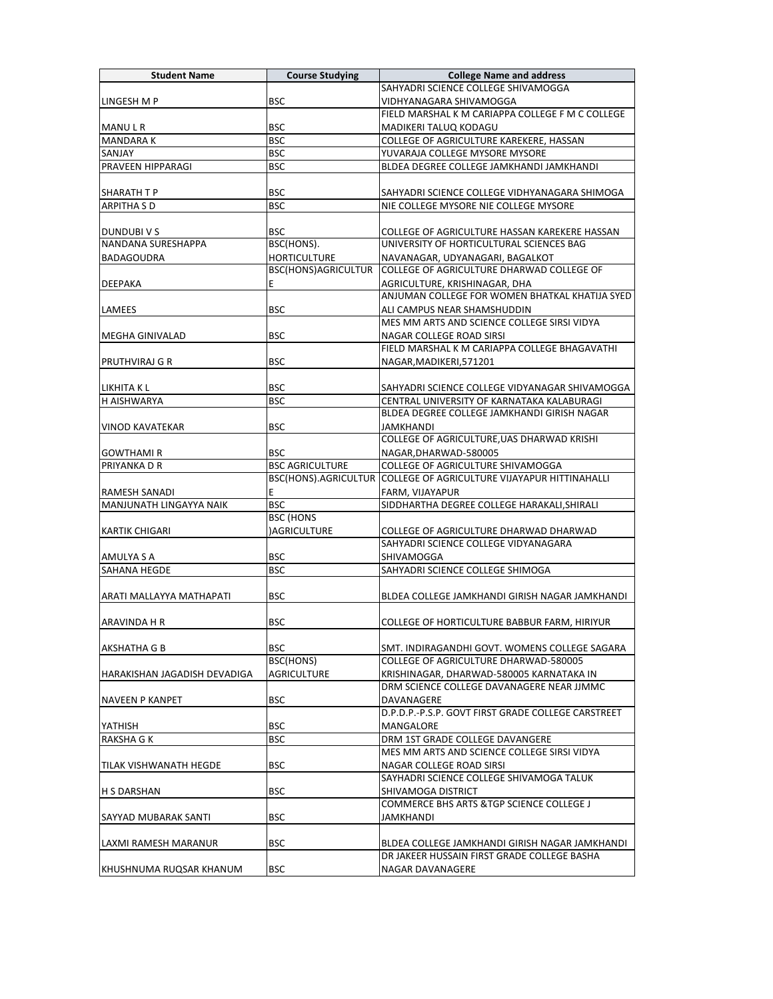| SAHYADRI SCIENCE COLLEGE SHIVAMOGGA<br><b>BSC</b><br>LINGESH M P<br>VIDHYANAGARA SHIVAMOGGA<br>FIELD MARSHAL K M CARIAPPA COLLEGE F M C COLLEGE<br><b>BSC</b><br>MADIKERI TALUQ KODAGU<br>MANU L R<br><b>BSC</b><br><b>MANDARAK</b><br>COLLEGE OF AGRICULTURE KAREKERE, HASSAN<br>SANJAY<br><b>BSC</b><br>YUVARAJA COLLEGE MYSORE MYSORE<br>PRAVEEN HIPPARAGI<br><b>BSC</b><br>BLDEA DEGREE COLLEGE JAMKHANDI JAMKHANDI<br><b>BSC</b><br><b>SHARATH T P</b><br>SAHYADRI SCIENCE COLLEGE VIDHYANAGARA SHIMOGA<br><b>BSC</b><br><b>ARPITHA S D</b><br>NIE COLLEGE MYSORE NIE COLLEGE MYSORE<br><b>BSC</b><br>DUNDUBI V S<br>COLLEGE OF AGRICULTURE HASSAN KAREKERE HASSAN<br><b>NANDANA SURESHAPPA</b><br>BSC(HONS).<br>UNIVERSITY OF HORTICULTURAL SCIENCES BAG<br><b>HORTICULTURE</b><br><b>BADAGOUDRA</b><br>NAVANAGAR, UDYANAGARI, BAGALKOT<br>BSC(HONS)AGRICULTUR<br>COLLEGE OF AGRICULTURE DHARWAD COLLEGE OF<br>E<br>AGRICULTURE, KRISHINAGAR, DHA<br><b>DEEPAKA</b><br>ANJUMAN COLLEGE FOR WOMEN BHATKAL KHATIJA SYED<br><b>BSC</b><br>ALI CAMPUS NEAR SHAMSHUDDIN<br>LAMEES<br>MES MM ARTS AND SCIENCE COLLEGE SIRSI VIDYA<br><b>MEGHA GINIVALAD</b><br><b>BSC</b><br>NAGAR COLLEGE ROAD SIRSI<br>FIELD MARSHAL K M CARIAPPA COLLEGE BHAGAVATHI<br><b>BSC</b><br><b>PRUTHVIRAJ G R</b><br>NAGAR, MADIKERI, 571201<br><b>BSC</b><br>LIKHITA K L<br>SAHYADRI SCIENCE COLLEGE VIDYANAGAR SHIVAMOGGA<br><b>H AISHWARYA</b><br>BSC<br>CENTRAL UNIVERSITY OF KARNATAKA KALABURAGI<br>BLDEA DEGREE COLLEGE JAMKHANDI GIRISH NAGAR<br><b>BSC</b><br><b>VINOD KAVATEKAR</b><br>JAMKHANDI<br>COLLEGE OF AGRICULTURE, UAS DHARWAD KRISHI<br><b>BSC</b><br>NAGAR, DHARWAD-580005<br><b>GOWTHAMIR</b><br><b>BSC AGRICULTURE</b><br>COLLEGE OF AGRICULTURE SHIVAMOGGA<br>PRIYANKA D R<br>BSC(HONS).AGRICULTUR COLLEGE OF AGRICULTURE VIJAYAPUR HITTINAHALLI<br>E<br>FARM, VIJAYAPUR<br>RAMESH SANADI<br>MANJUNATH LINGAYYA NAIK<br><b>BSC</b><br>SIDDHARTHA DEGREE COLLEGE HARAKALI, SHIRALI<br><b>BSC (HONS</b><br>)AGRICULTURE<br><b>KARTIK CHIGARI</b><br>COLLEGE OF AGRICULTURE DHARWAD DHARWAD<br>SAHYADRI SCIENCE COLLEGE VIDYANAGARA<br><b>BSC</b><br>SHIVAMOGGA<br>AMULYA S A<br><b>SAHANA HEGDE</b><br><b>BSC</b><br>SAHYADRI SCIENCE COLLEGE SHIMOGA<br><b>BSC</b><br>ARATI MALLAYYA MATHAPATI<br>BLDEA COLLEGE JAMKHANDI GIRISH NAGAR JAMKHANDI<br><b>BSC</b><br>ARAVINDA H R<br>COLLEGE OF HORTICULTURE BABBUR FARM, HIRIYUR<br><b>BSC</b><br>SMT. INDIRAGANDHI GOVT. WOMENS COLLEGE SAGARA<br>AKSHATHA G B<br>BSC(HONS)<br>COLLEGE OF AGRICULTURE DHARWAD-580005<br><b>AGRICULTURE</b><br>HARAKISHAN JAGADISH DEVADIGA<br>KRISHINAGAR, DHARWAD-580005 KARNATAKA IN<br>DRM SCIENCE COLLEGE DAVANAGERE NEAR JJMMC<br><b>BSC</b><br>DAVANAGERE<br><b>NAVEEN P KANPET</b><br>D.P.D.P.-P.S.P. GOVT FIRST GRADE COLLEGE CARSTREET<br><b>BSC</b><br>MANGALORE<br>YATHISH<br><b>BSC</b><br><b>RAKSHA G K</b><br>DRM 1ST GRADE COLLEGE DAVANGERE<br>MES MM ARTS AND SCIENCE COLLEGE SIRSI VIDYA<br><b>BSC</b><br>NAGAR COLLEGE ROAD SIRSI<br>TILAK VISHWANATH HEGDE<br>SAYHADRI SCIENCE COLLEGE SHIVAMOGA TALUK<br><b>BSC</b><br><b>H S DARSHAN</b><br>SHIVAMOGA DISTRICT<br><b>COMMERCE BHS ARTS &amp; TGP SCIENCE COLLEGE J</b><br><b>BSC</b><br>JAMKHANDI<br>SAYYAD MUBARAK SANTI<br>LAXMI RAMESH MARANUR<br><b>BSC</b><br>BLDEA COLLEGE JAMKHANDI GIRISH NAGAR JAMKHANDI<br>DR JAKEER HUSSAIN FIRST GRADE COLLEGE BASHA<br><b>BSC</b><br>NAGAR DAVANAGERE<br>KHUSHNUMA RUQSAR KHANUM | <b>Student Name</b> | <b>Course Studying</b> | <b>College Name and address</b> |
|---------------------------------------------------------------------------------------------------------------------------------------------------------------------------------------------------------------------------------------------------------------------------------------------------------------------------------------------------------------------------------------------------------------------------------------------------------------------------------------------------------------------------------------------------------------------------------------------------------------------------------------------------------------------------------------------------------------------------------------------------------------------------------------------------------------------------------------------------------------------------------------------------------------------------------------------------------------------------------------------------------------------------------------------------------------------------------------------------------------------------------------------------------------------------------------------------------------------------------------------------------------------------------------------------------------------------------------------------------------------------------------------------------------------------------------------------------------------------------------------------------------------------------------------------------------------------------------------------------------------------------------------------------------------------------------------------------------------------------------------------------------------------------------------------------------------------------------------------------------------------------------------------------------------------------------------------------------------------------------------------------------------------------------------------------------------------------------------------------------------------------------------------------------------------------------------------------------------------------------------------------------------------------------------------------------------------------------------------------------------------------------------------------------------------------------------------------------------------------------------------------------------------------------------------------------------------------------------------------------------------------------------------------------------------------------------------------------------------------------------------------------------------------------------------------------------------------------------------------------------------------------------------------------------------------------------------------------------------------------------------------------------------------------------------------------------------------------------------------------------------------------------------------------------------------------------------------------------------------------------------------------------------------------------------------------------------------------------------------------------------------------------------------------------------------------------------------------------------------------|---------------------|------------------------|---------------------------------|
|                                                                                                                                                                                                                                                                                                                                                                                                                                                                                                                                                                                                                                                                                                                                                                                                                                                                                                                                                                                                                                                                                                                                                                                                                                                                                                                                                                                                                                                                                                                                                                                                                                                                                                                                                                                                                                                                                                                                                                                                                                                                                                                                                                                                                                                                                                                                                                                                                                                                                                                                                                                                                                                                                                                                                                                                                                                                                                                                                                                                                                                                                                                                                                                                                                                                                                                                                                                                                                                                                       |                     |                        |                                 |
|                                                                                                                                                                                                                                                                                                                                                                                                                                                                                                                                                                                                                                                                                                                                                                                                                                                                                                                                                                                                                                                                                                                                                                                                                                                                                                                                                                                                                                                                                                                                                                                                                                                                                                                                                                                                                                                                                                                                                                                                                                                                                                                                                                                                                                                                                                                                                                                                                                                                                                                                                                                                                                                                                                                                                                                                                                                                                                                                                                                                                                                                                                                                                                                                                                                                                                                                                                                                                                                                                       |                     |                        |                                 |
|                                                                                                                                                                                                                                                                                                                                                                                                                                                                                                                                                                                                                                                                                                                                                                                                                                                                                                                                                                                                                                                                                                                                                                                                                                                                                                                                                                                                                                                                                                                                                                                                                                                                                                                                                                                                                                                                                                                                                                                                                                                                                                                                                                                                                                                                                                                                                                                                                                                                                                                                                                                                                                                                                                                                                                                                                                                                                                                                                                                                                                                                                                                                                                                                                                                                                                                                                                                                                                                                                       |                     |                        |                                 |
|                                                                                                                                                                                                                                                                                                                                                                                                                                                                                                                                                                                                                                                                                                                                                                                                                                                                                                                                                                                                                                                                                                                                                                                                                                                                                                                                                                                                                                                                                                                                                                                                                                                                                                                                                                                                                                                                                                                                                                                                                                                                                                                                                                                                                                                                                                                                                                                                                                                                                                                                                                                                                                                                                                                                                                                                                                                                                                                                                                                                                                                                                                                                                                                                                                                                                                                                                                                                                                                                                       |                     |                        |                                 |
|                                                                                                                                                                                                                                                                                                                                                                                                                                                                                                                                                                                                                                                                                                                                                                                                                                                                                                                                                                                                                                                                                                                                                                                                                                                                                                                                                                                                                                                                                                                                                                                                                                                                                                                                                                                                                                                                                                                                                                                                                                                                                                                                                                                                                                                                                                                                                                                                                                                                                                                                                                                                                                                                                                                                                                                                                                                                                                                                                                                                                                                                                                                                                                                                                                                                                                                                                                                                                                                                                       |                     |                        |                                 |
|                                                                                                                                                                                                                                                                                                                                                                                                                                                                                                                                                                                                                                                                                                                                                                                                                                                                                                                                                                                                                                                                                                                                                                                                                                                                                                                                                                                                                                                                                                                                                                                                                                                                                                                                                                                                                                                                                                                                                                                                                                                                                                                                                                                                                                                                                                                                                                                                                                                                                                                                                                                                                                                                                                                                                                                                                                                                                                                                                                                                                                                                                                                                                                                                                                                                                                                                                                                                                                                                                       |                     |                        |                                 |
|                                                                                                                                                                                                                                                                                                                                                                                                                                                                                                                                                                                                                                                                                                                                                                                                                                                                                                                                                                                                                                                                                                                                                                                                                                                                                                                                                                                                                                                                                                                                                                                                                                                                                                                                                                                                                                                                                                                                                                                                                                                                                                                                                                                                                                                                                                                                                                                                                                                                                                                                                                                                                                                                                                                                                                                                                                                                                                                                                                                                                                                                                                                                                                                                                                                                                                                                                                                                                                                                                       |                     |                        |                                 |
|                                                                                                                                                                                                                                                                                                                                                                                                                                                                                                                                                                                                                                                                                                                                                                                                                                                                                                                                                                                                                                                                                                                                                                                                                                                                                                                                                                                                                                                                                                                                                                                                                                                                                                                                                                                                                                                                                                                                                                                                                                                                                                                                                                                                                                                                                                                                                                                                                                                                                                                                                                                                                                                                                                                                                                                                                                                                                                                                                                                                                                                                                                                                                                                                                                                                                                                                                                                                                                                                                       |                     |                        |                                 |
|                                                                                                                                                                                                                                                                                                                                                                                                                                                                                                                                                                                                                                                                                                                                                                                                                                                                                                                                                                                                                                                                                                                                                                                                                                                                                                                                                                                                                                                                                                                                                                                                                                                                                                                                                                                                                                                                                                                                                                                                                                                                                                                                                                                                                                                                                                                                                                                                                                                                                                                                                                                                                                                                                                                                                                                                                                                                                                                                                                                                                                                                                                                                                                                                                                                                                                                                                                                                                                                                                       |                     |                        |                                 |
|                                                                                                                                                                                                                                                                                                                                                                                                                                                                                                                                                                                                                                                                                                                                                                                                                                                                                                                                                                                                                                                                                                                                                                                                                                                                                                                                                                                                                                                                                                                                                                                                                                                                                                                                                                                                                                                                                                                                                                                                                                                                                                                                                                                                                                                                                                                                                                                                                                                                                                                                                                                                                                                                                                                                                                                                                                                                                                                                                                                                                                                                                                                                                                                                                                                                                                                                                                                                                                                                                       |                     |                        |                                 |
|                                                                                                                                                                                                                                                                                                                                                                                                                                                                                                                                                                                                                                                                                                                                                                                                                                                                                                                                                                                                                                                                                                                                                                                                                                                                                                                                                                                                                                                                                                                                                                                                                                                                                                                                                                                                                                                                                                                                                                                                                                                                                                                                                                                                                                                                                                                                                                                                                                                                                                                                                                                                                                                                                                                                                                                                                                                                                                                                                                                                                                                                                                                                                                                                                                                                                                                                                                                                                                                                                       |                     |                        |                                 |
|                                                                                                                                                                                                                                                                                                                                                                                                                                                                                                                                                                                                                                                                                                                                                                                                                                                                                                                                                                                                                                                                                                                                                                                                                                                                                                                                                                                                                                                                                                                                                                                                                                                                                                                                                                                                                                                                                                                                                                                                                                                                                                                                                                                                                                                                                                                                                                                                                                                                                                                                                                                                                                                                                                                                                                                                                                                                                                                                                                                                                                                                                                                                                                                                                                                                                                                                                                                                                                                                                       |                     |                        |                                 |
|                                                                                                                                                                                                                                                                                                                                                                                                                                                                                                                                                                                                                                                                                                                                                                                                                                                                                                                                                                                                                                                                                                                                                                                                                                                                                                                                                                                                                                                                                                                                                                                                                                                                                                                                                                                                                                                                                                                                                                                                                                                                                                                                                                                                                                                                                                                                                                                                                                                                                                                                                                                                                                                                                                                                                                                                                                                                                                                                                                                                                                                                                                                                                                                                                                                                                                                                                                                                                                                                                       |                     |                        |                                 |
|                                                                                                                                                                                                                                                                                                                                                                                                                                                                                                                                                                                                                                                                                                                                                                                                                                                                                                                                                                                                                                                                                                                                                                                                                                                                                                                                                                                                                                                                                                                                                                                                                                                                                                                                                                                                                                                                                                                                                                                                                                                                                                                                                                                                                                                                                                                                                                                                                                                                                                                                                                                                                                                                                                                                                                                                                                                                                                                                                                                                                                                                                                                                                                                                                                                                                                                                                                                                                                                                                       |                     |                        |                                 |
|                                                                                                                                                                                                                                                                                                                                                                                                                                                                                                                                                                                                                                                                                                                                                                                                                                                                                                                                                                                                                                                                                                                                                                                                                                                                                                                                                                                                                                                                                                                                                                                                                                                                                                                                                                                                                                                                                                                                                                                                                                                                                                                                                                                                                                                                                                                                                                                                                                                                                                                                                                                                                                                                                                                                                                                                                                                                                                                                                                                                                                                                                                                                                                                                                                                                                                                                                                                                                                                                                       |                     |                        |                                 |
|                                                                                                                                                                                                                                                                                                                                                                                                                                                                                                                                                                                                                                                                                                                                                                                                                                                                                                                                                                                                                                                                                                                                                                                                                                                                                                                                                                                                                                                                                                                                                                                                                                                                                                                                                                                                                                                                                                                                                                                                                                                                                                                                                                                                                                                                                                                                                                                                                                                                                                                                                                                                                                                                                                                                                                                                                                                                                                                                                                                                                                                                                                                                                                                                                                                                                                                                                                                                                                                                                       |                     |                        |                                 |
|                                                                                                                                                                                                                                                                                                                                                                                                                                                                                                                                                                                                                                                                                                                                                                                                                                                                                                                                                                                                                                                                                                                                                                                                                                                                                                                                                                                                                                                                                                                                                                                                                                                                                                                                                                                                                                                                                                                                                                                                                                                                                                                                                                                                                                                                                                                                                                                                                                                                                                                                                                                                                                                                                                                                                                                                                                                                                                                                                                                                                                                                                                                                                                                                                                                                                                                                                                                                                                                                                       |                     |                        |                                 |
|                                                                                                                                                                                                                                                                                                                                                                                                                                                                                                                                                                                                                                                                                                                                                                                                                                                                                                                                                                                                                                                                                                                                                                                                                                                                                                                                                                                                                                                                                                                                                                                                                                                                                                                                                                                                                                                                                                                                                                                                                                                                                                                                                                                                                                                                                                                                                                                                                                                                                                                                                                                                                                                                                                                                                                                                                                                                                                                                                                                                                                                                                                                                                                                                                                                                                                                                                                                                                                                                                       |                     |                        |                                 |
|                                                                                                                                                                                                                                                                                                                                                                                                                                                                                                                                                                                                                                                                                                                                                                                                                                                                                                                                                                                                                                                                                                                                                                                                                                                                                                                                                                                                                                                                                                                                                                                                                                                                                                                                                                                                                                                                                                                                                                                                                                                                                                                                                                                                                                                                                                                                                                                                                                                                                                                                                                                                                                                                                                                                                                                                                                                                                                                                                                                                                                                                                                                                                                                                                                                                                                                                                                                                                                                                                       |                     |                        |                                 |
|                                                                                                                                                                                                                                                                                                                                                                                                                                                                                                                                                                                                                                                                                                                                                                                                                                                                                                                                                                                                                                                                                                                                                                                                                                                                                                                                                                                                                                                                                                                                                                                                                                                                                                                                                                                                                                                                                                                                                                                                                                                                                                                                                                                                                                                                                                                                                                                                                                                                                                                                                                                                                                                                                                                                                                                                                                                                                                                                                                                                                                                                                                                                                                                                                                                                                                                                                                                                                                                                                       |                     |                        |                                 |
|                                                                                                                                                                                                                                                                                                                                                                                                                                                                                                                                                                                                                                                                                                                                                                                                                                                                                                                                                                                                                                                                                                                                                                                                                                                                                                                                                                                                                                                                                                                                                                                                                                                                                                                                                                                                                                                                                                                                                                                                                                                                                                                                                                                                                                                                                                                                                                                                                                                                                                                                                                                                                                                                                                                                                                                                                                                                                                                                                                                                                                                                                                                                                                                                                                                                                                                                                                                                                                                                                       |                     |                        |                                 |
|                                                                                                                                                                                                                                                                                                                                                                                                                                                                                                                                                                                                                                                                                                                                                                                                                                                                                                                                                                                                                                                                                                                                                                                                                                                                                                                                                                                                                                                                                                                                                                                                                                                                                                                                                                                                                                                                                                                                                                                                                                                                                                                                                                                                                                                                                                                                                                                                                                                                                                                                                                                                                                                                                                                                                                                                                                                                                                                                                                                                                                                                                                                                                                                                                                                                                                                                                                                                                                                                                       |                     |                        |                                 |
|                                                                                                                                                                                                                                                                                                                                                                                                                                                                                                                                                                                                                                                                                                                                                                                                                                                                                                                                                                                                                                                                                                                                                                                                                                                                                                                                                                                                                                                                                                                                                                                                                                                                                                                                                                                                                                                                                                                                                                                                                                                                                                                                                                                                                                                                                                                                                                                                                                                                                                                                                                                                                                                                                                                                                                                                                                                                                                                                                                                                                                                                                                                                                                                                                                                                                                                                                                                                                                                                                       |                     |                        |                                 |
|                                                                                                                                                                                                                                                                                                                                                                                                                                                                                                                                                                                                                                                                                                                                                                                                                                                                                                                                                                                                                                                                                                                                                                                                                                                                                                                                                                                                                                                                                                                                                                                                                                                                                                                                                                                                                                                                                                                                                                                                                                                                                                                                                                                                                                                                                                                                                                                                                                                                                                                                                                                                                                                                                                                                                                                                                                                                                                                                                                                                                                                                                                                                                                                                                                                                                                                                                                                                                                                                                       |                     |                        |                                 |
|                                                                                                                                                                                                                                                                                                                                                                                                                                                                                                                                                                                                                                                                                                                                                                                                                                                                                                                                                                                                                                                                                                                                                                                                                                                                                                                                                                                                                                                                                                                                                                                                                                                                                                                                                                                                                                                                                                                                                                                                                                                                                                                                                                                                                                                                                                                                                                                                                                                                                                                                                                                                                                                                                                                                                                                                                                                                                                                                                                                                                                                                                                                                                                                                                                                                                                                                                                                                                                                                                       |                     |                        |                                 |
|                                                                                                                                                                                                                                                                                                                                                                                                                                                                                                                                                                                                                                                                                                                                                                                                                                                                                                                                                                                                                                                                                                                                                                                                                                                                                                                                                                                                                                                                                                                                                                                                                                                                                                                                                                                                                                                                                                                                                                                                                                                                                                                                                                                                                                                                                                                                                                                                                                                                                                                                                                                                                                                                                                                                                                                                                                                                                                                                                                                                                                                                                                                                                                                                                                                                                                                                                                                                                                                                                       |                     |                        |                                 |
|                                                                                                                                                                                                                                                                                                                                                                                                                                                                                                                                                                                                                                                                                                                                                                                                                                                                                                                                                                                                                                                                                                                                                                                                                                                                                                                                                                                                                                                                                                                                                                                                                                                                                                                                                                                                                                                                                                                                                                                                                                                                                                                                                                                                                                                                                                                                                                                                                                                                                                                                                                                                                                                                                                                                                                                                                                                                                                                                                                                                                                                                                                                                                                                                                                                                                                                                                                                                                                                                                       |                     |                        |                                 |
|                                                                                                                                                                                                                                                                                                                                                                                                                                                                                                                                                                                                                                                                                                                                                                                                                                                                                                                                                                                                                                                                                                                                                                                                                                                                                                                                                                                                                                                                                                                                                                                                                                                                                                                                                                                                                                                                                                                                                                                                                                                                                                                                                                                                                                                                                                                                                                                                                                                                                                                                                                                                                                                                                                                                                                                                                                                                                                                                                                                                                                                                                                                                                                                                                                                                                                                                                                                                                                                                                       |                     |                        |                                 |
|                                                                                                                                                                                                                                                                                                                                                                                                                                                                                                                                                                                                                                                                                                                                                                                                                                                                                                                                                                                                                                                                                                                                                                                                                                                                                                                                                                                                                                                                                                                                                                                                                                                                                                                                                                                                                                                                                                                                                                                                                                                                                                                                                                                                                                                                                                                                                                                                                                                                                                                                                                                                                                                                                                                                                                                                                                                                                                                                                                                                                                                                                                                                                                                                                                                                                                                                                                                                                                                                                       |                     |                        |                                 |
|                                                                                                                                                                                                                                                                                                                                                                                                                                                                                                                                                                                                                                                                                                                                                                                                                                                                                                                                                                                                                                                                                                                                                                                                                                                                                                                                                                                                                                                                                                                                                                                                                                                                                                                                                                                                                                                                                                                                                                                                                                                                                                                                                                                                                                                                                                                                                                                                                                                                                                                                                                                                                                                                                                                                                                                                                                                                                                                                                                                                                                                                                                                                                                                                                                                                                                                                                                                                                                                                                       |                     |                        |                                 |
|                                                                                                                                                                                                                                                                                                                                                                                                                                                                                                                                                                                                                                                                                                                                                                                                                                                                                                                                                                                                                                                                                                                                                                                                                                                                                                                                                                                                                                                                                                                                                                                                                                                                                                                                                                                                                                                                                                                                                                                                                                                                                                                                                                                                                                                                                                                                                                                                                                                                                                                                                                                                                                                                                                                                                                                                                                                                                                                                                                                                                                                                                                                                                                                                                                                                                                                                                                                                                                                                                       |                     |                        |                                 |
|                                                                                                                                                                                                                                                                                                                                                                                                                                                                                                                                                                                                                                                                                                                                                                                                                                                                                                                                                                                                                                                                                                                                                                                                                                                                                                                                                                                                                                                                                                                                                                                                                                                                                                                                                                                                                                                                                                                                                                                                                                                                                                                                                                                                                                                                                                                                                                                                                                                                                                                                                                                                                                                                                                                                                                                                                                                                                                                                                                                                                                                                                                                                                                                                                                                                                                                                                                                                                                                                                       |                     |                        |                                 |
|                                                                                                                                                                                                                                                                                                                                                                                                                                                                                                                                                                                                                                                                                                                                                                                                                                                                                                                                                                                                                                                                                                                                                                                                                                                                                                                                                                                                                                                                                                                                                                                                                                                                                                                                                                                                                                                                                                                                                                                                                                                                                                                                                                                                                                                                                                                                                                                                                                                                                                                                                                                                                                                                                                                                                                                                                                                                                                                                                                                                                                                                                                                                                                                                                                                                                                                                                                                                                                                                                       |                     |                        |                                 |
|                                                                                                                                                                                                                                                                                                                                                                                                                                                                                                                                                                                                                                                                                                                                                                                                                                                                                                                                                                                                                                                                                                                                                                                                                                                                                                                                                                                                                                                                                                                                                                                                                                                                                                                                                                                                                                                                                                                                                                                                                                                                                                                                                                                                                                                                                                                                                                                                                                                                                                                                                                                                                                                                                                                                                                                                                                                                                                                                                                                                                                                                                                                                                                                                                                                                                                                                                                                                                                                                                       |                     |                        |                                 |
|                                                                                                                                                                                                                                                                                                                                                                                                                                                                                                                                                                                                                                                                                                                                                                                                                                                                                                                                                                                                                                                                                                                                                                                                                                                                                                                                                                                                                                                                                                                                                                                                                                                                                                                                                                                                                                                                                                                                                                                                                                                                                                                                                                                                                                                                                                                                                                                                                                                                                                                                                                                                                                                                                                                                                                                                                                                                                                                                                                                                                                                                                                                                                                                                                                                                                                                                                                                                                                                                                       |                     |                        |                                 |
|                                                                                                                                                                                                                                                                                                                                                                                                                                                                                                                                                                                                                                                                                                                                                                                                                                                                                                                                                                                                                                                                                                                                                                                                                                                                                                                                                                                                                                                                                                                                                                                                                                                                                                                                                                                                                                                                                                                                                                                                                                                                                                                                                                                                                                                                                                                                                                                                                                                                                                                                                                                                                                                                                                                                                                                                                                                                                                                                                                                                                                                                                                                                                                                                                                                                                                                                                                                                                                                                                       |                     |                        |                                 |
|                                                                                                                                                                                                                                                                                                                                                                                                                                                                                                                                                                                                                                                                                                                                                                                                                                                                                                                                                                                                                                                                                                                                                                                                                                                                                                                                                                                                                                                                                                                                                                                                                                                                                                                                                                                                                                                                                                                                                                                                                                                                                                                                                                                                                                                                                                                                                                                                                                                                                                                                                                                                                                                                                                                                                                                                                                                                                                                                                                                                                                                                                                                                                                                                                                                                                                                                                                                                                                                                                       |                     |                        |                                 |
|                                                                                                                                                                                                                                                                                                                                                                                                                                                                                                                                                                                                                                                                                                                                                                                                                                                                                                                                                                                                                                                                                                                                                                                                                                                                                                                                                                                                                                                                                                                                                                                                                                                                                                                                                                                                                                                                                                                                                                                                                                                                                                                                                                                                                                                                                                                                                                                                                                                                                                                                                                                                                                                                                                                                                                                                                                                                                                                                                                                                                                                                                                                                                                                                                                                                                                                                                                                                                                                                                       |                     |                        |                                 |
|                                                                                                                                                                                                                                                                                                                                                                                                                                                                                                                                                                                                                                                                                                                                                                                                                                                                                                                                                                                                                                                                                                                                                                                                                                                                                                                                                                                                                                                                                                                                                                                                                                                                                                                                                                                                                                                                                                                                                                                                                                                                                                                                                                                                                                                                                                                                                                                                                                                                                                                                                                                                                                                                                                                                                                                                                                                                                                                                                                                                                                                                                                                                                                                                                                                                                                                                                                                                                                                                                       |                     |                        |                                 |
|                                                                                                                                                                                                                                                                                                                                                                                                                                                                                                                                                                                                                                                                                                                                                                                                                                                                                                                                                                                                                                                                                                                                                                                                                                                                                                                                                                                                                                                                                                                                                                                                                                                                                                                                                                                                                                                                                                                                                                                                                                                                                                                                                                                                                                                                                                                                                                                                                                                                                                                                                                                                                                                                                                                                                                                                                                                                                                                                                                                                                                                                                                                                                                                                                                                                                                                                                                                                                                                                                       |                     |                        |                                 |
|                                                                                                                                                                                                                                                                                                                                                                                                                                                                                                                                                                                                                                                                                                                                                                                                                                                                                                                                                                                                                                                                                                                                                                                                                                                                                                                                                                                                                                                                                                                                                                                                                                                                                                                                                                                                                                                                                                                                                                                                                                                                                                                                                                                                                                                                                                                                                                                                                                                                                                                                                                                                                                                                                                                                                                                                                                                                                                                                                                                                                                                                                                                                                                                                                                                                                                                                                                                                                                                                                       |                     |                        |                                 |
|                                                                                                                                                                                                                                                                                                                                                                                                                                                                                                                                                                                                                                                                                                                                                                                                                                                                                                                                                                                                                                                                                                                                                                                                                                                                                                                                                                                                                                                                                                                                                                                                                                                                                                                                                                                                                                                                                                                                                                                                                                                                                                                                                                                                                                                                                                                                                                                                                                                                                                                                                                                                                                                                                                                                                                                                                                                                                                                                                                                                                                                                                                                                                                                                                                                                                                                                                                                                                                                                                       |                     |                        |                                 |
|                                                                                                                                                                                                                                                                                                                                                                                                                                                                                                                                                                                                                                                                                                                                                                                                                                                                                                                                                                                                                                                                                                                                                                                                                                                                                                                                                                                                                                                                                                                                                                                                                                                                                                                                                                                                                                                                                                                                                                                                                                                                                                                                                                                                                                                                                                                                                                                                                                                                                                                                                                                                                                                                                                                                                                                                                                                                                                                                                                                                                                                                                                                                                                                                                                                                                                                                                                                                                                                                                       |                     |                        |                                 |
|                                                                                                                                                                                                                                                                                                                                                                                                                                                                                                                                                                                                                                                                                                                                                                                                                                                                                                                                                                                                                                                                                                                                                                                                                                                                                                                                                                                                                                                                                                                                                                                                                                                                                                                                                                                                                                                                                                                                                                                                                                                                                                                                                                                                                                                                                                                                                                                                                                                                                                                                                                                                                                                                                                                                                                                                                                                                                                                                                                                                                                                                                                                                                                                                                                                                                                                                                                                                                                                                                       |                     |                        |                                 |
|                                                                                                                                                                                                                                                                                                                                                                                                                                                                                                                                                                                                                                                                                                                                                                                                                                                                                                                                                                                                                                                                                                                                                                                                                                                                                                                                                                                                                                                                                                                                                                                                                                                                                                                                                                                                                                                                                                                                                                                                                                                                                                                                                                                                                                                                                                                                                                                                                                                                                                                                                                                                                                                                                                                                                                                                                                                                                                                                                                                                                                                                                                                                                                                                                                                                                                                                                                                                                                                                                       |                     |                        |                                 |
|                                                                                                                                                                                                                                                                                                                                                                                                                                                                                                                                                                                                                                                                                                                                                                                                                                                                                                                                                                                                                                                                                                                                                                                                                                                                                                                                                                                                                                                                                                                                                                                                                                                                                                                                                                                                                                                                                                                                                                                                                                                                                                                                                                                                                                                                                                                                                                                                                                                                                                                                                                                                                                                                                                                                                                                                                                                                                                                                                                                                                                                                                                                                                                                                                                                                                                                                                                                                                                                                                       |                     |                        |                                 |
|                                                                                                                                                                                                                                                                                                                                                                                                                                                                                                                                                                                                                                                                                                                                                                                                                                                                                                                                                                                                                                                                                                                                                                                                                                                                                                                                                                                                                                                                                                                                                                                                                                                                                                                                                                                                                                                                                                                                                                                                                                                                                                                                                                                                                                                                                                                                                                                                                                                                                                                                                                                                                                                                                                                                                                                                                                                                                                                                                                                                                                                                                                                                                                                                                                                                                                                                                                                                                                                                                       |                     |                        |                                 |
|                                                                                                                                                                                                                                                                                                                                                                                                                                                                                                                                                                                                                                                                                                                                                                                                                                                                                                                                                                                                                                                                                                                                                                                                                                                                                                                                                                                                                                                                                                                                                                                                                                                                                                                                                                                                                                                                                                                                                                                                                                                                                                                                                                                                                                                                                                                                                                                                                                                                                                                                                                                                                                                                                                                                                                                                                                                                                                                                                                                                                                                                                                                                                                                                                                                                                                                                                                                                                                                                                       |                     |                        |                                 |
|                                                                                                                                                                                                                                                                                                                                                                                                                                                                                                                                                                                                                                                                                                                                                                                                                                                                                                                                                                                                                                                                                                                                                                                                                                                                                                                                                                                                                                                                                                                                                                                                                                                                                                                                                                                                                                                                                                                                                                                                                                                                                                                                                                                                                                                                                                                                                                                                                                                                                                                                                                                                                                                                                                                                                                                                                                                                                                                                                                                                                                                                                                                                                                                                                                                                                                                                                                                                                                                                                       |                     |                        |                                 |
|                                                                                                                                                                                                                                                                                                                                                                                                                                                                                                                                                                                                                                                                                                                                                                                                                                                                                                                                                                                                                                                                                                                                                                                                                                                                                                                                                                                                                                                                                                                                                                                                                                                                                                                                                                                                                                                                                                                                                                                                                                                                                                                                                                                                                                                                                                                                                                                                                                                                                                                                                                                                                                                                                                                                                                                                                                                                                                                                                                                                                                                                                                                                                                                                                                                                                                                                                                                                                                                                                       |                     |                        |                                 |
|                                                                                                                                                                                                                                                                                                                                                                                                                                                                                                                                                                                                                                                                                                                                                                                                                                                                                                                                                                                                                                                                                                                                                                                                                                                                                                                                                                                                                                                                                                                                                                                                                                                                                                                                                                                                                                                                                                                                                                                                                                                                                                                                                                                                                                                                                                                                                                                                                                                                                                                                                                                                                                                                                                                                                                                                                                                                                                                                                                                                                                                                                                                                                                                                                                                                                                                                                                                                                                                                                       |                     |                        |                                 |
|                                                                                                                                                                                                                                                                                                                                                                                                                                                                                                                                                                                                                                                                                                                                                                                                                                                                                                                                                                                                                                                                                                                                                                                                                                                                                                                                                                                                                                                                                                                                                                                                                                                                                                                                                                                                                                                                                                                                                                                                                                                                                                                                                                                                                                                                                                                                                                                                                                                                                                                                                                                                                                                                                                                                                                                                                                                                                                                                                                                                                                                                                                                                                                                                                                                                                                                                                                                                                                                                                       |                     |                        |                                 |
|                                                                                                                                                                                                                                                                                                                                                                                                                                                                                                                                                                                                                                                                                                                                                                                                                                                                                                                                                                                                                                                                                                                                                                                                                                                                                                                                                                                                                                                                                                                                                                                                                                                                                                                                                                                                                                                                                                                                                                                                                                                                                                                                                                                                                                                                                                                                                                                                                                                                                                                                                                                                                                                                                                                                                                                                                                                                                                                                                                                                                                                                                                                                                                                                                                                                                                                                                                                                                                                                                       |                     |                        |                                 |
|                                                                                                                                                                                                                                                                                                                                                                                                                                                                                                                                                                                                                                                                                                                                                                                                                                                                                                                                                                                                                                                                                                                                                                                                                                                                                                                                                                                                                                                                                                                                                                                                                                                                                                                                                                                                                                                                                                                                                                                                                                                                                                                                                                                                                                                                                                                                                                                                                                                                                                                                                                                                                                                                                                                                                                                                                                                                                                                                                                                                                                                                                                                                                                                                                                                                                                                                                                                                                                                                                       |                     |                        |                                 |
|                                                                                                                                                                                                                                                                                                                                                                                                                                                                                                                                                                                                                                                                                                                                                                                                                                                                                                                                                                                                                                                                                                                                                                                                                                                                                                                                                                                                                                                                                                                                                                                                                                                                                                                                                                                                                                                                                                                                                                                                                                                                                                                                                                                                                                                                                                                                                                                                                                                                                                                                                                                                                                                                                                                                                                                                                                                                                                                                                                                                                                                                                                                                                                                                                                                                                                                                                                                                                                                                                       |                     |                        |                                 |
|                                                                                                                                                                                                                                                                                                                                                                                                                                                                                                                                                                                                                                                                                                                                                                                                                                                                                                                                                                                                                                                                                                                                                                                                                                                                                                                                                                                                                                                                                                                                                                                                                                                                                                                                                                                                                                                                                                                                                                                                                                                                                                                                                                                                                                                                                                                                                                                                                                                                                                                                                                                                                                                                                                                                                                                                                                                                                                                                                                                                                                                                                                                                                                                                                                                                                                                                                                                                                                                                                       |                     |                        |                                 |
|                                                                                                                                                                                                                                                                                                                                                                                                                                                                                                                                                                                                                                                                                                                                                                                                                                                                                                                                                                                                                                                                                                                                                                                                                                                                                                                                                                                                                                                                                                                                                                                                                                                                                                                                                                                                                                                                                                                                                                                                                                                                                                                                                                                                                                                                                                                                                                                                                                                                                                                                                                                                                                                                                                                                                                                                                                                                                                                                                                                                                                                                                                                                                                                                                                                                                                                                                                                                                                                                                       |                     |                        |                                 |
|                                                                                                                                                                                                                                                                                                                                                                                                                                                                                                                                                                                                                                                                                                                                                                                                                                                                                                                                                                                                                                                                                                                                                                                                                                                                                                                                                                                                                                                                                                                                                                                                                                                                                                                                                                                                                                                                                                                                                                                                                                                                                                                                                                                                                                                                                                                                                                                                                                                                                                                                                                                                                                                                                                                                                                                                                                                                                                                                                                                                                                                                                                                                                                                                                                                                                                                                                                                                                                                                                       |                     |                        |                                 |
|                                                                                                                                                                                                                                                                                                                                                                                                                                                                                                                                                                                                                                                                                                                                                                                                                                                                                                                                                                                                                                                                                                                                                                                                                                                                                                                                                                                                                                                                                                                                                                                                                                                                                                                                                                                                                                                                                                                                                                                                                                                                                                                                                                                                                                                                                                                                                                                                                                                                                                                                                                                                                                                                                                                                                                                                                                                                                                                                                                                                                                                                                                                                                                                                                                                                                                                                                                                                                                                                                       |                     |                        |                                 |
|                                                                                                                                                                                                                                                                                                                                                                                                                                                                                                                                                                                                                                                                                                                                                                                                                                                                                                                                                                                                                                                                                                                                                                                                                                                                                                                                                                                                                                                                                                                                                                                                                                                                                                                                                                                                                                                                                                                                                                                                                                                                                                                                                                                                                                                                                                                                                                                                                                                                                                                                                                                                                                                                                                                                                                                                                                                                                                                                                                                                                                                                                                                                                                                                                                                                                                                                                                                                                                                                                       |                     |                        |                                 |
|                                                                                                                                                                                                                                                                                                                                                                                                                                                                                                                                                                                                                                                                                                                                                                                                                                                                                                                                                                                                                                                                                                                                                                                                                                                                                                                                                                                                                                                                                                                                                                                                                                                                                                                                                                                                                                                                                                                                                                                                                                                                                                                                                                                                                                                                                                                                                                                                                                                                                                                                                                                                                                                                                                                                                                                                                                                                                                                                                                                                                                                                                                                                                                                                                                                                                                                                                                                                                                                                                       |                     |                        |                                 |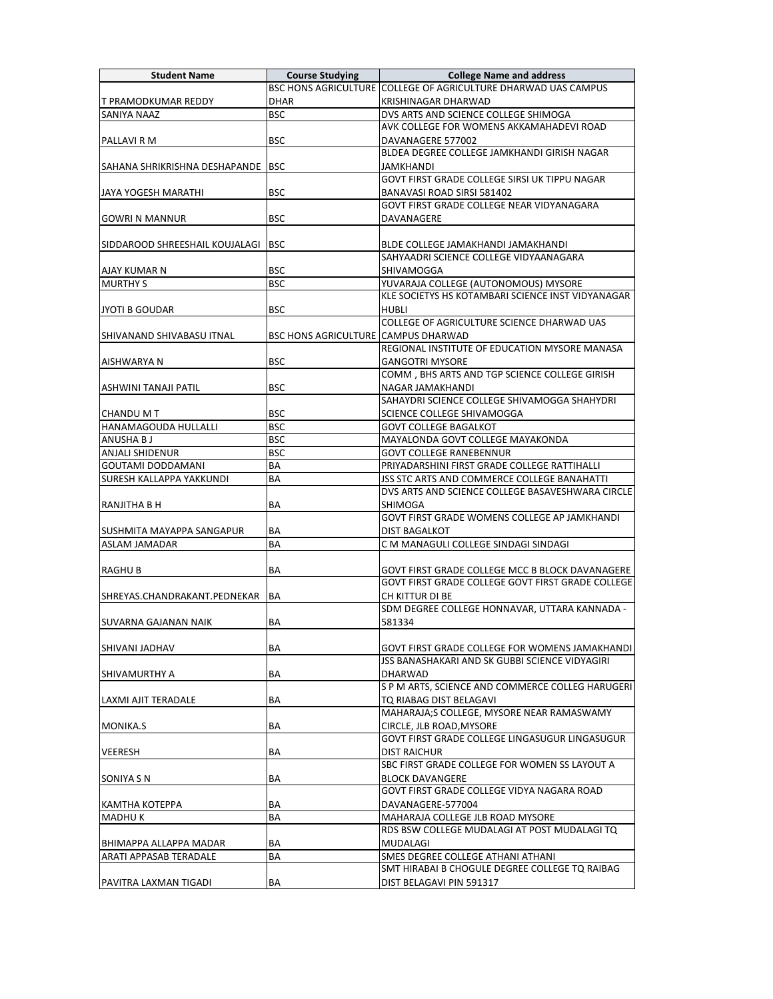| <b>Student Name</b>                                  | <b>Course Studying</b>              | <b>College Name and address</b>                                                                 |
|------------------------------------------------------|-------------------------------------|-------------------------------------------------------------------------------------------------|
|                                                      |                                     | BSC HONS AGRICULTURE COLLEGE OF AGRICULTURE DHARWAD UAS CAMPUS                                  |
| T PRAMODKUMAR REDDY                                  | <b>DHAR</b>                         | <b>KRISHINAGAR DHARWAD</b>                                                                      |
| <b>SANIYA NAAZ</b>                                   | <b>BSC</b>                          | DVS ARTS AND SCIENCE COLLEGE SHIMOGA                                                            |
|                                                      |                                     | AVK COLLEGE FOR WOMENS AKKAMAHADEVI ROAD                                                        |
| PALLAVI R M                                          | <b>BSC</b>                          | DAVANAGERE 577002                                                                               |
|                                                      |                                     | BLDEA DEGREE COLLEGE JAMKHANDI GIRISH NAGAR                                                     |
| SAHANA SHRIKRISHNA DESHAPANDE   BSC                  |                                     | JAMKHANDI                                                                                       |
|                                                      |                                     | GOVT FIRST GRADE COLLEGE SIRSI UK TIPPU NAGAR                                                   |
| JAYA YOGESH MARATHI                                  | <b>BSC</b>                          |                                                                                                 |
|                                                      |                                     | BANAVASI ROAD SIRSI 581402<br>GOVT FIRST GRADE COLLEGE NEAR VIDYANAGARA                         |
|                                                      |                                     |                                                                                                 |
| <b>GOWRI N MANNUR</b>                                | <b>BSC</b>                          | DAVANAGERE                                                                                      |
|                                                      |                                     |                                                                                                 |
| SIDDAROOD SHREESHAIL KOUJALAGI   BSC                 |                                     | BLDE COLLEGE JAMAKHANDI JAMAKHANDI                                                              |
|                                                      |                                     | SAHYAADRI SCIENCE COLLEGE VIDYAANAGARA                                                          |
| AJAY KUMAR N                                         | <b>BSC</b>                          | SHIVAMOGGA                                                                                      |
| <b>MURTHY S</b>                                      | <b>BSC</b>                          | YUVARAJA COLLEGE (AUTONOMOUS) MYSORE                                                            |
|                                                      |                                     | KLE SOCIETYS HS KOTAMBARI SCIENCE INST VIDYANAGAR                                               |
| JYOTI B GOUDAR                                       | <b>BSC</b>                          | HUBLI                                                                                           |
|                                                      |                                     | COLLEGE OF AGRICULTURE SCIENCE DHARWAD UAS                                                      |
| SHIVANAND SHIVABASU ITNAL                            | BSC HONS AGRICULTURE CAMPUS DHARWAD |                                                                                                 |
|                                                      |                                     | REGIONAL INSTITUTE OF EDUCATION MYSORE MANASA                                                   |
| AISHWARYA N                                          | <b>BSC</b>                          | <b>GANGOTRI MYSORE</b>                                                                          |
|                                                      |                                     | COMM, BHS ARTS AND TGP SCIENCE COLLEGE GIRISH                                                   |
| ASHWINI TANAJI PATIL                                 | <b>BSC</b>                          | NAGAR JAMAKHANDI                                                                                |
|                                                      |                                     | SAHAYDRI SCIENCE COLLEGE SHIVAMOGGA SHAHYDRI                                                    |
| <b>CHANDU M T</b>                                    | <b>BSC</b>                          | SCIENCE COLLEGE SHIVAMOGGA                                                                      |
| <b>HANAMAGOUDA HULLALLI</b>                          | <b>BSC</b>                          | <b>GOVT COLLEGE BAGALKOT</b>                                                                    |
| ANUSHA B J                                           | <b>BSC</b>                          | MAYALONDA GOVT COLLEGE MAYAKONDA                                                                |
| <b>ANJALI SHIDENUR</b>                               | <b>BSC</b>                          | <b>GOVT COLLEGE RANEBENNUR</b>                                                                  |
|                                                      |                                     |                                                                                                 |
| <b>GOUTAMI DODDAMANI</b><br>SURESH KALLAPPA YAKKUNDI | BA                                  | PRIYADARSHINI FIRST GRADE COLLEGE RATTIHALLI                                                    |
|                                                      | ΒA                                  | JSS STC ARTS AND COMMERCE COLLEGE BANAHATTI<br>DVS ARTS AND SCIENCE COLLEGE BASAVESHWARA CIRCLE |
|                                                      |                                     |                                                                                                 |
| RANJITHA B H                                         | ВA                                  | SHIMOGA<br>GOVT FIRST GRADE WOMENS COLLEGE AP JAMKHANDI                                         |
|                                                      |                                     |                                                                                                 |
| SUSHMITA MAYAPPA SANGAPUR                            | BA                                  | <b>DIST BAGALKOT</b>                                                                            |
| ASLAM JAMADAR                                        | ВA                                  | C M MANAGULI COLLEGE SINDAGI SINDAGI                                                            |
|                                                      |                                     |                                                                                                 |
| <b>RAGHUB</b>                                        | BA                                  | GOVT FIRST GRADE COLLEGE MCC B BLOCK DAVANAGERE                                                 |
|                                                      |                                     | GOVT FIRST GRADE COLLEGE GOVT FIRST GRADE COLLEGE                                               |
| SHREYAS.CHANDRAKANT.PEDNEKAR                         | BA                                  | CH KITTUR DI BE                                                                                 |
|                                                      |                                     | SDM DEGREE COLLEGE HONNAVAR, UTTARA KANNADA -                                                   |
| SUVARNA GAJANAN NAIK                                 | BA                                  | 581334                                                                                          |
|                                                      |                                     |                                                                                                 |
| <b>SHIVANI JADHAV</b>                                | BA                                  | GOVT FIRST GRADE COLLEGE FOR WOMENS JAMAKHANDI                                                  |
|                                                      |                                     | JSS BANASHAKARI AND SK GUBBI SCIENCE VIDYAGIRI                                                  |
| ISHIVAMURTHY A                                       | ΒA                                  | <b>DHARWAD</b>                                                                                  |
|                                                      |                                     | S P M ARTS, SCIENCE AND COMMERCE COLLEG HARUGERI                                                |
| LAXMI AJIT TERADALE                                  | BA                                  | TQ RIABAG DIST BELAGAVI                                                                         |
|                                                      |                                     | MAHARAJA;S COLLEGE, MYSORE NEAR RAMASWAMY                                                       |
| MONIKA.S                                             | BА                                  | CIRCLE, JLB ROAD, MYSORE                                                                        |
|                                                      |                                     | GOVT FIRST GRADE COLLEGE LINGASUGUR LINGASUGUR                                                  |
| <b>VEERESH</b>                                       | BA                                  | DIST RAICHUR                                                                                    |
|                                                      |                                     | SBC FIRST GRADE COLLEGE FOR WOMEN SS LAYOUT A                                                   |
| SONIYA S N                                           | BA                                  | <b>BLOCK DAVANGERE</b>                                                                          |
|                                                      |                                     | GOVT FIRST GRADE COLLEGE VIDYA NAGARA ROAD                                                      |
|                                                      |                                     | DAVANAGERE-577004                                                                               |
| KAMTHA KOTEPPA                                       | ВA                                  |                                                                                                 |
| <b>MADHUK</b>                                        | ΒA                                  | MAHARAJA COLLEGE JLB ROAD MYSORE                                                                |
|                                                      |                                     | RDS BSW COLLEGE MUDALAGI AT POST MUDALAGI TQ                                                    |
| BHIMAPPA ALLAPPA MADAR                               | ВA                                  | <b>MUDALAGI</b>                                                                                 |
| <b>ARATI APPASAB TERADALE</b>                        | ΒA                                  | SMES DEGREE COLLEGE ATHANI ATHANI                                                               |
|                                                      |                                     | SMT HIRABAI B CHOGULE DEGREE COLLEGE TO RAIBAG                                                  |
| PAVITRA LAXMAN TIGADI                                | ΒA                                  | DIST BELAGAVI PIN 591317                                                                        |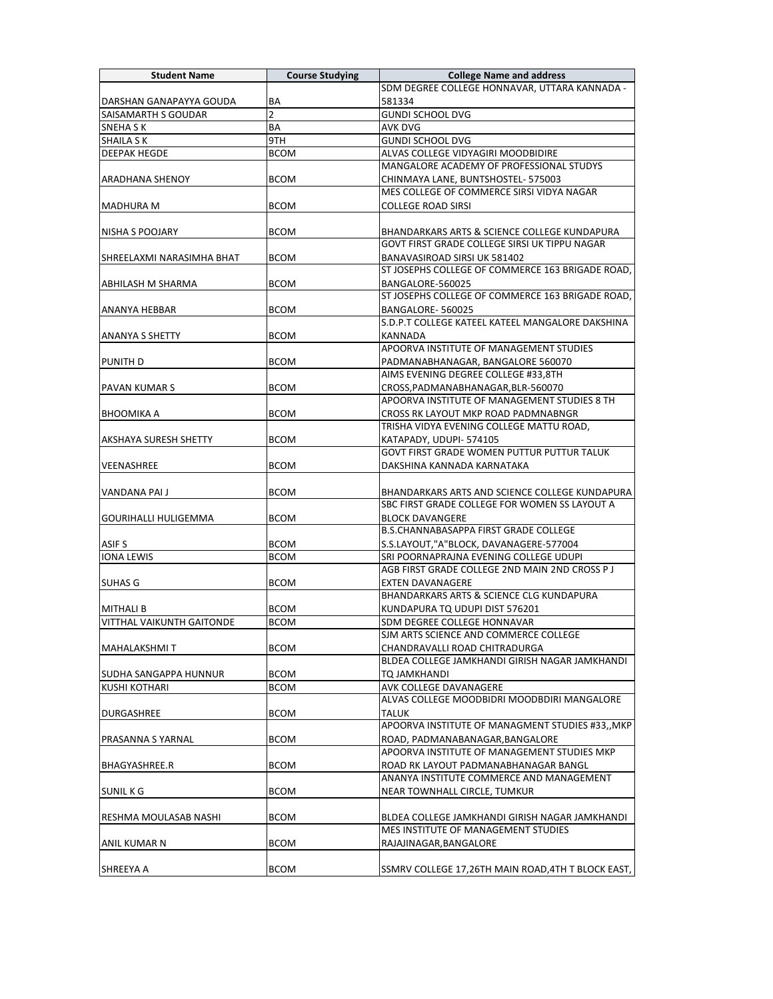| <b>Student Name</b>              | <b>Course Studying</b> | <b>College Name and address</b>                                                                 |
|----------------------------------|------------------------|-------------------------------------------------------------------------------------------------|
|                                  |                        | SDM DEGREE COLLEGE HONNAVAR, UTTARA KANNADA -                                                   |
| DARSHAN GANAPAYYA GOUDA          | BA                     | 581334                                                                                          |
| <b>SAISAMARTH S GOUDAR</b>       | 2                      | <b>GUNDI SCHOOL DVG</b>                                                                         |
| SNEHA S K                        | BA                     | <b>AVK DVG</b>                                                                                  |
| <b>SHAILA S K</b>                | 9TH                    | <b>GUNDI SCHOOL DVG</b>                                                                         |
| <b>DEEPAK HEGDE</b>              | <b>BCOM</b>            | ALVAS COLLEGE VIDYAGIRI MOODBIDIRE                                                              |
|                                  |                        | MANGALORE ACADEMY OF PROFESSIONAL STUDYS                                                        |
| ARADHANA SHENOY                  | <b>BCOM</b>            | CHINMAYA LANE, BUNTSHOSTEL- 575003                                                              |
|                                  |                        | MES COLLEGE OF COMMERCE SIRSI VIDYA NAGAR                                                       |
| <b>MADHURA M</b>                 | <b>BCOM</b>            | <b>COLLEGE ROAD SIRSI</b>                                                                       |
|                                  |                        |                                                                                                 |
| NISHA S POOJARY                  | <b>BCOM</b>            | BHANDARKARS ARTS & SCIENCE COLLEGE KUNDAPURA                                                    |
|                                  |                        | GOVT FIRST GRADE COLLEGE SIRSI UK TIPPU NAGAR                                                   |
| SHREELAXMI NARASIMHA BHAT        | <b>BCOM</b>            | BANAVASIROAD SIRSI UK 581402                                                                    |
|                                  |                        | ST JOSEPHS COLLEGE OF COMMERCE 163 BRIGADE ROAD,                                                |
| <b>ABHILASH M SHARMA</b>         | <b>BCOM</b>            | BANGALORE-560025                                                                                |
|                                  |                        | ST JOSEPHS COLLEGE OF COMMERCE 163 BRIGADE ROAD,                                                |
| ANANYA HEBBAR                    | <b>BCOM</b>            | BANGALORE-560025                                                                                |
|                                  |                        | S.D.P.T COLLEGE KATEEL KATEEL MANGALORE DAKSHINA                                                |
| <b>ANANYA S SHETTY</b>           | <b>BCOM</b>            | KANNADA                                                                                         |
|                                  |                        | APOORVA INSTITUTE OF MANAGEMENT STUDIES                                                         |
| <b>PUNITH D</b>                  | <b>BCOM</b>            | PADMANABHANAGAR, BANGALORE 560070                                                               |
|                                  |                        | AIMS EVENING DEGREE COLLEGE #33.8TH                                                             |
| <b>PAVAN KUMAR S</b>             | <b>BCOM</b>            | CROSS, PADMANABHANAGAR, BLR-560070                                                              |
|                                  |                        | APOORVA INSTITUTE OF MANAGEMENT STUDIES 8 TH                                                    |
| <b>BHOOMIKA A</b>                | <b>BCOM</b>            | CROSS RK LAYOUT MKP ROAD PADMNABNGR                                                             |
|                                  |                        | TRISHA VIDYA EVENING COLLEGE MATTU ROAD,                                                        |
| <b>AKSHAYA SURESH SHETTY</b>     | <b>BCOM</b>            | KATAPADY, UDUPI-574105                                                                          |
|                                  |                        | <b>GOVT FIRST GRADE WOMEN PUTTUR PUTTUR TALUK</b>                                               |
| <b>VEENASHREE</b>                | <b>BCOM</b>            | DAKSHINA KANNADA KARNATAKA                                                                      |
|                                  |                        |                                                                                                 |
| VANDANA PAI J                    | <b>BCOM</b>            | BHANDARKARS ARTS AND SCIENCE COLLEGE KUNDAPURA<br>SBC FIRST GRADE COLLEGE FOR WOMEN SS LAYOUT A |
| <b>GOURIHALLI HULIGEMMA</b>      | <b>BCOM</b>            | <b>BLOCK DAVANGERE</b>                                                                          |
|                                  |                        | B.S.CHANNABASAPPA FIRST GRADE COLLEGE                                                           |
| <b>ASIF S</b>                    | <b>BCOM</b>            | S.S.LAYOUT,"A"BLOCK, DAVANAGERE-577004                                                          |
| <b>IONA LEWIS</b>                | <b>BCOM</b>            | SRI POORNAPRAJNA EVENING COLLEGE UDUPI                                                          |
|                                  |                        | AGB FIRST GRADE COLLEGE 2ND MAIN 2ND CROSS P J                                                  |
| <b>SUHAS G</b>                   | <b>BCOM</b>            | <b>EXTEN DAVANAGERE</b>                                                                         |
|                                  |                        | <b>BHANDARKARS ARTS &amp; SCIENCE CLG KUNDAPURA</b>                                             |
| <b>MITHALI B</b>                 | <b>BCOM</b>            | KUNDAPURA TQ UDUPI DIST 576201                                                                  |
| <b>VITTHAL VAIKUNTH GAITONDE</b> | <b>BCOM</b>            | SDM DEGREE COLLEGE HONNAVAR                                                                     |
|                                  |                        | SJM ARTS SCIENCE AND COMMERCE COLLEGE                                                           |
| <b>MAHALAKSHMIT</b>              | BCOM                   | CHANDRAVALLI ROAD CHITRADURGA                                                                   |
|                                  |                        | BLDEA COLLEGE JAMKHANDI GIRISH NAGAR JAMKHANDI                                                  |
| SUDHA SANGAPPA HUNNUR            | <b>BCOM</b>            | TO JAMKHANDI                                                                                    |
| <b>KUSHI KOTHARI</b>             | <b>BCOM</b>            | AVK COLLEGE DAVANAGERE                                                                          |
|                                  |                        | ALVAS COLLEGE MOODBIDRI MOODBDIRI MANGALORE                                                     |
| <b>DURGASHREE</b>                | <b>BCOM</b>            | <b>TALUK</b>                                                                                    |
|                                  |                        | APOORVA INSTITUTE OF MANAGMENT STUDIES #33,, MKP                                                |
| <b>PRASANNA S YARNAL</b>         | <b>BCOM</b>            | ROAD, PADMANABANAGAR, BANGALORE                                                                 |
|                                  |                        | APOORVA INSTITUTE OF MANAGEMENT STUDIES MKP                                                     |
| <b>BHAGYASHREE.R</b>             | <b>BCOM</b>            | ROAD RK LAYOUT PADMANABHANAGAR BANGL                                                            |
|                                  |                        | ANANYA INSTITUTE COMMERCE AND MANAGEMENT                                                        |
| <b>SUNIL KG</b>                  | <b>BCOM</b>            | NEAR TOWNHALL CIRCLE, TUMKUR                                                                    |
|                                  |                        |                                                                                                 |
| RESHMA MOULASAB NASHI            | <b>BCOM</b>            | BLDEA COLLEGE JAMKHANDI GIRISH NAGAR JAMKHANDI                                                  |
|                                  |                        | MES INSTITUTE OF MANAGEMENT STUDIES                                                             |
| ANIL KUMAR N                     | <b>BCOM</b>            | RAJAJINAGAR, BANGALORE                                                                          |
|                                  |                        |                                                                                                 |
| <b>SHREEYA A</b>                 | <b>BCOM</b>            | SSMRV COLLEGE 17,26TH MAIN ROAD,4TH T BLOCK EAST,                                               |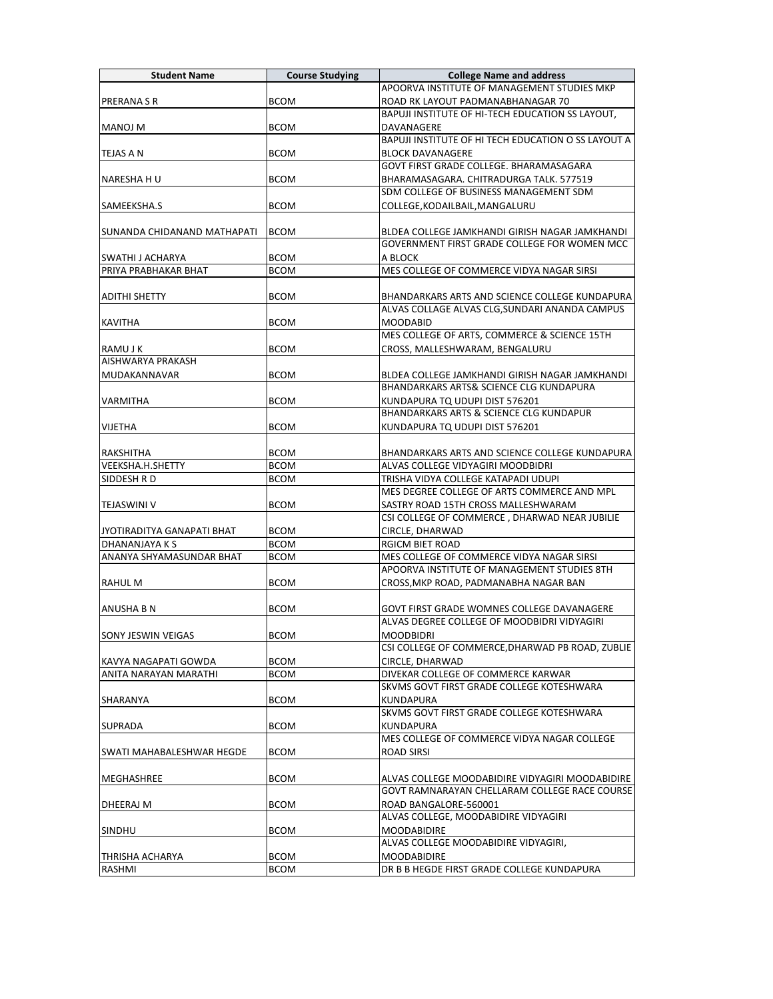| <b>Student Name</b>         | <b>Course Studying</b> | <b>College Name and address</b>                                                                  |
|-----------------------------|------------------------|--------------------------------------------------------------------------------------------------|
|                             |                        | APOORVA INSTITUTE OF MANAGEMENT STUDIES MKP                                                      |
| <b>PRERANA S R</b>          | <b>BCOM</b>            | ROAD RK LAYOUT PADMANABHANAGAR 70                                                                |
|                             |                        | BAPUJI INSTITUTE OF HI-TECH EDUCATION SS LAYOUT,                                                 |
| <b>MANOJ M</b>              | <b>BCOM</b>            | DAVANAGERE                                                                                       |
|                             |                        | BAPUJI INSTITUTE OF HI TECH EDUCATION O SS LAYOUT A                                              |
| TEJAS A N                   | <b>BCOM</b>            | <b>BLOCK DAVANAGERE</b>                                                                          |
|                             |                        | GOVT FIRST GRADE COLLEGE. BHARAMASAGARA                                                          |
| NARESHA H U                 | <b>BCOM</b>            | BHARAMASAGARA. CHITRADURGA TALK. 577519                                                          |
|                             |                        | SDM COLLEGE OF BUSINESS MANAGEMENT SDM                                                           |
| SAMEEKSHA.S                 | <b>BCOM</b>            | COLLEGE.KODAILBAIL.MANGALURU                                                                     |
|                             |                        |                                                                                                  |
| SUNANDA CHIDANAND MATHAPATI | <b>BCOM</b>            | BLDEA COLLEGE JAMKHANDI GIRISH NAGAR JAMKHANDI                                                   |
|                             |                        | GOVERNMENT FIRST GRADE COLLEGE FOR WOMEN MCC                                                     |
| <b>SWATHI J ACHARYA</b>     | <b>BCOM</b>            | A BLOCK                                                                                          |
| PRIYA PRABHAKAR BHAT        | <b>BCOM</b>            | MES COLLEGE OF COMMERCE VIDYA NAGAR SIRSI                                                        |
|                             |                        |                                                                                                  |
| <b>ADITHI SHETTY</b>        | <b>BCOM</b>            | BHANDARKARS ARTS AND SCIENCE COLLEGE KUNDAPURA<br>ALVAS COLLAGE ALVAS CLG, SUNDARI ANANDA CAMPUS |
|                             |                        |                                                                                                  |
| <b>KAVITHA</b>              | <b>BCOM</b>            | <b>MOODABID</b><br>MES COLLEGE OF ARTS, COMMERCE & SCIENCE 15TH                                  |
| RAMU J K                    | <b>BCOM</b>            | CROSS, MALLESHWARAM, BENGALURU                                                                   |
| <b>AISHWARYA PRAKASH</b>    |                        |                                                                                                  |
| MUDAKANNAVAR                | <b>BCOM</b>            | BLDEA COLLEGE JAMKHANDI GIRISH NAGAR JAMKHANDI                                                   |
|                             |                        | BHANDARKARS ARTS& SCIENCE CLG KUNDAPURA                                                          |
| <b>VARMITHA</b>             | <b>BCOM</b>            | KUNDAPURA TQ UDUPI DIST 576201                                                                   |
|                             |                        | <b>BHANDARKARS ARTS &amp; SCIENCE CLG KUNDAPUR</b>                                               |
| <b>VIJETHA</b>              | <b>BCOM</b>            | KUNDAPURA TO UDUPI DIST 576201                                                                   |
|                             |                        |                                                                                                  |
| RAKSHITHA                   | <b>BCOM</b>            | BHANDARKARS ARTS AND SCIENCE COLLEGE KUNDAPURA                                                   |
| VEEKSHA.H.SHETTY            | <b>BCOM</b>            | ALVAS COLLEGE VIDYAGIRI MOODBIDRI                                                                |
| SIDDESH R D                 | <b>BCOM</b>            | TRISHA VIDYA COLLEGE KATAPADI UDUPI                                                              |
|                             |                        | MES DEGREE COLLEGE OF ARTS COMMERCE AND MPL                                                      |
| <b>TEJASWINI V</b>          | <b>BCOM</b>            | SASTRY ROAD 15TH CROSS MALLESHWARAM                                                              |
|                             |                        | CSI COLLEGE OF COMMERCE, DHARWAD NEAR JUBILIE                                                    |
| JYOTIRADITYA GANAPATI BHAT  | <b>BCOM</b>            | CIRCLE, DHARWAD                                                                                  |
| DHANANJAYA K S              | <b>BCOM</b>            | <b>RGICM BIET ROAD</b>                                                                           |
| ANANYA SHYAMASUNDAR BHAT    | <b>BCOM</b>            | MES COLLEGE OF COMMERCE VIDYA NAGAR SIRSI<br>APOORVA INSTITUTE OF MANAGEMENT STUDIES 8TH         |
|                             |                        |                                                                                                  |
| <b>RAHUL M</b>              | <b>BCOM</b>            | CROSS, MKP ROAD, PADMANABHA NAGAR BAN                                                            |
| <b>ANUSHA B N</b>           | <b>BCOM</b>            | GOVT FIRST GRADE WOMNES COLLEGE DAVANAGERE                                                       |
|                             |                        | ALVAS DEGREE COLLEGE OF MOODBIDRI VIDYAGIRI                                                      |
| <b>SONY JESWIN VEIGAS</b>   | <b>BCOM</b>            | <b>MOODBIDRI</b>                                                                                 |
|                             |                        | CSI COLLEGE OF COMMERCE, DHARWAD PB ROAD, ZUBLIE                                                 |
| KAVYA NAGAPATI GOWDA        | <b>BCOM</b>            | CIRCLE, DHARWAD                                                                                  |
| ANITA NARAYAN MARATHI       | BCOM                   | DIVEKAR COLLEGE OF COMMERCE KARWAR                                                               |
|                             |                        | SKVMS GOVT FIRST GRADE COLLEGE KOTESHWARA                                                        |
| <b>SHARANYA</b>             | <b>BCOM</b>            | <b>KUNDAPURA</b>                                                                                 |
|                             |                        | SKVMS GOVT FIRST GRADE COLLEGE KOTESHWARA                                                        |
| <b>SUPRADA</b>              | <b>BCOM</b>            | KUNDAPURA                                                                                        |
|                             |                        | MES COLLEGE OF COMMERCE VIDYA NAGAR COLLEGE                                                      |
| SWATI MAHABALESHWAR HEGDE   | <b>BCOM</b>            | <b>ROAD SIRSI</b>                                                                                |
|                             |                        |                                                                                                  |
| MEGHASHREE                  | BCOM                   | ALVAS COLLEGE MOODABIDIRE VIDYAGIRI MOODABIDIRE                                                  |
|                             |                        | GOVT RAMNARAYAN CHELLARAM COLLEGE RACE COURSE                                                    |
| DHEERAJ M                   | <b>BCOM</b>            | ROAD BANGALORE-560001<br>ALVAS COLLEGE, MOODABIDIRE VIDYAGIRI                                    |
|                             |                        |                                                                                                  |
| <b>SINDHU</b>               | <b>BCOM</b>            | <b>MOODABIDIRE</b><br>ALVAS COLLEGE MOODABIDIRE VIDYAGIRI,                                       |
| THRISHA ACHARYA             | <b>BCOM</b>            | <b>MOODABIDIRE</b>                                                                               |
| RASHMI                      | <b>BCOM</b>            | DR B B HEGDE FIRST GRADE COLLEGE KUNDAPURA                                                       |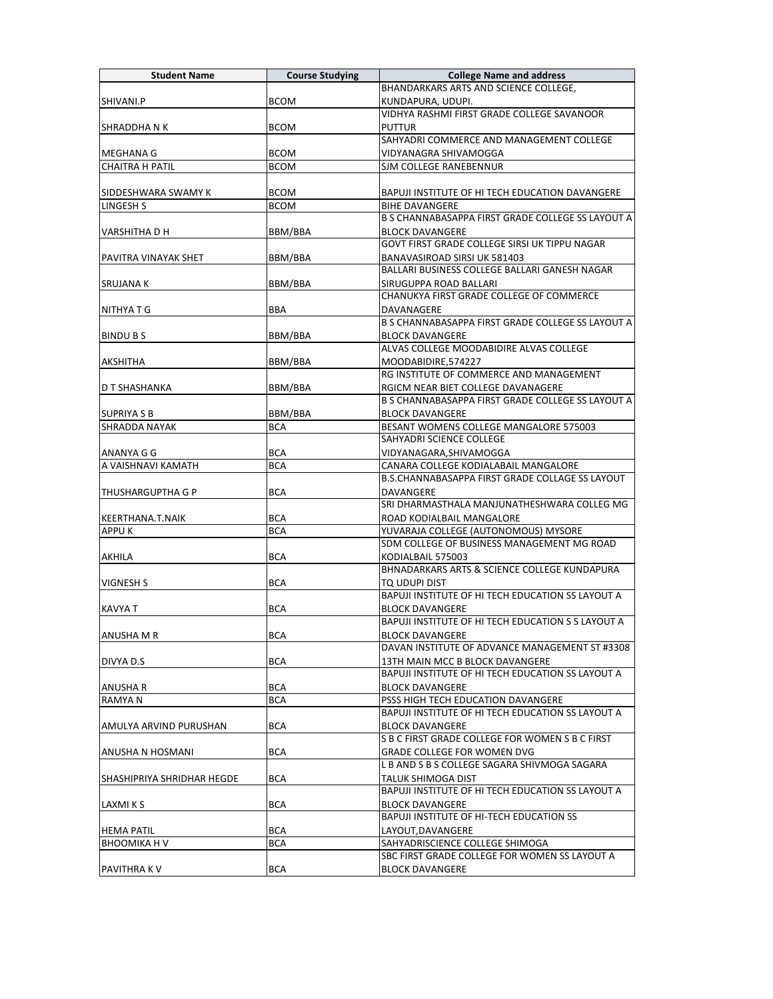| BHANDARKARS ARTS AND SCIENCE COLLEGE,<br><b>BCOM</b><br>SHIVANI.P<br>KUNDAPURA, UDUPI.<br>VIDHYA RASHMI FIRST GRADE COLLEGE SAVANOOR<br><b>BCOM</b><br>SHRADDHA N K<br><b>PUTTUR</b><br>SAHYADRI COMMERCE AND MANAGEMENT COLLEGE<br><b>BCOM</b><br>MEGHANA G<br>VIDYANAGRA SHIVAMOGGA<br><b>CHAITRA H PATIL</b><br><b>BCOM</b><br>SJM COLLEGE RANEBENNUR<br><b>BCOM</b><br>SIDDESHWARA SWAMY K<br>BAPUJI INSTITUTE OF HI TECH EDUCATION DAVANGERE<br><b>LINGESH S</b><br><b>BCOM</b><br><b>BIHE DAVANGERE</b><br>B S CHANNABASAPPA FIRST GRADE COLLEGE SS LAYOUT A<br>BBM/BBA<br><b>VARSHITHA D H</b><br><b>BLOCK DAVANGERE</b><br>GOVT FIRST GRADE COLLEGE SIRSI UK TIPPU NAGAR<br><b>PAVITRA VINAYAK SHET</b><br>BBM/BBA<br>BANAVASIROAD SIRSI UK 581403<br>BALLARI BUSINESS COLLEGE BALLARI GANESH NAGAR<br>BBM/BBA<br><b>SRUJANA K</b><br>SIRUGUPPA ROAD BALLARI<br>CHANUKYA FIRST GRADE COLLEGE OF COMMERCE<br><b>BBA</b><br>NITHYA T G<br>DAVANAGERE<br>B S CHANNABASAPPA FIRST GRADE COLLEGE SS LAYOUT A<br>BBM/BBA<br><b>BLOCK DAVANGERE</b><br><b>BINDUBS</b><br>ALVAS COLLEGE MOODABIDIRE ALVAS COLLEGE<br>AKSHITHA<br>BBM/BBA<br>MOODABIDIRE,574227<br>RG INSTITUTE OF COMMERCE AND MANAGEMENT<br>BBM/BBA<br>D T SHASHANKA<br>RGICM NEAR BIET COLLEGE DAVANAGERE<br>B S CHANNABASAPPA FIRST GRADE COLLEGE SS LAYOUT A<br>BBM/BBA<br><b>BLOCK DAVANGERE</b><br><b>SUPRIYA S B</b><br><b>SHRADDA NAYAK</b><br>BESANT WOMENS COLLEGE MANGALORE 575003<br><b>BCA</b><br>SAHYADRI SCIENCE COLLEGE<br><b>BCA</b><br>VIDYANAGARA, SHIVAMOGGA<br>ANANYA G G<br>A VAISHNAVI KAMATH<br><b>BCA</b><br>CANARA COLLEGE KODIALABAIL MANGALORE<br>B.S.CHANNABASAPPA FIRST GRADE COLLAGE SS LAYOUT<br><b>BCA</b><br>DAVANGERE<br><b>THUSHARGUPTHA G P</b><br>SRI DHARMASTHALA MANJUNATHESHWARA COLLEG MG<br><b>BCA</b><br>ROAD KODIALBAIL MANGALORE<br><b>KEERTHANA.T.NAIK</b><br><b>APPUK</b><br><b>BCA</b><br>YUVARAJA COLLEGE (AUTONOMOUS) MYSORE<br>SDM COLLEGE OF BUSINESS MANAGEMENT MG ROAD<br><b>AKHILA</b><br><b>BCA</b><br>KODIALBAIL 575003<br>BHNADARKARS ARTS & SCIENCE COLLEGE KUNDAPURA<br><b>VIGNESH S</b><br><b>BCA</b><br>TQ UDUPI DIST<br>BAPUJI INSTITUTE OF HI TECH EDUCATION SS LAYOUT A<br><b>KAVYAT</b><br><b>BCA</b><br><b>BLOCK DAVANGERE</b><br>BAPUJI INSTITUTE OF HI TECH EDUCATION S S LAYOUT A<br><b>BLOCK DAVANGERE</b><br>JANUSHA M R<br>BCA<br>DAVAN INSTITUTE OF ADVANCE MANAGEMENT ST #3308<br><b>BCA</b><br>DIVYA D.S<br>13TH MAIN MCC B BLOCK DAVANGERE<br>BAPUJI INSTITUTE OF HI TECH EDUCATION SS LAYOUT A<br><b>BCA</b><br><b>BLOCK DAVANGERE</b><br>ANUSHA R<br><b>BCA</b><br>PSSS HIGH TECH EDUCATION DAVANGERE<br>RAMYA N<br>BAPUJI INSTITUTE OF HI TECH EDUCATION SS LAYOUT A<br><b>BCA</b><br>AMULYA ARVIND PURUSHAN<br><b>BLOCK DAVANGERE</b><br>S B C FIRST GRADE COLLEGE FOR WOMEN S B C FIRST<br><b>GRADE COLLEGE FOR WOMEN DVG</b><br>JANUSHA N HOSMANI<br><b>BCA</b><br>L B AND S B S COLLEGE SAGARA SHIVMOGA SAGARA<br><b>BCA</b><br>SHASHIPRIYA SHRIDHAR HEGDE<br>TALUK SHIMOGA DIST<br>BAPUJI INSTITUTE OF HI TECH EDUCATION SS LAYOUT A<br><b>BCA</b><br>LAXMI K S<br><b>BLOCK DAVANGERE</b><br>BAPUJI INSTITUTE OF HI-TECH EDUCATION SS<br><b>BCA</b><br>LAYOUT, DAVANGERE<br><b>HEMA PATIL</b><br><b>BHOOMIKA HV</b><br>SAHYADRISCIENCE COLLEGE SHIMOGA<br><b>BCA</b><br>SBC FIRST GRADE COLLEGE FOR WOMEN SS LAYOUT A<br><b>BLOCK DAVANGERE</b><br> PAVITHRA K V<br><b>BCA</b> | <b>Student Name</b> | <b>Course Studying</b> | <b>College Name and address</b> |
|--------------------------------------------------------------------------------------------------------------------------------------------------------------------------------------------------------------------------------------------------------------------------------------------------------------------------------------------------------------------------------------------------------------------------------------------------------------------------------------------------------------------------------------------------------------------------------------------------------------------------------------------------------------------------------------------------------------------------------------------------------------------------------------------------------------------------------------------------------------------------------------------------------------------------------------------------------------------------------------------------------------------------------------------------------------------------------------------------------------------------------------------------------------------------------------------------------------------------------------------------------------------------------------------------------------------------------------------------------------------------------------------------------------------------------------------------------------------------------------------------------------------------------------------------------------------------------------------------------------------------------------------------------------------------------------------------------------------------------------------------------------------------------------------------------------------------------------------------------------------------------------------------------------------------------------------------------------------------------------------------------------------------------------------------------------------------------------------------------------------------------------------------------------------------------------------------------------------------------------------------------------------------------------------------------------------------------------------------------------------------------------------------------------------------------------------------------------------------------------------------------------------------------------------------------------------------------------------------------------------------------------------------------------------------------------------------------------------------------------------------------------------------------------------------------------------------------------------------------------------------------------------------------------------------------------------------------------------------------------------------------------------------------------------------------------------------------------------------------------------------------------------------------------------------------------------------------------------------------------------------------------------------------------------------------------------------------------------------------------------------------------------------------------------------------------|---------------------|------------------------|---------------------------------|
|                                                                                                                                                                                                                                                                                                                                                                                                                                                                                                                                                                                                                                                                                                                                                                                                                                                                                                                                                                                                                                                                                                                                                                                                                                                                                                                                                                                                                                                                                                                                                                                                                                                                                                                                                                                                                                                                                                                                                                                                                                                                                                                                                                                                                                                                                                                                                                                                                                                                                                                                                                                                                                                                                                                                                                                                                                                                                                                                                                                                                                                                                                                                                                                                                                                                                                                                                                                                                                      |                     |                        |                                 |
|                                                                                                                                                                                                                                                                                                                                                                                                                                                                                                                                                                                                                                                                                                                                                                                                                                                                                                                                                                                                                                                                                                                                                                                                                                                                                                                                                                                                                                                                                                                                                                                                                                                                                                                                                                                                                                                                                                                                                                                                                                                                                                                                                                                                                                                                                                                                                                                                                                                                                                                                                                                                                                                                                                                                                                                                                                                                                                                                                                                                                                                                                                                                                                                                                                                                                                                                                                                                                                      |                     |                        |                                 |
|                                                                                                                                                                                                                                                                                                                                                                                                                                                                                                                                                                                                                                                                                                                                                                                                                                                                                                                                                                                                                                                                                                                                                                                                                                                                                                                                                                                                                                                                                                                                                                                                                                                                                                                                                                                                                                                                                                                                                                                                                                                                                                                                                                                                                                                                                                                                                                                                                                                                                                                                                                                                                                                                                                                                                                                                                                                                                                                                                                                                                                                                                                                                                                                                                                                                                                                                                                                                                                      |                     |                        |                                 |
|                                                                                                                                                                                                                                                                                                                                                                                                                                                                                                                                                                                                                                                                                                                                                                                                                                                                                                                                                                                                                                                                                                                                                                                                                                                                                                                                                                                                                                                                                                                                                                                                                                                                                                                                                                                                                                                                                                                                                                                                                                                                                                                                                                                                                                                                                                                                                                                                                                                                                                                                                                                                                                                                                                                                                                                                                                                                                                                                                                                                                                                                                                                                                                                                                                                                                                                                                                                                                                      |                     |                        |                                 |
|                                                                                                                                                                                                                                                                                                                                                                                                                                                                                                                                                                                                                                                                                                                                                                                                                                                                                                                                                                                                                                                                                                                                                                                                                                                                                                                                                                                                                                                                                                                                                                                                                                                                                                                                                                                                                                                                                                                                                                                                                                                                                                                                                                                                                                                                                                                                                                                                                                                                                                                                                                                                                                                                                                                                                                                                                                                                                                                                                                                                                                                                                                                                                                                                                                                                                                                                                                                                                                      |                     |                        |                                 |
|                                                                                                                                                                                                                                                                                                                                                                                                                                                                                                                                                                                                                                                                                                                                                                                                                                                                                                                                                                                                                                                                                                                                                                                                                                                                                                                                                                                                                                                                                                                                                                                                                                                                                                                                                                                                                                                                                                                                                                                                                                                                                                                                                                                                                                                                                                                                                                                                                                                                                                                                                                                                                                                                                                                                                                                                                                                                                                                                                                                                                                                                                                                                                                                                                                                                                                                                                                                                                                      |                     |                        |                                 |
|                                                                                                                                                                                                                                                                                                                                                                                                                                                                                                                                                                                                                                                                                                                                                                                                                                                                                                                                                                                                                                                                                                                                                                                                                                                                                                                                                                                                                                                                                                                                                                                                                                                                                                                                                                                                                                                                                                                                                                                                                                                                                                                                                                                                                                                                                                                                                                                                                                                                                                                                                                                                                                                                                                                                                                                                                                                                                                                                                                                                                                                                                                                                                                                                                                                                                                                                                                                                                                      |                     |                        |                                 |
|                                                                                                                                                                                                                                                                                                                                                                                                                                                                                                                                                                                                                                                                                                                                                                                                                                                                                                                                                                                                                                                                                                                                                                                                                                                                                                                                                                                                                                                                                                                                                                                                                                                                                                                                                                                                                                                                                                                                                                                                                                                                                                                                                                                                                                                                                                                                                                                                                                                                                                                                                                                                                                                                                                                                                                                                                                                                                                                                                                                                                                                                                                                                                                                                                                                                                                                                                                                                                                      |                     |                        |                                 |
|                                                                                                                                                                                                                                                                                                                                                                                                                                                                                                                                                                                                                                                                                                                                                                                                                                                                                                                                                                                                                                                                                                                                                                                                                                                                                                                                                                                                                                                                                                                                                                                                                                                                                                                                                                                                                                                                                                                                                                                                                                                                                                                                                                                                                                                                                                                                                                                                                                                                                                                                                                                                                                                                                                                                                                                                                                                                                                                                                                                                                                                                                                                                                                                                                                                                                                                                                                                                                                      |                     |                        |                                 |
|                                                                                                                                                                                                                                                                                                                                                                                                                                                                                                                                                                                                                                                                                                                                                                                                                                                                                                                                                                                                                                                                                                                                                                                                                                                                                                                                                                                                                                                                                                                                                                                                                                                                                                                                                                                                                                                                                                                                                                                                                                                                                                                                                                                                                                                                                                                                                                                                                                                                                                                                                                                                                                                                                                                                                                                                                                                                                                                                                                                                                                                                                                                                                                                                                                                                                                                                                                                                                                      |                     |                        |                                 |
|                                                                                                                                                                                                                                                                                                                                                                                                                                                                                                                                                                                                                                                                                                                                                                                                                                                                                                                                                                                                                                                                                                                                                                                                                                                                                                                                                                                                                                                                                                                                                                                                                                                                                                                                                                                                                                                                                                                                                                                                                                                                                                                                                                                                                                                                                                                                                                                                                                                                                                                                                                                                                                                                                                                                                                                                                                                                                                                                                                                                                                                                                                                                                                                                                                                                                                                                                                                                                                      |                     |                        |                                 |
|                                                                                                                                                                                                                                                                                                                                                                                                                                                                                                                                                                                                                                                                                                                                                                                                                                                                                                                                                                                                                                                                                                                                                                                                                                                                                                                                                                                                                                                                                                                                                                                                                                                                                                                                                                                                                                                                                                                                                                                                                                                                                                                                                                                                                                                                                                                                                                                                                                                                                                                                                                                                                                                                                                                                                                                                                                                                                                                                                                                                                                                                                                                                                                                                                                                                                                                                                                                                                                      |                     |                        |                                 |
|                                                                                                                                                                                                                                                                                                                                                                                                                                                                                                                                                                                                                                                                                                                                                                                                                                                                                                                                                                                                                                                                                                                                                                                                                                                                                                                                                                                                                                                                                                                                                                                                                                                                                                                                                                                                                                                                                                                                                                                                                                                                                                                                                                                                                                                                                                                                                                                                                                                                                                                                                                                                                                                                                                                                                                                                                                                                                                                                                                                                                                                                                                                                                                                                                                                                                                                                                                                                                                      |                     |                        |                                 |
|                                                                                                                                                                                                                                                                                                                                                                                                                                                                                                                                                                                                                                                                                                                                                                                                                                                                                                                                                                                                                                                                                                                                                                                                                                                                                                                                                                                                                                                                                                                                                                                                                                                                                                                                                                                                                                                                                                                                                                                                                                                                                                                                                                                                                                                                                                                                                                                                                                                                                                                                                                                                                                                                                                                                                                                                                                                                                                                                                                                                                                                                                                                                                                                                                                                                                                                                                                                                                                      |                     |                        |                                 |
|                                                                                                                                                                                                                                                                                                                                                                                                                                                                                                                                                                                                                                                                                                                                                                                                                                                                                                                                                                                                                                                                                                                                                                                                                                                                                                                                                                                                                                                                                                                                                                                                                                                                                                                                                                                                                                                                                                                                                                                                                                                                                                                                                                                                                                                                                                                                                                                                                                                                                                                                                                                                                                                                                                                                                                                                                                                                                                                                                                                                                                                                                                                                                                                                                                                                                                                                                                                                                                      |                     |                        |                                 |
|                                                                                                                                                                                                                                                                                                                                                                                                                                                                                                                                                                                                                                                                                                                                                                                                                                                                                                                                                                                                                                                                                                                                                                                                                                                                                                                                                                                                                                                                                                                                                                                                                                                                                                                                                                                                                                                                                                                                                                                                                                                                                                                                                                                                                                                                                                                                                                                                                                                                                                                                                                                                                                                                                                                                                                                                                                                                                                                                                                                                                                                                                                                                                                                                                                                                                                                                                                                                                                      |                     |                        |                                 |
|                                                                                                                                                                                                                                                                                                                                                                                                                                                                                                                                                                                                                                                                                                                                                                                                                                                                                                                                                                                                                                                                                                                                                                                                                                                                                                                                                                                                                                                                                                                                                                                                                                                                                                                                                                                                                                                                                                                                                                                                                                                                                                                                                                                                                                                                                                                                                                                                                                                                                                                                                                                                                                                                                                                                                                                                                                                                                                                                                                                                                                                                                                                                                                                                                                                                                                                                                                                                                                      |                     |                        |                                 |
|                                                                                                                                                                                                                                                                                                                                                                                                                                                                                                                                                                                                                                                                                                                                                                                                                                                                                                                                                                                                                                                                                                                                                                                                                                                                                                                                                                                                                                                                                                                                                                                                                                                                                                                                                                                                                                                                                                                                                                                                                                                                                                                                                                                                                                                                                                                                                                                                                                                                                                                                                                                                                                                                                                                                                                                                                                                                                                                                                                                                                                                                                                                                                                                                                                                                                                                                                                                                                                      |                     |                        |                                 |
|                                                                                                                                                                                                                                                                                                                                                                                                                                                                                                                                                                                                                                                                                                                                                                                                                                                                                                                                                                                                                                                                                                                                                                                                                                                                                                                                                                                                                                                                                                                                                                                                                                                                                                                                                                                                                                                                                                                                                                                                                                                                                                                                                                                                                                                                                                                                                                                                                                                                                                                                                                                                                                                                                                                                                                                                                                                                                                                                                                                                                                                                                                                                                                                                                                                                                                                                                                                                                                      |                     |                        |                                 |
|                                                                                                                                                                                                                                                                                                                                                                                                                                                                                                                                                                                                                                                                                                                                                                                                                                                                                                                                                                                                                                                                                                                                                                                                                                                                                                                                                                                                                                                                                                                                                                                                                                                                                                                                                                                                                                                                                                                                                                                                                                                                                                                                                                                                                                                                                                                                                                                                                                                                                                                                                                                                                                                                                                                                                                                                                                                                                                                                                                                                                                                                                                                                                                                                                                                                                                                                                                                                                                      |                     |                        |                                 |
|                                                                                                                                                                                                                                                                                                                                                                                                                                                                                                                                                                                                                                                                                                                                                                                                                                                                                                                                                                                                                                                                                                                                                                                                                                                                                                                                                                                                                                                                                                                                                                                                                                                                                                                                                                                                                                                                                                                                                                                                                                                                                                                                                                                                                                                                                                                                                                                                                                                                                                                                                                                                                                                                                                                                                                                                                                                                                                                                                                                                                                                                                                                                                                                                                                                                                                                                                                                                                                      |                     |                        |                                 |
|                                                                                                                                                                                                                                                                                                                                                                                                                                                                                                                                                                                                                                                                                                                                                                                                                                                                                                                                                                                                                                                                                                                                                                                                                                                                                                                                                                                                                                                                                                                                                                                                                                                                                                                                                                                                                                                                                                                                                                                                                                                                                                                                                                                                                                                                                                                                                                                                                                                                                                                                                                                                                                                                                                                                                                                                                                                                                                                                                                                                                                                                                                                                                                                                                                                                                                                                                                                                                                      |                     |                        |                                 |
|                                                                                                                                                                                                                                                                                                                                                                                                                                                                                                                                                                                                                                                                                                                                                                                                                                                                                                                                                                                                                                                                                                                                                                                                                                                                                                                                                                                                                                                                                                                                                                                                                                                                                                                                                                                                                                                                                                                                                                                                                                                                                                                                                                                                                                                                                                                                                                                                                                                                                                                                                                                                                                                                                                                                                                                                                                                                                                                                                                                                                                                                                                                                                                                                                                                                                                                                                                                                                                      |                     |                        |                                 |
|                                                                                                                                                                                                                                                                                                                                                                                                                                                                                                                                                                                                                                                                                                                                                                                                                                                                                                                                                                                                                                                                                                                                                                                                                                                                                                                                                                                                                                                                                                                                                                                                                                                                                                                                                                                                                                                                                                                                                                                                                                                                                                                                                                                                                                                                                                                                                                                                                                                                                                                                                                                                                                                                                                                                                                                                                                                                                                                                                                                                                                                                                                                                                                                                                                                                                                                                                                                                                                      |                     |                        |                                 |
|                                                                                                                                                                                                                                                                                                                                                                                                                                                                                                                                                                                                                                                                                                                                                                                                                                                                                                                                                                                                                                                                                                                                                                                                                                                                                                                                                                                                                                                                                                                                                                                                                                                                                                                                                                                                                                                                                                                                                                                                                                                                                                                                                                                                                                                                                                                                                                                                                                                                                                                                                                                                                                                                                                                                                                                                                                                                                                                                                                                                                                                                                                                                                                                                                                                                                                                                                                                                                                      |                     |                        |                                 |
|                                                                                                                                                                                                                                                                                                                                                                                                                                                                                                                                                                                                                                                                                                                                                                                                                                                                                                                                                                                                                                                                                                                                                                                                                                                                                                                                                                                                                                                                                                                                                                                                                                                                                                                                                                                                                                                                                                                                                                                                                                                                                                                                                                                                                                                                                                                                                                                                                                                                                                                                                                                                                                                                                                                                                                                                                                                                                                                                                                                                                                                                                                                                                                                                                                                                                                                                                                                                                                      |                     |                        |                                 |
|                                                                                                                                                                                                                                                                                                                                                                                                                                                                                                                                                                                                                                                                                                                                                                                                                                                                                                                                                                                                                                                                                                                                                                                                                                                                                                                                                                                                                                                                                                                                                                                                                                                                                                                                                                                                                                                                                                                                                                                                                                                                                                                                                                                                                                                                                                                                                                                                                                                                                                                                                                                                                                                                                                                                                                                                                                                                                                                                                                                                                                                                                                                                                                                                                                                                                                                                                                                                                                      |                     |                        |                                 |
|                                                                                                                                                                                                                                                                                                                                                                                                                                                                                                                                                                                                                                                                                                                                                                                                                                                                                                                                                                                                                                                                                                                                                                                                                                                                                                                                                                                                                                                                                                                                                                                                                                                                                                                                                                                                                                                                                                                                                                                                                                                                                                                                                                                                                                                                                                                                                                                                                                                                                                                                                                                                                                                                                                                                                                                                                                                                                                                                                                                                                                                                                                                                                                                                                                                                                                                                                                                                                                      |                     |                        |                                 |
|                                                                                                                                                                                                                                                                                                                                                                                                                                                                                                                                                                                                                                                                                                                                                                                                                                                                                                                                                                                                                                                                                                                                                                                                                                                                                                                                                                                                                                                                                                                                                                                                                                                                                                                                                                                                                                                                                                                                                                                                                                                                                                                                                                                                                                                                                                                                                                                                                                                                                                                                                                                                                                                                                                                                                                                                                                                                                                                                                                                                                                                                                                                                                                                                                                                                                                                                                                                                                                      |                     |                        |                                 |
|                                                                                                                                                                                                                                                                                                                                                                                                                                                                                                                                                                                                                                                                                                                                                                                                                                                                                                                                                                                                                                                                                                                                                                                                                                                                                                                                                                                                                                                                                                                                                                                                                                                                                                                                                                                                                                                                                                                                                                                                                                                                                                                                                                                                                                                                                                                                                                                                                                                                                                                                                                                                                                                                                                                                                                                                                                                                                                                                                                                                                                                                                                                                                                                                                                                                                                                                                                                                                                      |                     |                        |                                 |
|                                                                                                                                                                                                                                                                                                                                                                                                                                                                                                                                                                                                                                                                                                                                                                                                                                                                                                                                                                                                                                                                                                                                                                                                                                                                                                                                                                                                                                                                                                                                                                                                                                                                                                                                                                                                                                                                                                                                                                                                                                                                                                                                                                                                                                                                                                                                                                                                                                                                                                                                                                                                                                                                                                                                                                                                                                                                                                                                                                                                                                                                                                                                                                                                                                                                                                                                                                                                                                      |                     |                        |                                 |
|                                                                                                                                                                                                                                                                                                                                                                                                                                                                                                                                                                                                                                                                                                                                                                                                                                                                                                                                                                                                                                                                                                                                                                                                                                                                                                                                                                                                                                                                                                                                                                                                                                                                                                                                                                                                                                                                                                                                                                                                                                                                                                                                                                                                                                                                                                                                                                                                                                                                                                                                                                                                                                                                                                                                                                                                                                                                                                                                                                                                                                                                                                                                                                                                                                                                                                                                                                                                                                      |                     |                        |                                 |
|                                                                                                                                                                                                                                                                                                                                                                                                                                                                                                                                                                                                                                                                                                                                                                                                                                                                                                                                                                                                                                                                                                                                                                                                                                                                                                                                                                                                                                                                                                                                                                                                                                                                                                                                                                                                                                                                                                                                                                                                                                                                                                                                                                                                                                                                                                                                                                                                                                                                                                                                                                                                                                                                                                                                                                                                                                                                                                                                                                                                                                                                                                                                                                                                                                                                                                                                                                                                                                      |                     |                        |                                 |
|                                                                                                                                                                                                                                                                                                                                                                                                                                                                                                                                                                                                                                                                                                                                                                                                                                                                                                                                                                                                                                                                                                                                                                                                                                                                                                                                                                                                                                                                                                                                                                                                                                                                                                                                                                                                                                                                                                                                                                                                                                                                                                                                                                                                                                                                                                                                                                                                                                                                                                                                                                                                                                                                                                                                                                                                                                                                                                                                                                                                                                                                                                                                                                                                                                                                                                                                                                                                                                      |                     |                        |                                 |
|                                                                                                                                                                                                                                                                                                                                                                                                                                                                                                                                                                                                                                                                                                                                                                                                                                                                                                                                                                                                                                                                                                                                                                                                                                                                                                                                                                                                                                                                                                                                                                                                                                                                                                                                                                                                                                                                                                                                                                                                                                                                                                                                                                                                                                                                                                                                                                                                                                                                                                                                                                                                                                                                                                                                                                                                                                                                                                                                                                                                                                                                                                                                                                                                                                                                                                                                                                                                                                      |                     |                        |                                 |
|                                                                                                                                                                                                                                                                                                                                                                                                                                                                                                                                                                                                                                                                                                                                                                                                                                                                                                                                                                                                                                                                                                                                                                                                                                                                                                                                                                                                                                                                                                                                                                                                                                                                                                                                                                                                                                                                                                                                                                                                                                                                                                                                                                                                                                                                                                                                                                                                                                                                                                                                                                                                                                                                                                                                                                                                                                                                                                                                                                                                                                                                                                                                                                                                                                                                                                                                                                                                                                      |                     |                        |                                 |
|                                                                                                                                                                                                                                                                                                                                                                                                                                                                                                                                                                                                                                                                                                                                                                                                                                                                                                                                                                                                                                                                                                                                                                                                                                                                                                                                                                                                                                                                                                                                                                                                                                                                                                                                                                                                                                                                                                                                                                                                                                                                                                                                                                                                                                                                                                                                                                                                                                                                                                                                                                                                                                                                                                                                                                                                                                                                                                                                                                                                                                                                                                                                                                                                                                                                                                                                                                                                                                      |                     |                        |                                 |
|                                                                                                                                                                                                                                                                                                                                                                                                                                                                                                                                                                                                                                                                                                                                                                                                                                                                                                                                                                                                                                                                                                                                                                                                                                                                                                                                                                                                                                                                                                                                                                                                                                                                                                                                                                                                                                                                                                                                                                                                                                                                                                                                                                                                                                                                                                                                                                                                                                                                                                                                                                                                                                                                                                                                                                                                                                                                                                                                                                                                                                                                                                                                                                                                                                                                                                                                                                                                                                      |                     |                        |                                 |
|                                                                                                                                                                                                                                                                                                                                                                                                                                                                                                                                                                                                                                                                                                                                                                                                                                                                                                                                                                                                                                                                                                                                                                                                                                                                                                                                                                                                                                                                                                                                                                                                                                                                                                                                                                                                                                                                                                                                                                                                                                                                                                                                                                                                                                                                                                                                                                                                                                                                                                                                                                                                                                                                                                                                                                                                                                                                                                                                                                                                                                                                                                                                                                                                                                                                                                                                                                                                                                      |                     |                        |                                 |
|                                                                                                                                                                                                                                                                                                                                                                                                                                                                                                                                                                                                                                                                                                                                                                                                                                                                                                                                                                                                                                                                                                                                                                                                                                                                                                                                                                                                                                                                                                                                                                                                                                                                                                                                                                                                                                                                                                                                                                                                                                                                                                                                                                                                                                                                                                                                                                                                                                                                                                                                                                                                                                                                                                                                                                                                                                                                                                                                                                                                                                                                                                                                                                                                                                                                                                                                                                                                                                      |                     |                        |                                 |
|                                                                                                                                                                                                                                                                                                                                                                                                                                                                                                                                                                                                                                                                                                                                                                                                                                                                                                                                                                                                                                                                                                                                                                                                                                                                                                                                                                                                                                                                                                                                                                                                                                                                                                                                                                                                                                                                                                                                                                                                                                                                                                                                                                                                                                                                                                                                                                                                                                                                                                                                                                                                                                                                                                                                                                                                                                                                                                                                                                                                                                                                                                                                                                                                                                                                                                                                                                                                                                      |                     |                        |                                 |
|                                                                                                                                                                                                                                                                                                                                                                                                                                                                                                                                                                                                                                                                                                                                                                                                                                                                                                                                                                                                                                                                                                                                                                                                                                                                                                                                                                                                                                                                                                                                                                                                                                                                                                                                                                                                                                                                                                                                                                                                                                                                                                                                                                                                                                                                                                                                                                                                                                                                                                                                                                                                                                                                                                                                                                                                                                                                                                                                                                                                                                                                                                                                                                                                                                                                                                                                                                                                                                      |                     |                        |                                 |
|                                                                                                                                                                                                                                                                                                                                                                                                                                                                                                                                                                                                                                                                                                                                                                                                                                                                                                                                                                                                                                                                                                                                                                                                                                                                                                                                                                                                                                                                                                                                                                                                                                                                                                                                                                                                                                                                                                                                                                                                                                                                                                                                                                                                                                                                                                                                                                                                                                                                                                                                                                                                                                                                                                                                                                                                                                                                                                                                                                                                                                                                                                                                                                                                                                                                                                                                                                                                                                      |                     |                        |                                 |
|                                                                                                                                                                                                                                                                                                                                                                                                                                                                                                                                                                                                                                                                                                                                                                                                                                                                                                                                                                                                                                                                                                                                                                                                                                                                                                                                                                                                                                                                                                                                                                                                                                                                                                                                                                                                                                                                                                                                                                                                                                                                                                                                                                                                                                                                                                                                                                                                                                                                                                                                                                                                                                                                                                                                                                                                                                                                                                                                                                                                                                                                                                                                                                                                                                                                                                                                                                                                                                      |                     |                        |                                 |
|                                                                                                                                                                                                                                                                                                                                                                                                                                                                                                                                                                                                                                                                                                                                                                                                                                                                                                                                                                                                                                                                                                                                                                                                                                                                                                                                                                                                                                                                                                                                                                                                                                                                                                                                                                                                                                                                                                                                                                                                                                                                                                                                                                                                                                                                                                                                                                                                                                                                                                                                                                                                                                                                                                                                                                                                                                                                                                                                                                                                                                                                                                                                                                                                                                                                                                                                                                                                                                      |                     |                        |                                 |
|                                                                                                                                                                                                                                                                                                                                                                                                                                                                                                                                                                                                                                                                                                                                                                                                                                                                                                                                                                                                                                                                                                                                                                                                                                                                                                                                                                                                                                                                                                                                                                                                                                                                                                                                                                                                                                                                                                                                                                                                                                                                                                                                                                                                                                                                                                                                                                                                                                                                                                                                                                                                                                                                                                                                                                                                                                                                                                                                                                                                                                                                                                                                                                                                                                                                                                                                                                                                                                      |                     |                        |                                 |
|                                                                                                                                                                                                                                                                                                                                                                                                                                                                                                                                                                                                                                                                                                                                                                                                                                                                                                                                                                                                                                                                                                                                                                                                                                                                                                                                                                                                                                                                                                                                                                                                                                                                                                                                                                                                                                                                                                                                                                                                                                                                                                                                                                                                                                                                                                                                                                                                                                                                                                                                                                                                                                                                                                                                                                                                                                                                                                                                                                                                                                                                                                                                                                                                                                                                                                                                                                                                                                      |                     |                        |                                 |
|                                                                                                                                                                                                                                                                                                                                                                                                                                                                                                                                                                                                                                                                                                                                                                                                                                                                                                                                                                                                                                                                                                                                                                                                                                                                                                                                                                                                                                                                                                                                                                                                                                                                                                                                                                                                                                                                                                                                                                                                                                                                                                                                                                                                                                                                                                                                                                                                                                                                                                                                                                                                                                                                                                                                                                                                                                                                                                                                                                                                                                                                                                                                                                                                                                                                                                                                                                                                                                      |                     |                        |                                 |
|                                                                                                                                                                                                                                                                                                                                                                                                                                                                                                                                                                                                                                                                                                                                                                                                                                                                                                                                                                                                                                                                                                                                                                                                                                                                                                                                                                                                                                                                                                                                                                                                                                                                                                                                                                                                                                                                                                                                                                                                                                                                                                                                                                                                                                                                                                                                                                                                                                                                                                                                                                                                                                                                                                                                                                                                                                                                                                                                                                                                                                                                                                                                                                                                                                                                                                                                                                                                                                      |                     |                        |                                 |
|                                                                                                                                                                                                                                                                                                                                                                                                                                                                                                                                                                                                                                                                                                                                                                                                                                                                                                                                                                                                                                                                                                                                                                                                                                                                                                                                                                                                                                                                                                                                                                                                                                                                                                                                                                                                                                                                                                                                                                                                                                                                                                                                                                                                                                                                                                                                                                                                                                                                                                                                                                                                                                                                                                                                                                                                                                                                                                                                                                                                                                                                                                                                                                                                                                                                                                                                                                                                                                      |                     |                        |                                 |
|                                                                                                                                                                                                                                                                                                                                                                                                                                                                                                                                                                                                                                                                                                                                                                                                                                                                                                                                                                                                                                                                                                                                                                                                                                                                                                                                                                                                                                                                                                                                                                                                                                                                                                                                                                                                                                                                                                                                                                                                                                                                                                                                                                                                                                                                                                                                                                                                                                                                                                                                                                                                                                                                                                                                                                                                                                                                                                                                                                                                                                                                                                                                                                                                                                                                                                                                                                                                                                      |                     |                        |                                 |
|                                                                                                                                                                                                                                                                                                                                                                                                                                                                                                                                                                                                                                                                                                                                                                                                                                                                                                                                                                                                                                                                                                                                                                                                                                                                                                                                                                                                                                                                                                                                                                                                                                                                                                                                                                                                                                                                                                                                                                                                                                                                                                                                                                                                                                                                                                                                                                                                                                                                                                                                                                                                                                                                                                                                                                                                                                                                                                                                                                                                                                                                                                                                                                                                                                                                                                                                                                                                                                      |                     |                        |                                 |
|                                                                                                                                                                                                                                                                                                                                                                                                                                                                                                                                                                                                                                                                                                                                                                                                                                                                                                                                                                                                                                                                                                                                                                                                                                                                                                                                                                                                                                                                                                                                                                                                                                                                                                                                                                                                                                                                                                                                                                                                                                                                                                                                                                                                                                                                                                                                                                                                                                                                                                                                                                                                                                                                                                                                                                                                                                                                                                                                                                                                                                                                                                                                                                                                                                                                                                                                                                                                                                      |                     |                        |                                 |
|                                                                                                                                                                                                                                                                                                                                                                                                                                                                                                                                                                                                                                                                                                                                                                                                                                                                                                                                                                                                                                                                                                                                                                                                                                                                                                                                                                                                                                                                                                                                                                                                                                                                                                                                                                                                                                                                                                                                                                                                                                                                                                                                                                                                                                                                                                                                                                                                                                                                                                                                                                                                                                                                                                                                                                                                                                                                                                                                                                                                                                                                                                                                                                                                                                                                                                                                                                                                                                      |                     |                        |                                 |
|                                                                                                                                                                                                                                                                                                                                                                                                                                                                                                                                                                                                                                                                                                                                                                                                                                                                                                                                                                                                                                                                                                                                                                                                                                                                                                                                                                                                                                                                                                                                                                                                                                                                                                                                                                                                                                                                                                                                                                                                                                                                                                                                                                                                                                                                                                                                                                                                                                                                                                                                                                                                                                                                                                                                                                                                                                                                                                                                                                                                                                                                                                                                                                                                                                                                                                                                                                                                                                      |                     |                        |                                 |
|                                                                                                                                                                                                                                                                                                                                                                                                                                                                                                                                                                                                                                                                                                                                                                                                                                                                                                                                                                                                                                                                                                                                                                                                                                                                                                                                                                                                                                                                                                                                                                                                                                                                                                                                                                                                                                                                                                                                                                                                                                                                                                                                                                                                                                                                                                                                                                                                                                                                                                                                                                                                                                                                                                                                                                                                                                                                                                                                                                                                                                                                                                                                                                                                                                                                                                                                                                                                                                      |                     |                        |                                 |
|                                                                                                                                                                                                                                                                                                                                                                                                                                                                                                                                                                                                                                                                                                                                                                                                                                                                                                                                                                                                                                                                                                                                                                                                                                                                                                                                                                                                                                                                                                                                                                                                                                                                                                                                                                                                                                                                                                                                                                                                                                                                                                                                                                                                                                                                                                                                                                                                                                                                                                                                                                                                                                                                                                                                                                                                                                                                                                                                                                                                                                                                                                                                                                                                                                                                                                                                                                                                                                      |                     |                        |                                 |
|                                                                                                                                                                                                                                                                                                                                                                                                                                                                                                                                                                                                                                                                                                                                                                                                                                                                                                                                                                                                                                                                                                                                                                                                                                                                                                                                                                                                                                                                                                                                                                                                                                                                                                                                                                                                                                                                                                                                                                                                                                                                                                                                                                                                                                                                                                                                                                                                                                                                                                                                                                                                                                                                                                                                                                                                                                                                                                                                                                                                                                                                                                                                                                                                                                                                                                                                                                                                                                      |                     |                        |                                 |
|                                                                                                                                                                                                                                                                                                                                                                                                                                                                                                                                                                                                                                                                                                                                                                                                                                                                                                                                                                                                                                                                                                                                                                                                                                                                                                                                                                                                                                                                                                                                                                                                                                                                                                                                                                                                                                                                                                                                                                                                                                                                                                                                                                                                                                                                                                                                                                                                                                                                                                                                                                                                                                                                                                                                                                                                                                                                                                                                                                                                                                                                                                                                                                                                                                                                                                                                                                                                                                      |                     |                        |                                 |
|                                                                                                                                                                                                                                                                                                                                                                                                                                                                                                                                                                                                                                                                                                                                                                                                                                                                                                                                                                                                                                                                                                                                                                                                                                                                                                                                                                                                                                                                                                                                                                                                                                                                                                                                                                                                                                                                                                                                                                                                                                                                                                                                                                                                                                                                                                                                                                                                                                                                                                                                                                                                                                                                                                                                                                                                                                                                                                                                                                                                                                                                                                                                                                                                                                                                                                                                                                                                                                      |                     |                        |                                 |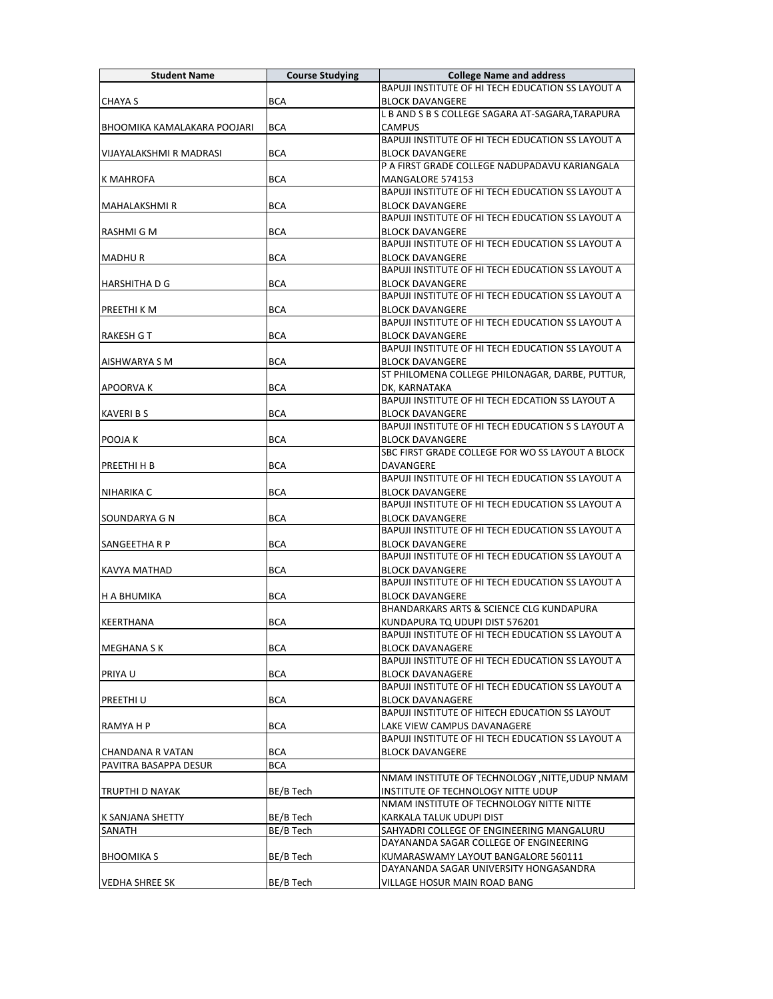| <b>Student Name</b>         | <b>Course Studying</b> | <b>College Name and address</b>                                                  |
|-----------------------------|------------------------|----------------------------------------------------------------------------------|
|                             |                        | BAPUJI INSTITUTE OF HI TECH EDUCATION SS LAYOUT A                                |
| <b>CHAYA S</b>              | <b>BCA</b>             | <b>BLOCK DAVANGERE</b>                                                           |
|                             |                        | L B AND S B S COLLEGE SAGARA AT-SAGARA, TARAPURA                                 |
| BHOOMIKA KAMALAKARA POOJARI | <b>BCA</b>             | CAMPUS                                                                           |
|                             |                        | BAPUJI INSTITUTE OF HI TECH EDUCATION SS LAYOUT A                                |
| VIJAYALAKSHMI R MADRASI     | BCA                    | <b>BLOCK DAVANGERE</b>                                                           |
|                             |                        | P A FIRST GRADE COLLEGE NADUPADAVU KARIANGALA                                    |
| K MAHROFA                   | <b>BCA</b>             | MANGALORE 574153                                                                 |
|                             |                        | BAPUJI INSTITUTE OF HI TECH EDUCATION SS LAYOUT A                                |
| MAHALAKSHMI R               | <b>BCA</b>             | <b>BLOCK DAVANGERE</b><br>BAPUJI INSTITUTE OF HI TECH EDUCATION SS LAYOUT A      |
| RASHMI G M                  | <b>BCA</b>             | <b>BLOCK DAVANGERE</b>                                                           |
|                             |                        | BAPUJI INSTITUTE OF HI TECH EDUCATION SS LAYOUT A                                |
| MADHU R                     | <b>BCA</b>             | <b>BLOCK DAVANGERE</b>                                                           |
|                             |                        | BAPUJI INSTITUTE OF HI TECH EDUCATION SS LAYOUT A                                |
| IHARSHITHA D G              | <b>BCA</b>             | <b>BLOCK DAVANGERE</b>                                                           |
|                             |                        | BAPUJI INSTITUTE OF HI TECH EDUCATION SS LAYOUT A                                |
| PREETHI K M                 | <b>BCA</b>             | <b>BLOCK DAVANGERE</b>                                                           |
|                             |                        | BAPUJI INSTITUTE OF HI TECH EDUCATION SS LAYOUT A                                |
| RAKESH G T                  | <b>BCA</b>             | <b>BLOCK DAVANGERE</b>                                                           |
|                             |                        | BAPUJI INSTITUTE OF HI TECH EDUCATION SS LAYOUT A                                |
| AISHWARYA S M               | <b>BCA</b>             | <b>BLOCK DAVANGERE</b>                                                           |
|                             |                        | ST PHILOMENA COLLEGE PHILONAGAR, DARBE, PUTTUR,                                  |
| <b>APOORVAK</b>             | <b>BCA</b>             | DK, KARNATAKA                                                                    |
|                             |                        | BAPUJI INSTITUTE OF HI TECH EDCATION SS LAYOUT A                                 |
| <b>KAVERI B S</b>           | <b>BCA</b>             | <b>BLOCK DAVANGERE</b>                                                           |
|                             |                        | BAPUJI INSTITUTE OF HI TECH EDUCATION S S LAYOUT A                               |
| <b>POOJA K</b>              | <b>BCA</b>             | <b>BLOCK DAVANGERE</b>                                                           |
|                             |                        | SBC FIRST GRADE COLLEGE FOR WO SS LAYOUT A BLOCK                                 |
| PREETHI H B                 | <b>BCA</b>             | <b>DAVANGERE</b>                                                                 |
|                             |                        | BAPUJI INSTITUTE OF HI TECH EDUCATION SS LAYOUT A                                |
| NIHARIKA C                  | BCA                    | <b>BLOCK DAVANGERE</b><br>BAPUJI INSTITUTE OF HI TECH EDUCATION SS LAYOUT A      |
| SOUNDARYA G N               | <b>BCA</b>             | <b>BLOCK DAVANGERE</b>                                                           |
|                             |                        | BAPUJI INSTITUTE OF HI TECH EDUCATION SS LAYOUT A                                |
| SANGEETHA R P               | BCA                    | <b>BLOCK DAVANGERE</b>                                                           |
|                             |                        | BAPUJI INSTITUTE OF HI TECH EDUCATION SS LAYOUT A                                |
| KAVYA MATHAD                | <b>BCA</b>             | <b>BLOCK DAVANGERE</b>                                                           |
|                             |                        | BAPUJI INSTITUTE OF HI TECH EDUCATION SS LAYOUT A                                |
| <b>H A BHUMIKA</b>          | <b>BCA</b>             | <b>BLOCK DAVANGERE</b>                                                           |
|                             |                        | <b>BHANDARKARS ARTS &amp; SCIENCE CLG KUNDAPURA</b>                              |
| KEERTHANA                   | <b>BCA</b>             | KUNDAPURA TQ UDUPI DIST 576201                                                   |
|                             |                        | BAPUJI INSTITUTE OF HI TECH EDUCATION SS LAYOUT A                                |
| <b>MEGHANA S K</b>          | <b>BCA</b>             | <b>BLOCK DAVANAGERE</b>                                                          |
|                             |                        | BAPUJI INSTITUTE OF HI TECH EDUCATION SS LAYOUT A                                |
| <b>PRIYAU</b>               | <b>BCA</b>             | <b>BLOCK DAVANAGERE</b>                                                          |
|                             |                        | BAPUJI INSTITUTE OF HI TECH EDUCATION SS LAYOUT A                                |
| <b>PREETHIU</b>             | <b>BCA</b>             | <b>BLOCK DAVANAGERE</b>                                                          |
|                             |                        | BAPUJI INSTITUTE OF HITECH EDUCATION SS LAYOUT                                   |
| RAMYA H P                   | <b>BCA</b>             | LAKE VIEW CAMPUS DAVANAGERE<br>BAPUJI INSTITUTE OF HI TECH EDUCATION SS LAYOUT A |
| CHANDANA R VATAN            | BCA                    | <b>BLOCK DAVANGERE</b>                                                           |
| PAVITRA BASAPPA DESUR       | <b>BCA</b>             |                                                                                  |
|                             |                        | NMAM INSTITUTE OF TECHNOLOGY , NITTE, UDUP NMAM                                  |
| TRUPTHI D NAYAK             | BE/B Tech              | INSTITUTE OF TECHNOLOGY NITTE UDUP                                               |
|                             |                        | NMAM INSTITUTE OF TECHNOLOGY NITTE NITTE                                         |
| K SANJANA SHETTY            | BE/B Tech              | KARKALA TALUK UDUPI DIST                                                         |
| SANATH                      | BE/B Tech              | SAHYADRI COLLEGE OF ENGINEERING MANGALURU                                        |
|                             |                        | DAYANANDA SAGAR COLLEGE OF ENGINEERING                                           |
| <b>BHOOMIKA S</b>           | BE/B Tech              | KUMARASWAMY LAYOUT BANGALORE 560111                                              |
|                             |                        | DAYANANDA SAGAR UNIVERSITY HONGASANDRA                                           |
| <b>VEDHA SHREE SK</b>       | BE/B Tech              | VILLAGE HOSUR MAIN ROAD BANG                                                     |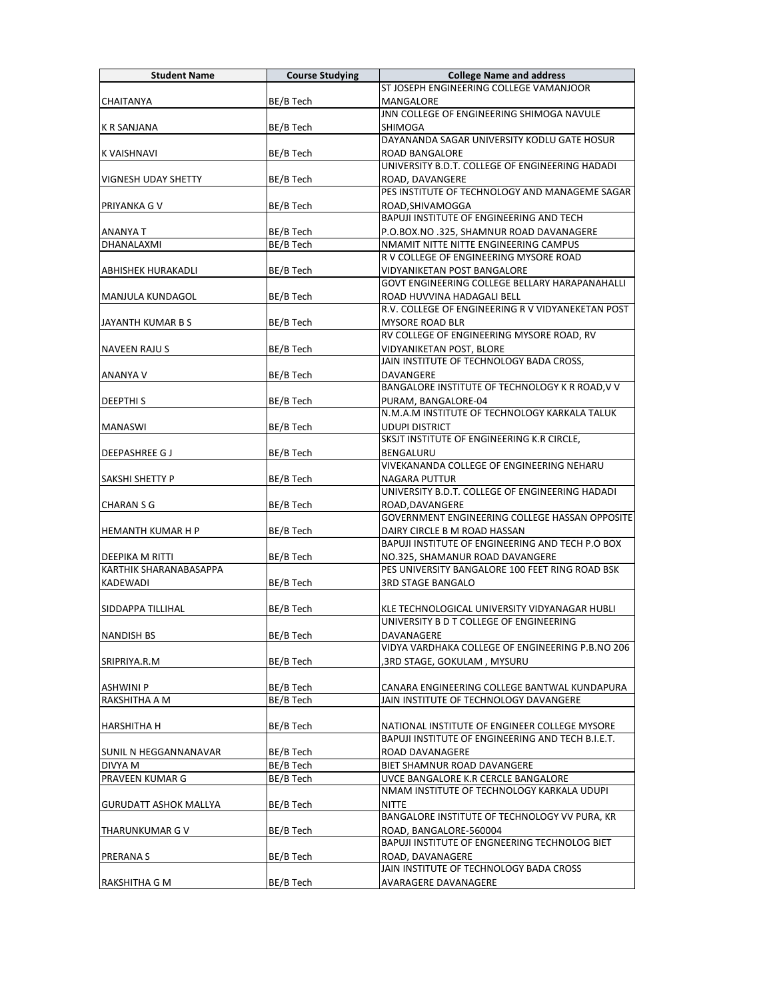| <b>Student Name</b>           | <b>Course Studying</b> | <b>College Name and address</b>                                   |
|-------------------------------|------------------------|-------------------------------------------------------------------|
|                               |                        | ST JOSEPH ENGINEERING COLLEGE VAMANJOOR                           |
| <b>CHAITANYA</b>              | BE/B Tech              | MANGALORE                                                         |
|                               |                        | JNN COLLEGE OF ENGINEERING SHIMOGA NAVULE                         |
| K R SANJANA                   | BE/B Tech              | SHIMOGA                                                           |
|                               |                        | DAYANANDA SAGAR UNIVERSITY KODLU GATE HOSUR                       |
| <b>K VAISHNAVI</b>            | BE/B Tech              | ROAD BANGALORE                                                    |
|                               |                        | UNIVERSITY B.D.T. COLLEGE OF ENGINEERING HADADI                   |
| VIGNESH UDAY SHETTY           | BE/B Tech              | ROAD, DAVANGERE                                                   |
|                               |                        | PES INSTITUTE OF TECHNOLOGY AND MANAGEME SAGAR                    |
| <b>PRIYANKA GV</b>            | BE/B Tech              | ROAD, SHIVAMOGGA                                                  |
|                               |                        | BAPUJI INSTITUTE OF ENGINEERING AND TECH                          |
| <b>ANANYA T</b>               | BE/B Tech              | P.O.BOX.NO .325, SHAMNUR ROAD DAVANAGERE                          |
| DHANALAXMI                    | BE/B Tech              | NMAMIT NITTE NITTE ENGINEERING CAMPUS                             |
|                               |                        | R V COLLEGE OF ENGINEERING MYSORE ROAD                            |
| <b>ABHISHEK HURAKADLI</b>     | BE/B Tech              | VIDYANIKETAN POST BANGALORE                                       |
|                               |                        | <b>GOVT ENGINEERING COLLEGE BELLARY HARAPANAHALLI</b>             |
| MANJULA KUNDAGOL              | BE/B Tech              | ROAD HUVVINA HADAGALI BELL                                        |
|                               |                        | R.V. COLLEGE OF ENGINEERING R V VIDYANEKETAN POST                 |
| JAYANTH KUMAR B S             | BE/B Tech              | <b>MYSORE ROAD BLR</b>                                            |
|                               |                        | RV COLLEGE OF ENGINEERING MYSORE ROAD, RV                         |
| <b>NAVEEN RAJUS</b>           | BE/B Tech              | VIDYANIKETAN POST, BLORE                                          |
|                               |                        | JAIN INSTITUTE OF TECHNOLOGY BADA CROSS,                          |
| ANANYA V                      | BE/B Tech              | DAVANGERE                                                         |
|                               |                        | BANGALORE INSTITUTE OF TECHNOLOGY K R ROAD, V V                   |
| <b>DEEPTHIS</b>               | BE/B Tech              | PURAM, BANGALORE-04                                               |
|                               |                        | N.M.A.M INSTITUTE OF TECHNOLOGY KARKALA TALUK                     |
| <b>MANASWI</b>                | BE/B Tech              | <b>UDUPI DISTRICT</b>                                             |
|                               |                        | SKSJT INSTITUTE OF ENGINEERING K.R CIRCLE,                        |
| <b>DEEPASHREE GJ</b>          | BE/B Tech              | BENGALURU<br>VIVEKANANDA COLLEGE OF ENGINEERING NEHARU            |
|                               |                        |                                                                   |
| <b>SAKSHI SHETTY P</b>        | BE/B Tech              | NAGARA PUTTUR<br>UNIVERSITY B.D.T. COLLEGE OF ENGINEERING HADADI  |
|                               |                        |                                                                   |
| <b>CHARAN S G</b>             | BE/B Tech              | ROAD, DAVANGERE<br>GOVERNMENT ENGINEERING COLLEGE HASSAN OPPOSITE |
| <b>HEMANTH KUMAR H P</b>      | BE/B Tech              | DAIRY CIRCLE B M ROAD HASSAN                                      |
|                               |                        | BAPUJI INSTITUTE OF ENGINEERING AND TECH P.O BOX                  |
| <b>DEEPIKA M RITTI</b>        | BE/B Tech              | NO.325, SHAMANUR ROAD DAVANGERE                                   |
| <b>KARTHIK SHARANABASAPPA</b> |                        | PES UNIVERSITY BANGALORE 100 FEET RING ROAD BSK                   |
| <b>KADEWADI</b>               | BE/B Tech              | <b>3RD STAGE BANGALO</b>                                          |
|                               |                        |                                                                   |
| <b>SIDDAPPA TILLIHAL</b>      | BE/B Tech              | KLE TECHNOLOGICAL UNIVERSITY VIDYANAGAR HUBLI                     |
|                               |                        | UNIVERSITY B D T COLLEGE OF ENGINEERING                           |
| NANDISH BS                    | BE/B Tech              | DAVANAGERE                                                        |
|                               |                        | VIDYA VARDHAKA COLLEGE OF ENGINEERING P.B.NO 206                  |
| SRIPRIYA.R.M                  | BE/B Tech              | 3RD STAGE, GOKULAM , MYSURU,                                      |
|                               |                        |                                                                   |
| <b>ASHWINI P</b>              | BE/B Tech              | CANARA ENGINEERING COLLEGE BANTWAL KUNDAPURA                      |
| RAKSHITHA A M                 | BE/B Tech              | JAIN INSTITUTE OF TECHNOLOGY DAVANGERE                            |
|                               |                        |                                                                   |
| <b>HARSHITHA H</b>            | BE/B Tech              | NATIONAL INSTITUTE OF ENGINEER COLLEGE MYSORE                     |
|                               |                        | BAPUJI INSTITUTE OF ENGINEERING AND TECH B.I.E.T.                 |
| SUNIL N HEGGANNANAVAR         | BE/B Tech              | ROAD DAVANAGERE                                                   |
| DIVYA M                       | BE/B Tech              | BIET SHAMNUR ROAD DAVANGERE                                       |
| PRAVEEN KUMAR G               | BE/B Tech              | UVCE BANGALORE K.R CERCLE BANGALORE                               |
|                               |                        | NMAM INSTITUTE OF TECHNOLOGY KARKALA UDUPI                        |
| <b>GURUDATT ASHOK MALLYA</b>  | BE/B Tech              | <b>NITTE</b>                                                      |
|                               |                        | BANGALORE INSTITUTE OF TECHNOLOGY VV PURA, KR                     |
| THARUNKUMAR G V               | BE/B Tech              | ROAD, BANGALORE-560004                                            |
|                               |                        | BAPUJI INSTITUTE OF ENGNEERING TECHNOLOG BIET                     |
| <b>PRERANA S</b>              | BE/B Tech              | ROAD, DAVANAGERE                                                  |
|                               |                        | JAIN INSTITUTE OF TECHNOLOGY BADA CROSS                           |
| RAKSHITHA G M                 | BE/B Tech              | AVARAGERE DAVANAGERE                                              |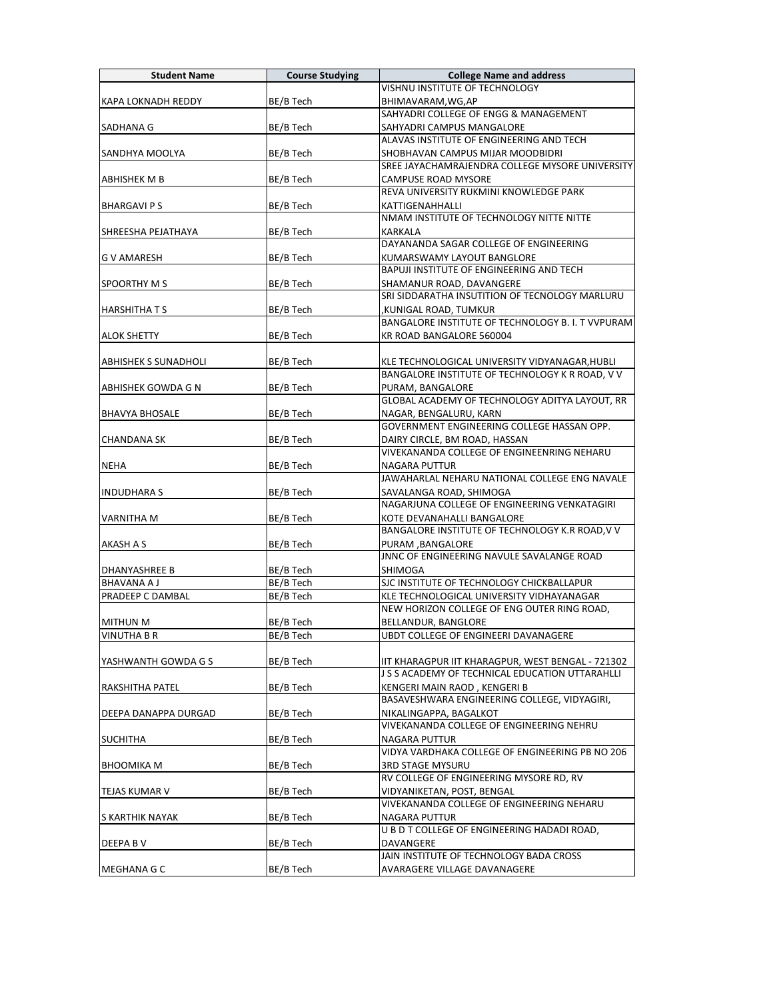| <b>Student Name</b>         | <b>Course Studying</b> | <b>College Name and address</b>                   |
|-----------------------------|------------------------|---------------------------------------------------|
|                             |                        | VISHNU INSTITUTE OF TECHNOLOGY                    |
| <b>KAPA LOKNADH REDDY</b>   | BE/B Tech              | BHIMAVARAM, WG, AP                                |
|                             |                        | SAHYADRI COLLEGE OF ENGG & MANAGEMENT             |
| SADHANA G                   | BE/B Tech              | SAHYADRI CAMPUS MANGALORE                         |
|                             |                        | ALAVAS INSTITUTE OF ENGINEERING AND TECH          |
| SANDHYA MOOLYA              | BE/B Tech              | SHOBHAVAN CAMPUS MIJAR MOODBIDRI                  |
|                             |                        | SREE JAYACHAMRAJENDRA COLLEGE MYSORE UNIVERSITY   |
| ABHISHEK M B                | BE/B Tech              | CAMPUSE ROAD MYSORE                               |
|                             |                        | REVA UNIVERSITY RUKMINI KNOWLEDGE PARK            |
| <b>BHARGAVI PS</b>          | BE/B Tech              | KATTIGENAHHALLI                                   |
|                             |                        | NMAM INSTITUTE OF TECHNOLOGY NITTE NITTE          |
| SHREESHA PEJATHAYA          | BE/B Tech              | KARKALA                                           |
|                             |                        | DAYANANDA SAGAR COLLEGE OF ENGINEERING            |
| <b>G V AMARESH</b>          | BE/B Tech              | KUMARSWAMY LAYOUT BANGLORE                        |
|                             |                        | <b>BAPUJI INSTITUTE OF ENGINEERING AND TECH</b>   |
| <b>SPOORTHY M S</b>         | BE/B Tech              | SHAMANUR ROAD, DAVANGERE                          |
|                             |                        | SRI SIDDARATHA INSUTITION OF TECNOLOGY MARLURU    |
| <b>HARSHITHATS</b>          | BE/B Tech              | ,KUNIGAL ROAD, TUMKUR                             |
|                             |                        | BANGALORE INSTITUTE OF TECHNOLOGY B. I. T VVPURAM |
| <b>ALOK SHETTY</b>          | BE/B Tech              | KR ROAD BANGALORE 560004                          |
|                             |                        |                                                   |
| <b>ABHISHEK S SUNADHOLI</b> | BE/B Tech              | KLE TECHNOLOGICAL UNIVERSITY VIDYANAGAR, HUBLI    |
|                             |                        | BANGALORE INSTITUTE OF TECHNOLOGY K R ROAD, V V   |
| <b>ABHISHEK GOWDA G N</b>   | BE/B Tech              | PURAM, BANGALORE                                  |
|                             |                        | GLOBAL ACADEMY OF TECHNOLOGY ADITYA LAYOUT, RR    |
| <b>BHAVYA BHOSALE</b>       | BE/B Tech              | NAGAR, BENGALURU, KARN                            |
|                             |                        | GOVERNMENT ENGINEERING COLLEGE HASSAN OPP.        |
| <b>CHANDANA SK</b>          | BE/B Tech              | DAIRY CIRCLE, BM ROAD, HASSAN                     |
|                             |                        | VIVEKANANDA COLLEGE OF ENGINEENRING NEHARU        |
| <b>NEHA</b>                 | BE/B Tech              | <b>NAGARA PUTTUR</b>                              |
|                             |                        | JAWAHARLAL NEHARU NATIONAL COLLEGE ENG NAVALE     |
| <b>INDUDHARA S</b>          | BE/B Tech              | SAVALANGA ROAD, SHIMOGA                           |
|                             |                        | NAGARJUNA COLLEGE OF ENGINEERING VENKATAGIRI      |
| <b>VARNITHA M</b>           | BE/B Tech              | KOTE DEVANAHALLI BANGALORE                        |
|                             |                        | BANGALORE INSTITUTE OF TECHNOLOGY K.R ROAD, V V   |
| <b>AKASH A S</b>            | BE/B Tech              | PURAM, BANGALORE                                  |
|                             |                        | JNNC OF ENGINEERING NAVULE SAVALANGE ROAD         |
| DHANYASHREE B               | BE/B Tech              | <b>SHIMOGA</b>                                    |
| <b>BHAVANA A J</b>          | BE/B Tech              | SJC INSTITUTE OF TECHNOLOGY CHICKBALLAPUR         |
| PRADEEP C DAMBAL            | BE/B Tech              | KLE TECHNOLOGICAL UNIVERSITY VIDHAYANAGAR         |
|                             |                        | NEW HORIZON COLLEGE OF ENG OUTER RING ROAD,       |
| <b>MITHUN M</b>             | BE/B Tech              | BELLANDUR, BANGLORE                               |
| VINUTHA B R                 | BE/B Tech              | <b>UBDT COLLEGE OF ENGINEERI DAVANAGERE</b>       |
|                             |                        |                                                   |
| YASHWANTH GOWDA G S         | BE/B Tech              | IIT KHARAGPUR IIT KHARAGPUR, WEST BENGAL - 721302 |
|                             |                        | J S S ACADEMY OF TECHNICAL EDUCATION UTTARAHLLI   |
| RAKSHITHA PATEL             | BE/B Tech              | KENGERI MAIN RAOD, KENGERI B                      |
|                             |                        | BASAVESHWARA ENGINEERING COLLEGE, VIDYAGIRI.      |
| DEEPA DANAPPA DURGAD        | BE/B Tech              | NIKALINGAPPA, BAGALKOT                            |
|                             |                        | VIVEKANANDA COLLEGE OF ENGINEERING NEHRU          |
| <b>SUCHITHA</b>             | BE/B Tech              | NAGARA PUTTUR                                     |
|                             |                        | VIDYA VARDHAKA COLLEGE OF ENGINEERING PB NO 206   |
| <b>BHOOMIKA M</b>           | BE/B Tech              | <b>3RD STAGE MYSURU</b>                           |
|                             |                        | RV COLLEGE OF ENGINEERING MYSORE RD, RV           |
| <b>TEJAS KUMAR V</b>        | BE/B Tech              | VIDYANIKETAN, POST, BENGAL                        |
|                             |                        | VIVEKANANDA COLLEGE OF ENGINEERING NEHARU         |
| S KARTHIK NAYAK             | BE/B Tech              | NAGARA PUTTUR                                     |
|                             |                        | U B D T COLLEGE OF ENGINEERING HADADI ROAD,       |
| DEEPA B V                   |                        | DAVANGERE                                         |
|                             | BE/B Tech              | JAIN INSTITUTE OF TECHNOLOGY BADA CROSS           |
|                             |                        |                                                   |
| MEGHANA G C                 | BE/B Tech              | AVARAGERE VILLAGE DAVANAGERE                      |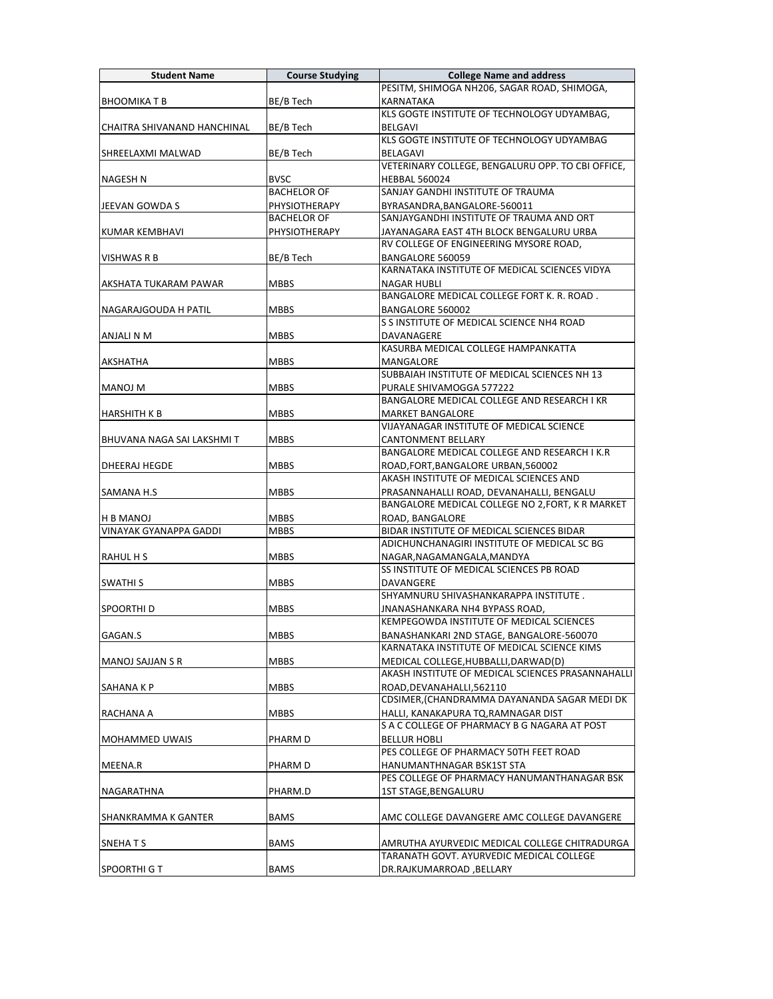| <b>Student Name</b>           | <b>Course Studying</b> | <b>College Name and address</b>                                                              |
|-------------------------------|------------------------|----------------------------------------------------------------------------------------------|
|                               |                        | PESITM, SHIMOGA NH206, SAGAR ROAD, SHIMOGA,                                                  |
| <b>BHOOMIKAT B</b>            | BE/B Tech              | <b>KARNATAKA</b>                                                                             |
|                               |                        | KLS GOGTE INSTITUTE OF TECHNOLOGY UDYAMBAG,                                                  |
| CHAITRA SHIVANAND HANCHINAL   | BE/B Tech              | BELGAVI                                                                                      |
|                               |                        | KLS GOGTE INSTITUTE OF TECHNOLOGY UDYAMBAG                                                   |
| SHREELAXMI MALWAD             | BE/B Tech              | BELAGAVI                                                                                     |
|                               |                        | VETERINARY COLLEGE, BENGALURU OPP. TO CBI OFFICE,                                            |
| <b>NAGESH N</b>               | <b>BVSC</b>            | <b>HEBBAL 560024</b>                                                                         |
|                               | <b>BACHELOR OF</b>     | SANJAY GANDHI INSTITUTE OF TRAUMA                                                            |
| JEEVAN GOWDA S                | PHYSIOTHERAPY          | BYRASANDRA, BANGALORE-560011                                                                 |
|                               | <b>BACHELOR OF</b>     | SANJAYGANDHI INSTITUTE OF TRAUMA AND ORT                                                     |
| KUMAR KEMBHAVI                | <b>PHYSIOTHERAPY</b>   | JAYANAGARA EAST 4TH BLOCK BENGALURU URBA                                                     |
|                               |                        | RV COLLEGE OF ENGINEERING MYSORE ROAD,                                                       |
| <b>VISHWAS R B</b>            | BE/B Tech              | BANGALORE 560059                                                                             |
|                               |                        | KARNATAKA INSTITUTE OF MEDICAL SCIENCES VIDYA                                                |
| AKSHATA TUKARAM PAWAR         | <b>MBBS</b>            | <b>NAGAR HUBLI</b>                                                                           |
|                               |                        | BANGALORE MEDICAL COLLEGE FORT K. R. ROAD.                                                   |
| NAGARAJGOUDA H PATIL          | <b>MBBS</b>            | BANGALORE 560002                                                                             |
|                               |                        | S S INSTITUTE OF MEDICAL SCIENCE NH4 ROAD                                                    |
| ANJALI N M                    | <b>MBBS</b>            | DAVANAGERE                                                                                   |
|                               |                        | KASURBA MEDICAL COLLEGE HAMPANKATTA                                                          |
| AKSHATHA                      | <b>MBBS</b>            | MANGALORE                                                                                    |
|                               |                        | SUBBAIAH INSTITUTE OF MEDICAL SCIENCES NH 13                                                 |
| <b>MANOJ M</b>                | <b>MBBS</b>            | PURALE SHIVAMOGGA 577222                                                                     |
|                               |                        | BANGALORE MEDICAL COLLEGE AND RESEARCH I KR                                                  |
| <b>HARSHITH K B</b>           | <b>MBBS</b>            | <b>MARKET BANGALORE</b>                                                                      |
|                               |                        | VIJAYANAGAR INSTITUTE OF MEDICAL SCIENCE                                                     |
| BHUVANA NAGA SAI LAKSHMI T    | <b>MBBS</b>            | CANTONMENT BELLARY                                                                           |
|                               |                        | BANGALORE MEDICAL COLLEGE AND RESEARCH I K.R                                                 |
| DHEERAJ HEGDE                 | <b>MBBS</b>            | ROAD, FORT, BANGALORE URBAN, 560002<br>AKASH INSTITUTE OF MEDICAL SCIENCES AND               |
|                               |                        |                                                                                              |
| SAMANA H.S                    | <b>MBBS</b>            | PRASANNAHALLI ROAD, DEVANAHALLI, BENGALU<br>BANGALORE MEDICAL COLLEGE NO 2, FORT, K R MARKET |
|                               |                        |                                                                                              |
| <b>H B MANOJ</b>              | <b>MBBS</b>            | ROAD, BANGALORE                                                                              |
| <b>VINAYAK GYANAPPA GADDI</b> | <b>MBBS</b>            | BIDAR INSTITUTE OF MEDICAL SCIENCES BIDAR<br>ADICHUNCHANAGIRI INSTITUTE OF MEDICAL SC BG     |
|                               |                        |                                                                                              |
| <b>RAHUL H S</b>              | <b>MBBS</b>            | NAGAR, NAGAMANGALA, MANDYA<br>SS INSTITUTE OF MEDICAL SCIENCES PB ROAD                       |
| <b>SWATHI S</b>               | <b>MBBS</b>            | <b>DAVANGERE</b>                                                                             |
|                               |                        | SHYAMNURU SHIVASHANKARAPPA INSTITUTE.                                                        |
| <b>SPOORTHID</b>              | <b>MBBS</b>            | JNANASHANKARA NH4 BYPASS ROAD,                                                               |
|                               |                        | KEMPEGOWDA INSTITUTE OF MEDICAL SCIENCES                                                     |
| GAGAN.S                       | MBBS                   | BANASHANKARI 2ND STAGE, BANGALORE-560070                                                     |
|                               |                        | KARNATAKA INSTITUTE OF MEDICAL SCIENCE KIMS                                                  |
| MANOJ SAJJAN S R              | <b>MBBS</b>            | MEDICAL COLLEGE, HUBBALLI, DARWAD(D)                                                         |
|                               |                        | AKASH INSTITUTE OF MEDICAL SCIENCES PRASANNAHALLI                                            |
| SAHANA K P                    | <b>MBBS</b>            | ROAD, DEVANAHALLI, 562110                                                                    |
|                               |                        | CDSIMER, (CHANDRAMMA DAYANANDA SAGAR MEDI DK                                                 |
| RACHANA A                     | MBBS                   | HALLI, KANAKAPURA TQ, RAMNAGAR DIST                                                          |
|                               |                        | S A C COLLEGE OF PHARMACY B G NAGARA AT POST                                                 |
| <b>MOHAMMED UWAIS</b>         | PHARM D                | <b>BELLUR HOBLI</b>                                                                          |
|                               |                        | PES COLLEGE OF PHARMACY 50TH FEET ROAD                                                       |
| MEENA.R                       | PHARM D                | HANUMANTHNAGAR BSK1ST STA                                                                    |
|                               |                        | PES COLLEGE OF PHARMACY HANUMANTHANAGAR BSK                                                  |
| NAGARATHNA                    | PHARM.D                | 1ST STAGE, BENGALURU                                                                         |
|                               |                        |                                                                                              |
| SHANKRAMMA K GANTER           | BAMS                   | AMC COLLEGE DAVANGERE AMC COLLEGE DAVANGERE                                                  |
|                               |                        |                                                                                              |
| <b>SNEHATS</b>                | <b>BAMS</b>            | AMRUTHA AYURVEDIC MEDICAL COLLEGE CHITRADURGA                                                |
|                               |                        | TARANATH GOVT. AYURVEDIC MEDICAL COLLEGE                                                     |
| SPOORTHI G T                  | <b>BAMS</b>            | DR.RAJKUMARROAD, BELLARY                                                                     |
|                               |                        |                                                                                              |